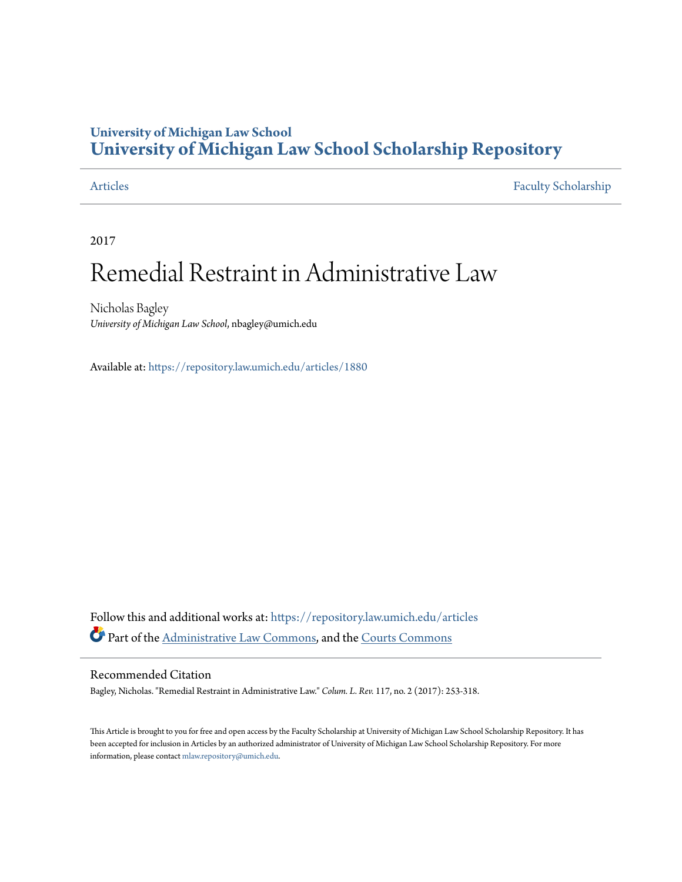## **University of Michigan Law School [University of Michigan Law School Scholarship Repository](https://repository.law.umich.edu?utm_source=repository.law.umich.edu%2Farticles%2F1880&utm_medium=PDF&utm_campaign=PDFCoverPages)**

[Articles](https://repository.law.umich.edu/articles?utm_source=repository.law.umich.edu%2Farticles%2F1880&utm_medium=PDF&utm_campaign=PDFCoverPages) [Faculty Scholarship](https://repository.law.umich.edu/faculty_scholarship?utm_source=repository.law.umich.edu%2Farticles%2F1880&utm_medium=PDF&utm_campaign=PDFCoverPages)

2017

# Remedial Restraint in Administrative Law

Nicholas Bagley *University of Michigan Law School*, nbagley@umich.edu

Available at: <https://repository.law.umich.edu/articles/1880>

Follow this and additional works at: [https://repository.law.umich.edu/articles](https://repository.law.umich.edu/articles?utm_source=repository.law.umich.edu%2Farticles%2F1880&utm_medium=PDF&utm_campaign=PDFCoverPages) Part of the [Administrative Law Commons,](http://network.bepress.com/hgg/discipline/579?utm_source=repository.law.umich.edu%2Farticles%2F1880&utm_medium=PDF&utm_campaign=PDFCoverPages) and the [Courts Commons](http://network.bepress.com/hgg/discipline/839?utm_source=repository.law.umich.edu%2Farticles%2F1880&utm_medium=PDF&utm_campaign=PDFCoverPages)

#### Recommended Citation

Bagley, Nicholas. "Remedial Restraint in Administrative Law." *Colum. L. Rev.* 117, no. 2 (2017): 253-318.

This Article is brought to you for free and open access by the Faculty Scholarship at University of Michigan Law School Scholarship Repository. It has been accepted for inclusion in Articles by an authorized administrator of University of Michigan Law School Scholarship Repository. For more information, please contact [mlaw.repository@umich.edu.](mailto:mlaw.repository@umich.edu)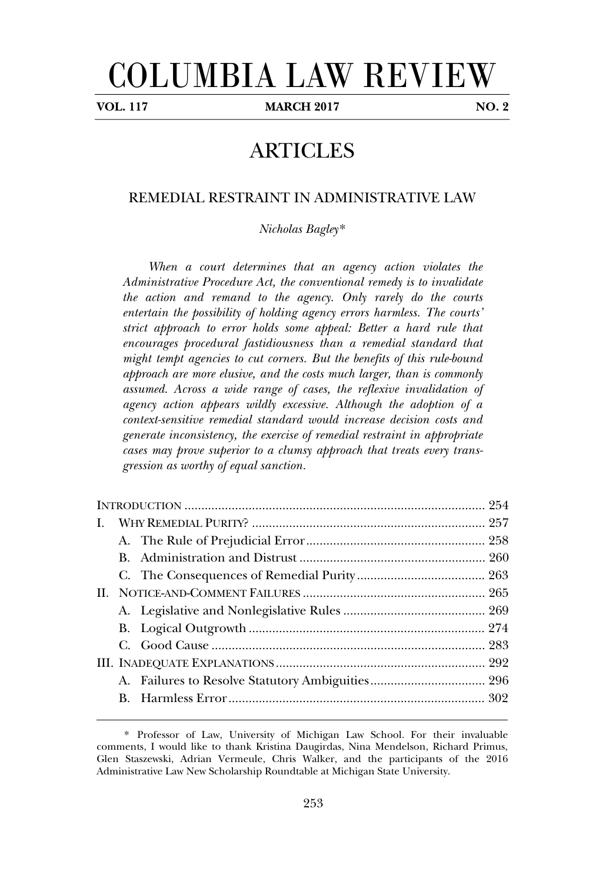# COLUMBIA LAW REVIEW

**VOL. 117 MARCH 2017 NO. 2**

## ARTICLES

# REMEDIAL RESTRAINT IN ADMINISTRATIVE LAW

*Nicholas Bagley*\*

*When a court determines that an agency action violates the Administrative Procedure Act, the conventional remedy is to invalidate the action and remand to the agency. Only rarely do the courts entertain the possibility of holding agency errors harmless. The courts' strict approach to error holds some appeal: Better a hard rule that encourages procedural fastidiousness than a remedial standard that might tempt agencies to cut corners. But the benefits of this rule-bound approach are more elusive, and the costs much larger, than is commonly assumed. Across a wide range of cases, the reflexive invalidation of agency action appears wildly excessive. Although the adoption of a context-sensitive remedial standard would increase decision costs and generate inconsistency, the exercise of remedial restraint in appropriate cases may prove superior to a clumsy approach that treats every transgression as worthy of equal sanction.*

<sup>\*.</sup> Professor of Law, University of Michigan Law School. For their invaluable comments, I would like to thank Kristina Daugirdas, Nina Mendelson, Richard Primus, Glen Staszewski, Adrian Vermeule, Chris Walker, and the participants of the 2016 Administrative Law New Scholarship Roundtable at Michigan State University.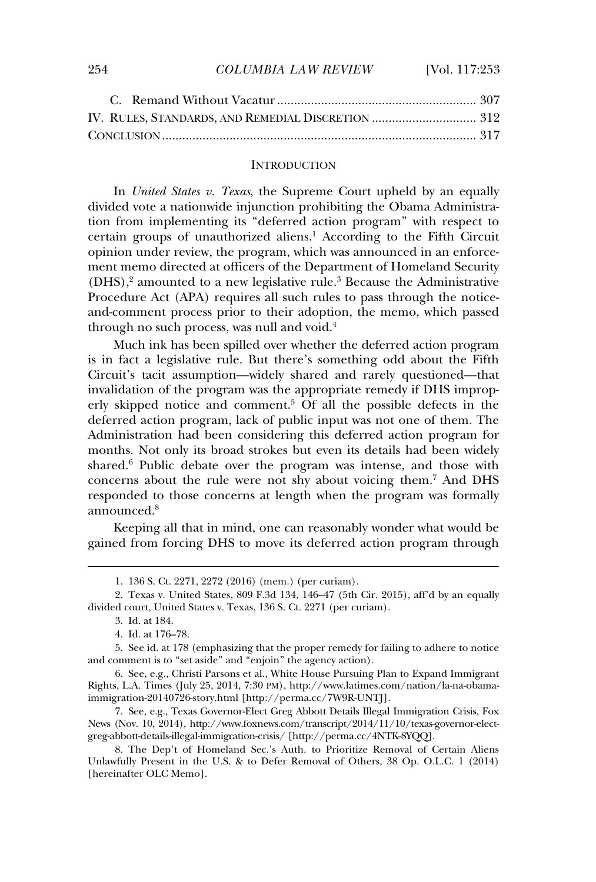#### **INTRODUCTION**

In *United States v. Texas*, the Supreme Court upheld by an equally divided vote a nationwide injunction prohibiting the Obama Administration from implementing its "deferred action program" with respect to certain groups of unauthorized aliens.<sup>1</sup> According to the Fifth Circuit opinion under review, the program, which was announced in an enforcement memo directed at officers of the Department of Homeland Security (DHS),<sup>2</sup> amounted to a new legislative rule.<sup>3</sup> Because the Administrative Procedure Act (APA) requires all such rules to pass through the noticeand-comment process prior to their adoption, the memo, which passed through no such process prior to their deepest<br>through no such process, was null and void.<sup>4</sup>

Much ink has been spilled over whether the deferred action program is in fact a legislative rule. But there's something odd about the Fifth Circuit's tacit assumption—widely shared and rarely questioned—that invalidation of the program was the appropriate remedy if DHS improperly skipped notice and comment.<sup>5</sup> Of all the possible defects in the deferred action program, lack of public input was not one of them. The Administration had been considering this deferred action program for months. Not only its broad strokes but even its details had been widely shared.<sup>6</sup> Public debate over the program was intense, and those with concerns about the rule were not shy about voicing them.<sup>7</sup> And DHS responded to those concerns at length when the program was formally announced.<sup>8</sup>

Keeping all that in mind, one can reasonably wonder what would be expansion and the matter matter of the call reasonably worked what would be gained from forcing DHS to move its deferred action program through

<sup>1. 136</sup> S. Ct. 2271, 2272 (2016) (mem.) (per curiam).

<sup>2.</sup> Texas v. United States, 809 F.3d 134, 146–47 (5th Cir. 2015), aff'd by an equally divided court, United States v. Texas, 136 S. Ct. 2271 (per curiam).

<sup>3.</sup> Id. at 184.

<sup>4.</sup> Id. at 176–78.

<sup>5.</sup> See id. at 178 (emphasizing that the proper remedy for failing to adhere to notice and comment is to "set aside" and "enjoin" the agency action).

<sup>6.</sup> See, e.g., Christi Parsons et al., White House Pursuing Plan to Expand Immigrant Rights, L.A. Times (July 25, 2014, 7:30 PM), http://www.latimes.com/nation/la-na-obamaimmigration-20140726-story.html [http://perma.cc/7W9R-UNTJ].

<sup>7.</sup> See, e.g., Texas Governor-Elect Greg Abbott Details Illegal Immigration Crisis, Fox News (Nov. 10, 2014), http://www.foxnews.com/transcript/2014/11/10/texas-governor-electgreg-abbott-details-illegal-immigration-crisis/ [http://perma.cc/4NTK-8YQQ].

<sup>8.</sup> The Dep't of Homeland Sec.'s Auth. to Prioritize Removal of Certain Aliens Unlawfully Present in the U.S. & to Defer Removal of Others, 38 Op. O.L.C. 1 (2014) [hereinafter OLC Memo].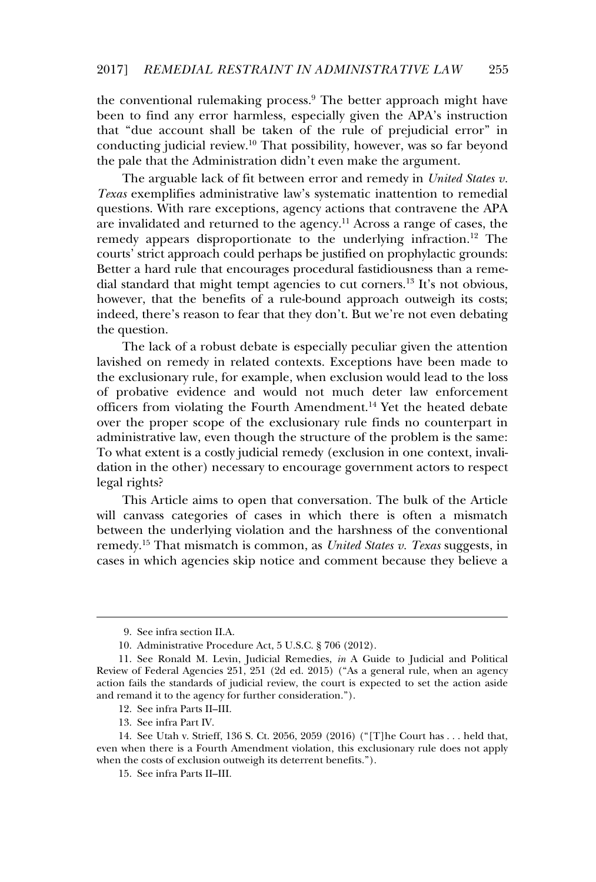the conventional rulemaking process.<sup>9</sup> The better approach might have been to find any error harmless, especially given the APA's instruction that "due account shall be taken of the rule of prejudicial error" in conducting judicial review.<sup>10</sup> That possibility, however, was so far beyond the pale that the Administration didn't even make the argument.

The arguable lack of fit between error and remedy in *United States v. Texas* exemplifies administrative law's systematic inattention to remedial questions. With rare exceptions, agency actions that contravene the APA are invalidated and returned to the agency.<sup>11</sup> Across a range of cases, the remedy appears disproportionate to the underlying infraction.<sup>12</sup> The courts' strict approach could perhaps be justified on prophylactic grounds: Better a hard rule that encourages procedural fastidiousness than a remedial standard that might tempt agencies to cut corners.<sup>13</sup> It's not obvious, however, that the benefits of a rule-bound approach outweigh its costs; indeed, there's reason to fear that they don't. But we're not even debating the question.

The lack of a robust debate is especially peculiar given the attention lavished on remedy in related contexts. Exceptions have been made to the exclusionary rule, for example, when exclusion would lead to the loss of probative evidence and would not much deter law enforcement officers from violating the Fourth Amendment.<sup>14</sup> Yet the heated debate of the proper scope of the exclusionary rule finds no counterpart in administrative law, even though the structure of the problem is the same: To what extent is a costly judicial remedy (exclusion in one context, invalidation in the other) necessary to encourage government actors to respect legal rights?

This Article aims to open that conversation. The bulk of the Article will canvass categories of cases in which there is often a mismatch which carries categories of cases in which after is often a mismatch remedy.<sup>15</sup> That mismatch is common, as *United States v. Texas* suggests, in cases in which agencies skip notice and comment because they believe a

<sup>9.</sup> See infra section II.A.

<sup>10.</sup> Administrative Procedure Act, 5 U.S.C. § 706 (2012).

<sup>11.</sup> See Ronald M. Levin, Judicial Remedies, *in* A Guide to Judicial and Political Review of Federal Agencies 251, 251 (2d ed. 2015) ("As a general rule, when an agency action fails the standards of judicial review, the court is expected to set the action aside action rans are sumalities of judicial review, the court is<br>and remand it to the agency for further consideration.").

<sup>12.</sup> See infra Parts II–III.

<sup>13.</sup> See infra Part IV.

<sup>14.</sup> See Utah v. Strieff, 136 S. Ct. 2056, 2059 (2016) ("[T]he Court has . . . held that, even when there is a Fourth Amendment violation, this exclusionary rule does not apply<br>even when there is a Fourth Amendment violation, this exclusionary rule does not apply even when there is a routan inherialment violation, and exercise when the costs of exclusion outweigh its deterrent benefits.").

<sup>15.</sup> See infra Parts II–III.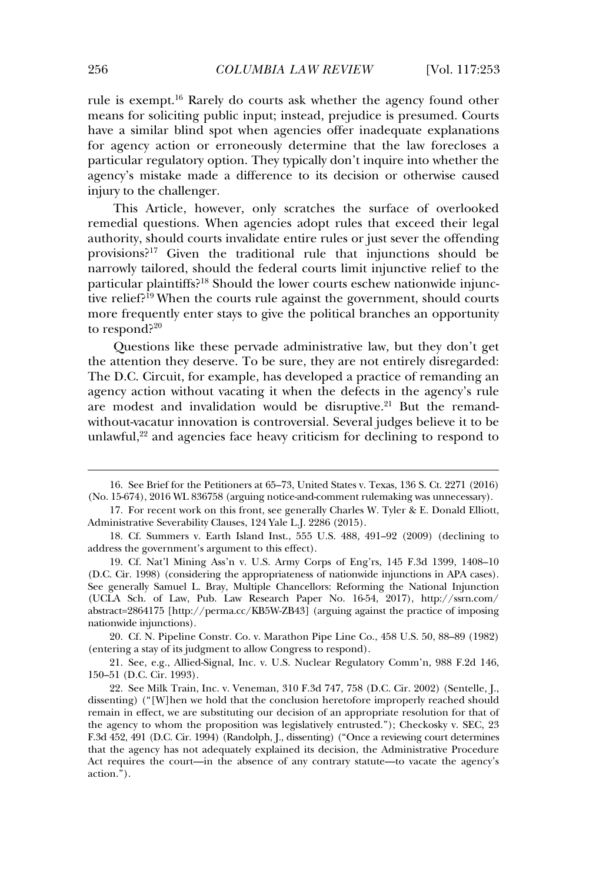rule is exempt.<sup>16</sup> Rarely do courts ask whether the agency found other means for soliciting public input; instead, prejudice is presumed. Courts have a similar blind spot when agencies offer inadequate explanations for agency action or erroneously determine that the law forecloses a particular regulatory option. They typically don't inquire into whether the agency's mistake made a difference to its decision or otherwise caused injury to the challenger.

This Article, however, only scratches the surface of overlooked remedial questions. When agencies adopt rules that exceed their legal authority, should courts invalidate entire rules or just sever the offending provisions?<sup>17</sup> Given the traditional rule that injunctions should be narrowly tailored, should the federal courts limit injunctive relief to the particular plaintiffs?<sup>18</sup> Should the lower courts eschew nationwide injunctive relief?<sup>19</sup> When the courts rule against the government, should courts more frequently enter stays to give the political branches an opportunity to respond?<sup>20</sup>

Questions like these pervade administrative law, but they don't get galessions the attention they deserve. To be sure, they are not entirely disregarded: The D.C. Circuit, for example, has developed a practice of remanding an agency action without vacating it when the defects in the agency's rule agency action without vacaling to when the derects in the agency s rate<br>are modest and invalidation would be disruptive.<sup>21</sup> But the remandwithout-vacatur innovation is controversial. Several judges believe it to be minout viewell *impoution* is controversian several judges seneve it to see<br>unlawful.<sup>22</sup> and agencies face heavy criticism for declining to respond to

20. Cf. N. Pipeline Constr. Co. v. Marathon Pipe Line Co., 458 U.S. 50, 88–89 (1982) (entering a stay of its judgment to allow Congress to respond).

21. See, e.g., Allied-Signal, Inc. v. U.S. Nuclear Regulatory Comm'n, 988 F.2d 146, 150–51 (D.C. Cir. 1993).

<sup>16.</sup> See Brief for the Petitioners at 65–73, United States v. Texas, 136 S. Ct. 2271 (2016) (No. 15-674), 2016 WL 836758 (arguing notice-and-comment rulemaking was unnecessary).

<sup>17.</sup> For recent work on this front, see generally Charles W. Tyler & E. Donald Elliott, Administrative Severability Clauses, 124 Yale L.J. 2286 (2015).

<sup>18.</sup> Cf. Summers v. Earth Island Inst., 555 U.S. 488, 491–92 (2009) (declining to address the government's argument to this effect).

<sup>19.</sup> Cf. Nat'l Mining Ass'n v. U.S. Army Corps of Eng'rs, 145 F.3d 1399, 1408–10 (D.C. Cir. 1998) (considering the appropriateness of nationwide injunctions in APA cases). See generally Samuel L. Bray, Multiple Chancellors: Reforming the National Injunction (UCLA Sch. of Law, Pub. Law Research Paper No. 16-54, 2017), http://ssrn.com/ abstract=2864175 [http://perma.cc/KB5W-ZB43] (arguing against the practice of imposing mationwide injunctions).

<sup>22.</sup> See Milk Train, Inc. v. Veneman, 310 F.3d 747, 758 (D.C. Cir. 2002) (Sentelle, J., dissenting) ("[W]hen we hold that the conclusion heretofore improperly reached should remain in effect, we are substituting our decision of an appropriate resolution for that of the agency to whom the proposition was legislatively entrusted."); Checkosky v. SEC, 23 F.3d 452, 491 (D.C. Cir. 1994) (Randolph, J., dissenting) ("Once a reviewing court determines that the agency has not adequately explained its decision, the Administrative Procedure Act requires the court—in the absence of any contrary statute—to vacate the agency's action.").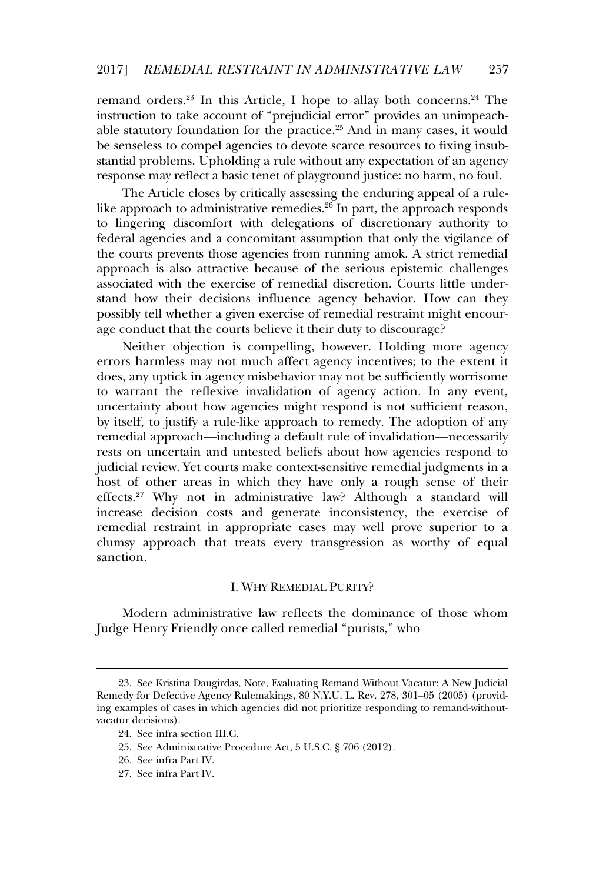remand orders.<sup>23</sup> In this Article. I hope to allay both concerns.<sup>24</sup> The instruction to take account of "prejudicial error" provides an unimpeachable statutory foundation for the practice.<sup>25</sup> And in many cases, it would be senseless to compel agencies to devote scarce resources to fixing insubstantial problems. Upholding a rule without any expectation of an agency response may reflect a basic tenet of playground justice: no harm, no foul.

The Article closes by critically assessing the enduring appeal of a rulelike approach to administrative remedies.<sup>26</sup> In part, the approach responds to lingering discomfort with delegations of discretionary authority to federal agencies and a concomitant assumption that only the vigilance of the courts prevents those agencies from running amok. A strict remedial approach is also attractive because of the serious epistemic challenges associated with the exercise of remedial discretion. Courts little understand how their decisions influence agency behavior. How can they possibly tell whether a given exercise of remedial restraint might encourage conduct that the courts believe it their duty to discourage?

Neither objection is compelling, however. Holding more agency errors harmless may not much affect agency incentives; to the extent it does, any uptick in agency misbehavior may not be sufficiently worrisome to warrant the reflexive invalidation of agency action. In any event, uncertainty about how agencies might respond is not sufficient reason, by itself, to justify a rule-like approach to remedy. The adoption of any remedial approach—including a default rule of invalidation—necessarily reflection approach therefore a definite the of invariant on the resessantly rests on uncertain and untested beliefs about how agencies respond to judicial review. Yet courts make context-sensitive remedial judgments in a host of other areas in which they have only a rough sense of their effects.<sup>27</sup> Why not in administrative law? Although a standard will increase decision costs and generate inconsistency, the exercise of remedial restraint in appropriate cases may well prove superior to a clumsy approach that treats every transgression as worthy of equal sanction.

### I. WHY REMEDIAL PURITY?

Modern administrative law reflects the dominance of those whom Judge Henry Friendly once called remedial "purists," who

<sup>23.</sup> See Kristina Daugirdas, Note, Evaluating Remand Without Vacatur: A New Judicial Remedy for Defective Agency Rulemakings, 80 N.Y.U. L. Rev. 278, 301–05 (2005) (providing examples of cases in which agencies did not prioritize responding to remand-withoutmg examples of ea<br>vacatur decisions).

<sup>24.</sup> See infra section III.C.

<sup>25.</sup> See Administrative Procedure Act, 5 U.S.C. § 706 (2012).

<sup>26.</sup> See infra Part IV.

<sup>27.</sup> See infra Part IV.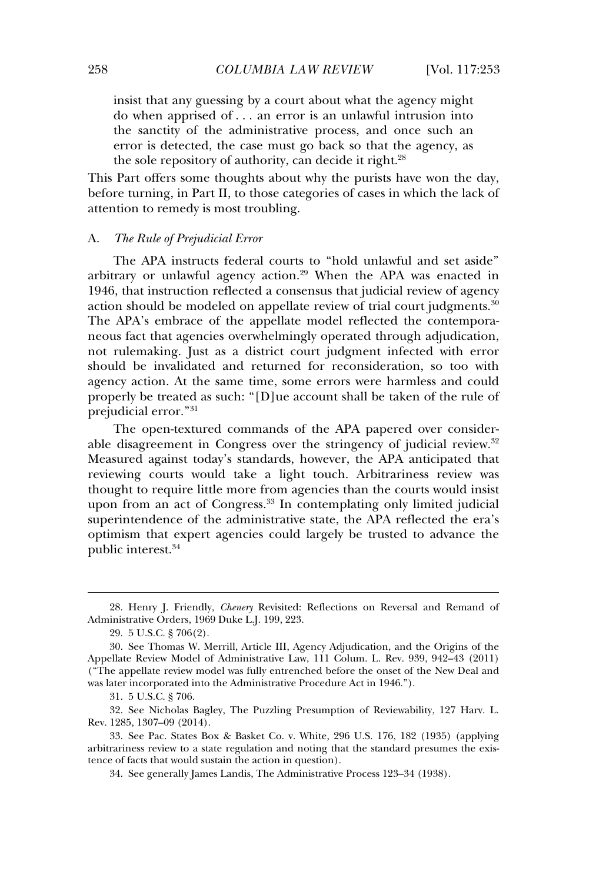insist that any guessing by a court about what the agency might do when apprised of . . . an error is an unlawful intrusion into the sanctity of the administrative process, and once such an error is detected, the case must go back so that the agency, as the sole repository of authority, can decide it right.<sup>28</sup>

This Part offers some thoughts about why the purists have won the day, before turning, in Part II, to those categories of cases in which the lack of attention to remedy is most troubling.

#### A.*The Rule of Prejudicial Error*

The APA instructs federal courts to "hold unlawful and set aside" arbitrary or unlawful agency action.<sup>29</sup> When the APA was enacted in 1946, that instruction reflected a consensus that judicial review of agency action should be modeled on appellate review of trial court judgments.<sup>30</sup> The APA's embrace of the appellate model reflected the contemporaneous fact that agencies overwhelmingly operated through adjudication, not rulemaking. Just as a district court judgment infected with error should be invalidated and returned for reconsideration, so too with agency action. At the same time, some errors were harmless and could properly be treated as such: "[D]ue account shall be taken of the rule of properi<sub>)</sub> be treated<br>prejudicial error."<sup>31</sup>

The open-textured commands of the APA papered over considerable disagreement in Congress over the stringency of judicial review.<sup>32</sup> able disagreement in congress over the stringency of judicial review.<br>Measured against today's standards, however, the APA anticipated that reviewing courts would take a light touch. Arbitrariness review was thought to require little more from agencies than the courts would insist upon from an act of Congress.<sup>33</sup> In contemplating only limited judicial superintendence of the administrative state, the APA reflected the era's optimism that expert agencies could largely be trusted to advance the public interest.<sup>34</sup>

<sup>28.</sup> Henry J. Friendly, *Chenery* Revisited: Reflections on Reversal and Remand of Administrative Orders, 1969 Duke L.J. 199, 223.

<sup>29. 5</sup> U.S.C. § 706(2).

<sup>30.</sup> See Thomas W. Merrill, Article III, Agency Adjudication, and the Origins of the Appellate Review Model of Administrative Law, 111 Colum. L. Rev. 939, 942–43 (2011) ("The appellate review model was fully entrenched before the onset of the New Deal and was later incorporated into the Administrative Procedure Act in 1946.").

<sup>31. 5</sup> U.S.C. § 706.

<sup>32.</sup> See Nicholas Bagley, The Puzzling Presumption of Reviewability, 127 Harv. L. Rev. 1285, 1307–09 (2014).

<sup>33.</sup> See Pac. States Box & Basket Co. v. White, 296 U.S. 176, 182 (1935) (applying arbitrariness review to a state regulation and noting that the standard presumes the existence of facts that would sustain the action in question).

<sup>34.</sup> See generally James Landis, The Administrative Process 123–34 (1938).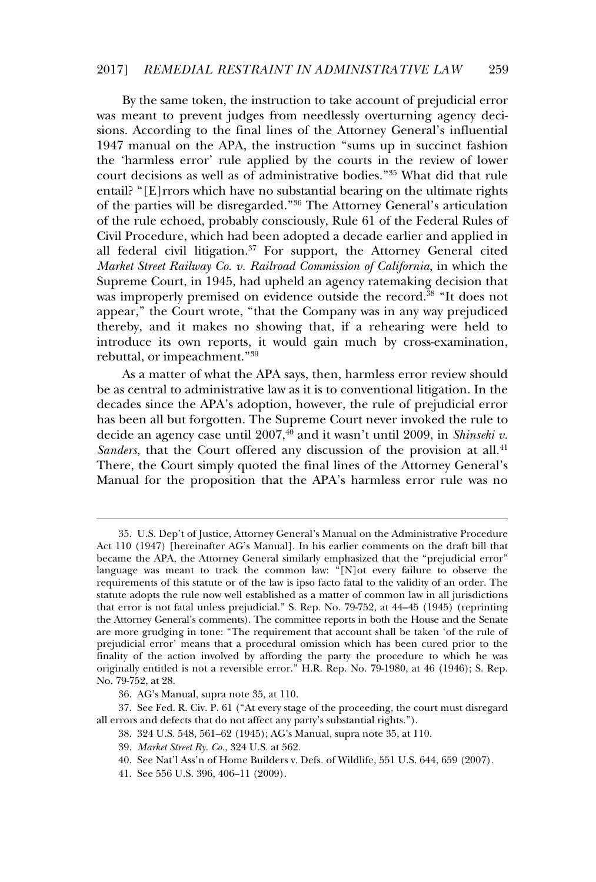By the same token, the instruction to take account of prejudicial error was meant to prevent judges from needlessly overturning agency decisions. According to the final lines of the Attorney General's influential 1947 manual on the APA, the instruction "sums up in succinct fashion the 'harmless error' rule applied by the courts in the review of lower court decisions as well as of administrative bodies."<sup>35</sup> What did that rule estart declisions as went as or daministance bodies. What and that rate<br>entail? "[E]rrors which have no substantial bearing on the ultimate rights of the parties will be disregarded."<sup>36</sup> The Attorney General's articulation of the rule echoed, probably consciously, Rule 61 of the Federal Rules of Civil Procedure, which had been adopted a decade earlier and applied in all federal civil litigation.<sup>37</sup> For support, the Attorney General cited *Market Street Railway Co. v. Railroad Commission of California*, in which the Supreme Court, in 1945, had upheld an agency ratemaking decision that supreme court, in re-to, had applied an agency ratemating decision that was improperly premised on evidence outside the record.<sup>38</sup> "It does not appear," the Court wrote, "that the Company was in any way prejudiced thereby, and it makes no showing that, if a rehearing were held to introduce its own reports, it would gain much by cross-examination, mercured its own reports,

As a matter of what the APA says, then, harmless error review should be as central to administrative law as it is to conventional litigation. In the decades since the APA's adoption, however, the rule of prejudicial error has been all but forgotten. The Supreme Court never invoked the rule to decide an agency case until 2007,<sup>40</sup> and it wasn't until 2009, in *Shinseki v. Sanders*, that the Court offered any discussion of the provision at all.<sup>41</sup> There, the Court simply quoted the final lines of the Attorney General's Manual for the proposition that the APA's harmless error rule was no

<sup>35.</sup> U.S. Dep't of Justice, Attorney General's Manual on the Administrative Procedure Act 110 (1947) [hereinafter AG's Manual]. In his earlier comments on the draft bill that became the APA, the Attorney General similarly emphasized that the "prejudicial error" language was meant to track the common law: "[N]ot every failure to observe the requirements of this statute or of the law is ipso facto fatal to the validity of an order. The statute adopts the rule now well established as a matter of common law in all jurisdictions that error is not fatal unless prejudicial." S. Rep. No. 79-752, at 44–45 (1945) (reprinting the Attorney General's comments). The committee reports in both the House and the Senate are more grudging in tone: "The requirement that account shall be taken 'of the rule of prejudicial error' means that a procedural omission which has been cured prior to the finality of the action involved by affording the party the procedure to which he was originally entitled is not a reversible error." H.R. Rep. No. 79-1980, at 46 (1946); S. Rep. No. 79-752, at 28.

<sup>36.</sup> AG's Manual, supra note 35, at 110.

<sup>37.</sup> See Fed. R. Civ. P. 61 ("At every stage of the proceeding, the court must disregard all errors and defects that do not affect any party's substantial rights.").

<sup>38. 324</sup> U.S. 548, 561–62 (1945); AG's Manual, supra note 35, at 110.

<sup>39.</sup> *Market Street Ry. Co.*, 324 U.S. at 562.

<sup>40.</sup> See Nat'l Ass'n of Home Builders v. Defs. of Wildlife, 551 U.S. 644, 659 (2007).

<sup>41.</sup> See 556 U.S. 396, 406–11 (2009).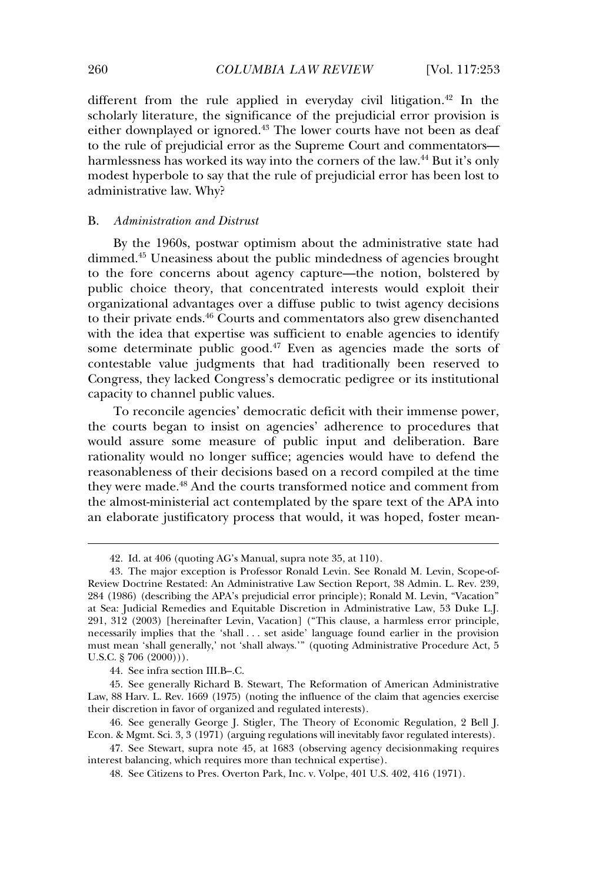different from the rule applied in everyday civil litigation.<sup>42</sup> In the scholarly literature, the significance of the prejudicial error provision is either downplayed or ignored.<sup>43</sup> The lower courts have not been as deaf to the rule of prejudicial error as the Supreme Court and commentators harmlessness has worked its way into the corners of the law.<sup>44</sup> But it's only mannessness has worked to say that the rule of prejudicial error has been lost to modest hyperbole to say that the rule of prejudicial error has been lost to administrative law. Why?

#### B.*Administration and Distrust*

By the 1960s, postwar optimism about the administrative state had  $\omega_j$  are 10000, postuar openness about the administrative state has dimmed.<sup>45</sup> Uneasiness about the public mindedness of agencies brought to the fore concerns about agency capture—the notion, bolstered by public choice theory, that concentrated interests would exploit their organizational advantages over a diffuse public to twist agency decisions to their private ends.<sup>46</sup> Courts and commentators also grew disenchanted with the idea that expertise was sufficient to enable agencies to identify some determinate public good. $47$  Even as agencies made the sorts of contestable value judgments that had traditionally been reserved to Congress, they lacked Congress's democratic pedigree or its institutional congress, and *accord congress* s

To reconcile agencies' democratic deficit with their immense power, the courts began to insist on agencies' adherence to procedures that would assure some measure of public input and deliberation. Bare rationality would no longer suffice; agencies would have to defend the reasonableness of their decisions based on a record compiled at the time they were made.<sup>48</sup> And the courts transformed notice and comment from the almost-ministerial act contemplated by the spare text of the APA into an elaborate justificatory process that would, it was hoped, foster mean-

44. See infra section III.B–.C.

45. See generally Richard B. Stewart, The Reformation of American Administrative Law, 88 Harv. L. Rev. 1669 (1975) (noting the influence of the claim that agencies exercise their discretion in favor of organized and regulated interests).

<sup>42.</sup> Id. at 406 (quoting AG's Manual, supra note 35, at 110).

<sup>43.</sup> The major exception is Professor Ronald Levin. See Ronald M. Levin, Scope-of-Review Doctrine Restated: An Administrative Law Section Report, 38 Admin. L. Rev. 239, 284 (1986) (describing the APA's prejudicial error principle); Ronald M. Levin, "Vacation" at Sea: Judicial Remedies and Equitable Discretion in Administrative Law, 53 Duke L.J. 291, 312 (2003) [hereinafter Levin, Vacation] ("This clause, a harmless error principle, necessarily implies that the 'shall . . . set aside' language found earlier in the provision must mean 'shall generally,' not 'shall always.'" (quoting Administrative Procedure Act, 5 U.S.C. § 706 (2000))).

<sup>46.</sup> See generally George J. Stigler, The Theory of Economic Regulation, 2 Bell J. Econ. & Mgmt. Sci. 3, 3 (1971) (arguing regulations will inevitably favor regulated interests).

<sup>47.</sup> See Stewart, supra note 45, at 1683 (observing agency decisionmaking requires interest balancing, which requires more than technical expertise).

<sup>48.</sup> See Citizens to Pres. Overton Park, Inc. v. Volpe, 401 U.S. 402, 416 (1971).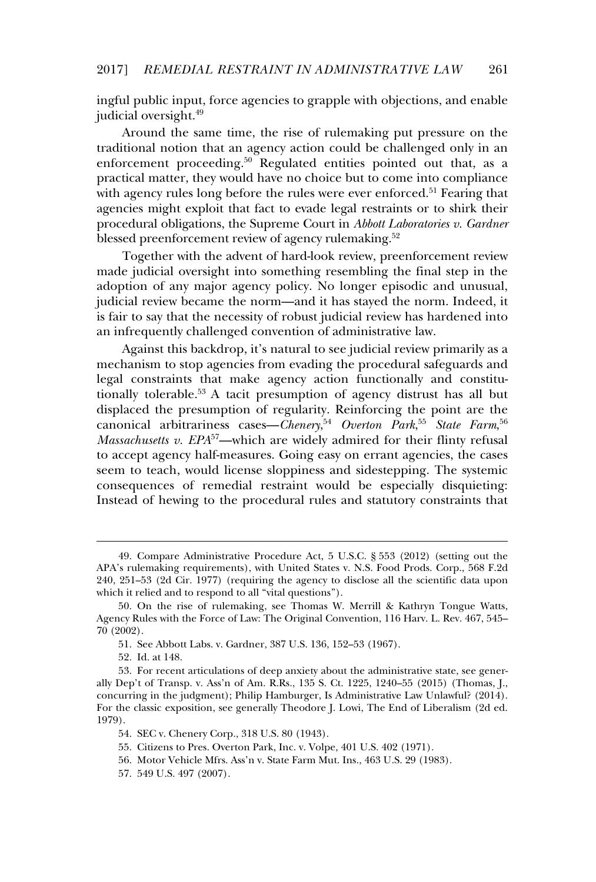ingful public input, force agencies to grapple with objections, and enable judicial oversight.<sup>49</sup>

Around the same time, the rise of rulemaking put pressure on the traditional notion that an agency action could be challenged only in an enforcement proceeding.<sup>50</sup> Regulated entities pointed out that, as a practical matter, they would have no choice but to come into compliance practical matter, they would have no enotee but to come med comphanice with agency rules long before the rules were ever enforced.<sup>51</sup> Fearing that agencies might exploit that fact to evade legal restraints or to shirk their procedural obligations, the Supreme Court in *Abbott Laboratories v. Gardner* blessed preenforcement review of agency rulemaking.<sup>52</sup>

Together with the advent of hard-look review, preenforcement review made judicial oversight into something resembling the final step in the adoption of any major agency policy. No longer episodic and unusual, judicial review became the norm—and it has stayed the norm. Indeed, it is fair to say that the necessity of robust judicial review has hardened into an infrequently challenged convention of administrative law.

Against this backdrop, it's natural to see judicial review primarily as a mechanism to stop agencies from evading the procedural safeguards and legal constraints that make agency action functionally and constitutionally tolerable.<sup>53</sup> A tacit presumption of agency distrust has all but displaced the presumption of regularity. Reinforcing the point are the canonical arbitrariness cases—*Chenery*, 54 *Overton Park*, 55 *State Farm*, 56 *Massachusetts v. EPA*<sup>57</sup>—which are widely admired for their flinty refusal to accept agency half-measures. Going easy on errant agencies, the cases seem to teach, would license sloppiness and sidestepping. The systemic consequences of remedial restraint would be especially disquieting: Instead of hewing to the procedural rules and statutory constraints that

<sup>49.</sup> Compare Administrative Procedure Act, 5 U.S.C. § 553 (2012) (setting out the APA's rulemaking requirements), with United States v. N.S. Food Prods. Corp., 568 F.2d 240, 251–53 (2d Cir. 1977) (requiring the agency to disclose all the scientific data upon which it relied and to respond to all "vital questions").

<sup>50.</sup> On the rise of rulemaking, see Thomas W. Merrill & Kathryn Tongue Watts, Agency Rules with the Force of Law: The Original Convention, 116 Harv. L. Rev. 467, 545–  $70$  (2002).

<sup>51.</sup> See Abbott Labs. v. Gardner, 387 U.S. 136, 152–53 (1967).

<sup>52.</sup> Id. at 148.

<sup>53.</sup> For recent articulations of deep anxiety about the administrative state, see generally Dep't of Transp. v. Ass'n of Am. R.Rs., 135 S. Ct. 1225, 1240–55 (2015) (Thomas, J., concurring in the judgment); Philip Hamburger, Is Administrative Law Unlawful? (2014). For the classic exposition, see generally Theodore J. Lowi, The End of Liberalism (2d ed. 1 or div<br>1979).

<sup>54.</sup> SEC v. Chenery Corp., 318 U.S. 80 (1943).

 $55.$  Citizens to Pres. Overton Park, Inc. v. Volpe,  $401$  U.S.  $402$  (1971).

<sup>56.</sup> Motor Vehicle Mfrs. Ass'n v. State Farm Mut. Ins., 463 U.S. 29 (1983).

<sup>57. 549</sup> U.S. 497 (2007).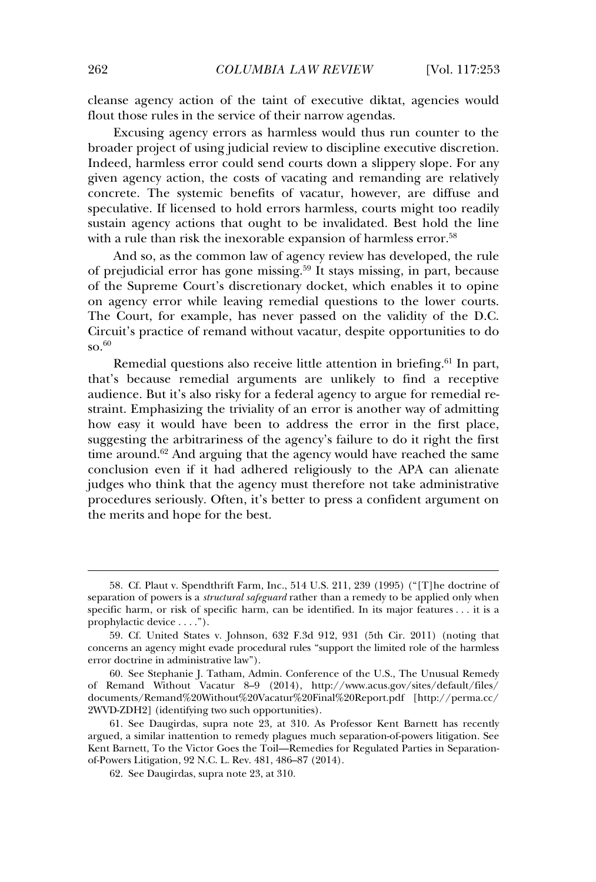cleanse agency action of the taint of executive diktat, agencies would flout those rules in the service of their narrow agendas.

Excusing agency errors as harmless would thus run counter to the broader project of using judicial review to discipline executive discretion. Indeed, harmless error could send courts down a slippery slope. For any given agency action, the costs of vacating and remanding are relatively given agency action, the costs of vacatur, and remaining are relatively<br>concrete. The systemic benefits of vacatur, however, are diffuse and speculative. If licensed to hold errors harmless, courts might too readily sustain agency actions that ought to be invalidated. Best hold the line with a rule than risk the inexorable expansion of harmless error.<sup>58</sup>

And so, as the common law of agency review has developed, the rule of prejudicial error has gone missing.<sup>59</sup> It stays missing, in part, because of the Supreme Court's discretionary docket, which enables it to opine on agency error while leaving remedial questions to the lower courts. The Court, for example, has never passed on the validity of the D.C. Circuit's practice of remand without vacatur, despite opportunities to do  $\mathrm{so.}^{60}$ 

Remedial questions also receive little attention in briefing.<sup>61</sup> In part, that's because remedial arguments are unlikely to find a receptive audience. But it's also risky for a federal agency to argue for remedial restraint. Emphasizing the triviality of an error is another way of admitting how easy it would have been to address the error in the first place, suggesting the arbitrariness of the agency's failure to do it right the first time around. $62$  And arguing that the agency would have reached the same conclusion even if it had adhered religiously to the APA can alienate  $\frac{1}{2}$  is the conclusion even in a natural different religiously to the  $\frac{1}{2}$  can alternate procedures seriously. Often, it's better to press a confident argument on the merits and hope for the best.

<sup>58.</sup> Cf. Plaut v. Spendthrift Farm, Inc., 514 U.S. 211, 239 (1995) ("[T]he doctrine of separation of powers is a *structural safeguard* rather than a remedy to be applied only when specific harm, or risk of specific harm, can be identified. In its major features . . . it is a prophylactic device . . . .").

<sup>59.</sup> Cf. United States v. Johnson, 632 F.3d 912, 931 (5th Cir. 2011) (noting that concerns an agency might evade procedural rules "support the limited role of the harmless error doctrine in administrative law").

<sup>60.</sup> See Stephanie J. Tatham, Admin. Conference of the U.S., The Unusual Remedy of Remand Without Vacatur 8–9 (2014), http://www.acus.gov/sites/default/files/ documents/Remand%20Without%20Vacatur%20Final%20Report.pdf [http://perma.cc/ 2WVD-ZDH2] (identifying two such opportunities).

<sup>61.</sup> See Daugirdas, supra note 23, at 310. As Professor Kent Barnett has recently argued, a similar inattention to remedy plagues much separation-of-powers litigation. See Kent Barnett, To the Victor Goes the Toil—Remedies for Regulated Parties in Separationof-Powers Litigation, 92 N.C. L. Rev. 481, 486–87 (2014).

<sup>62.</sup> See Daugirdas, supra note 23, at 310.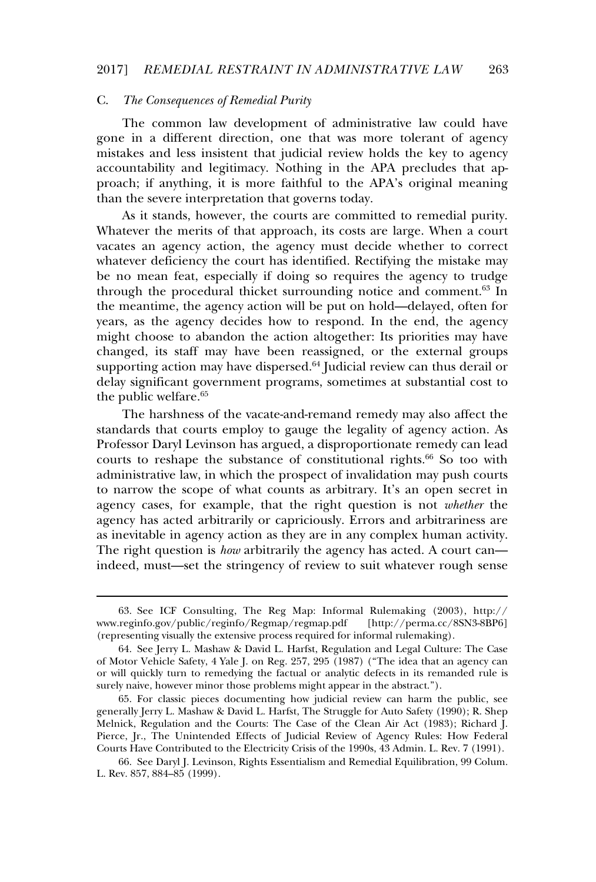### C. *The Consequences of Remedial Purity*

The common law development of administrative law could have gone in a different direction, one that was more tolerant of agency mistakes and less insistent that judicial review holds the key to agency accountability and legitimacy. Nothing in the APA precludes that approach; if anything, it is more faithful to the APA's original meaning than the severe interpretation that governs today.

As it stands, however, the courts are committed to remedial purity. Whatever the merits of that approach, its costs are large. When a court value of the merits of that approach, it's costs are large. When a court whatever deficiency the court has identified. Rectifying the mistake may be no mean feat, especially if doing so requires the agency to trudge through the procedural thicket surrounding notice and comment.<sup>63</sup> In the meantime, the agency action will be put on hold—delayed, often for years, as the agency decides how to respond. In the end, the agency might choose to abandon the action altogether: Its priorities may have changed, its staff may have been reassigned, or the external groups supporting action may have been reassigned, or are external groups delay significant government programs, sometimes at substantial cost to the public welfare.<sup>65</sup>

The harshness of the vacate-and-remand remedy may also affect the standards that courts employ to gauge the legality of agency action. As Professor Daryl Levinson has argued, a disproportionate remedy can lead courts to reshape the substance of constitutional rights.<sup>66</sup> So too with administrative law, in which the prospect of invalidation may push courts to narrow the scope of what counts as arbitrary. It's an open secret in agency cases, for example, that the right question is not *whether* the agency eases, for example, that the right question is not among the as inevitable in agency action as they are in any complex human activity. The right question is *how* arbitrarily the agency has acted. A court can indeed, must—set the stringency of review to suit whatever rough sense

<sup>63.</sup> See ICF Consulting, The Reg Map: Informal Rulemaking (2003), http:// www.reginfo.gov/public/reginfo/Regmap/regmap.pdf [http://perma.cc/8SN3-8BP6] (representing visually the extensive process required for informal rulemaking).

<sup>64.</sup> See Jerry L. Mashaw & David L. Harfst, Regulation and Legal Culture: The Case of Motor Vehicle Safety, 4 Yale J. on Reg. 257, 295 (1987) ("The idea that an agency can or will quickly turn to remedying the factual or analytic defects in its remanded rule is surely naive, however minor those problems might appear in the abstract.").

 $\overline{6}$   $\overline{6}$   $\overline{6}$   $\overline{7}$   $\overline{1}$  review can harm the public, see generally Jerry L. Mashaw & David L. Harfst, The Struggle for Auto Safety (1990): R. Shep Melnick, Regulation and the Courts: The Case of the Clean Air Act (1983); Richard J. Pierce, Jr., The Unintended Effects of Judicial Review of Agency Rules: How Federal Courts Have Contributed to the Electricity Crisis of the 1990s, 43 Admin. L. Rev. 7 (1991).

<sup>66.</sup> See Daryl J. Levinson, Rights Essentialism and Remedial Equilibration, 99 Colum. L. Rev. 857, 884–85 (1999).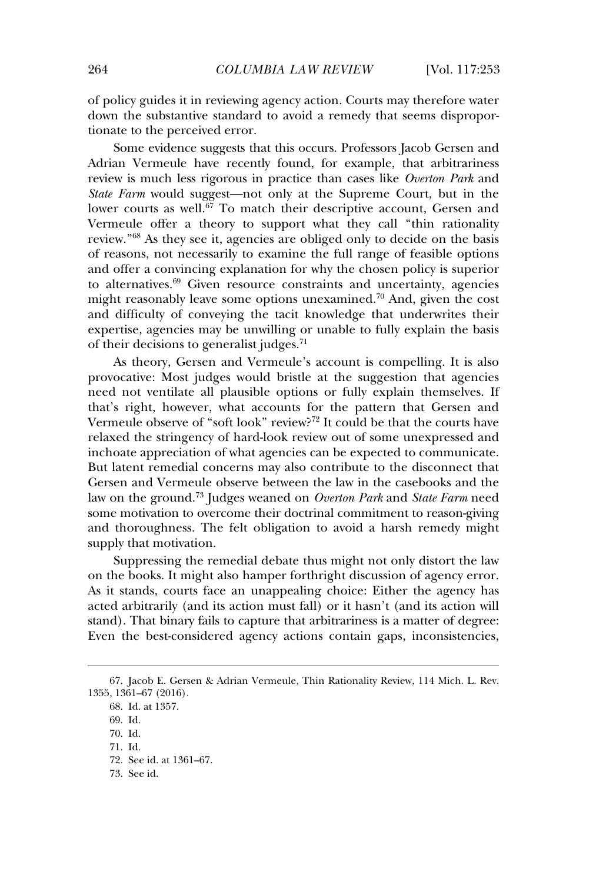of policy guides it in reviewing agency action. Courts may therefore water down the substantive standard to avoid a remedy that seems disproportionate to the perceived error.

Some evidence suggests that this occurs. Professors Jacob Gersen and Adrian Vermeule have recently found, for example, that arbitrariness review is much less rigorous in practice than cases like *Overton Park* and *State Farm* would suggest—not only at the Supreme Court, but in the lower courts as well.<sup>67</sup> To match their descriptive account, Gersen and Vermeule offer a theory to support what they call "thin rationality review.<sup>"68</sup> As they see it, agencies are obliged only to decide on the basis of reasons, not necessarily to examine the full range of feasible options and offer a convincing explanation for why the chosen policy is superior to alternatives. $69$  Given resource constraints and uncertainty, agencies might reasonably leave some options unexamined.<sup>70</sup> And, given the cost might reasonably leave some options unexamined.<sup>70</sup> And, given the cost and difficulty of conveying the tacit knowledge that underwrites their expertise, agencies may be unwilling or unable to fully explain the basis  $\epsilon$  apertise, agencies may be diffeomorphic of their decisions to generalist judges.<sup>71</sup>

As theory, Gersen and Vermeule's account is compelling. It is also provocative: Most judges would bristle at the suggestion that agencies need not ventilate all plausible options or fully explain themselves. If that's right, however, what accounts for the pattern that Gersen and Vermeule observe of "soft look" review?<sup>72</sup> It could be that the courts have relaxed the stringency of hard-look review out of some unexpressed and inchoate appreciation of what agencies can be expected to communicate. But latent remedial concerns may also contribute to the disconnect that Gersen and Vermeule observe between the law in the casebooks and the law on the ground.<sup>73</sup> Judges weaned on *Overton Park* and *State Farm* need some motivation to overcome their doctrinal commitment to reason-giving and thoroughness. The felt obligation to avoid a harsh remedy might supply that motivation.

 $\overline{\text{S} }$ uppressing the remedial debate thus might not only distort the law on the books. It might also hamper forthright discussion of agency error. As it stands, courts face an unappealing choice: Either the agency has acted arbitrarily (and its action must fall) or it hasn't (and its action will stand). That binary fails to capture that arbitrariness is a matter of degree: Even the best-considered agency actions contain gaps, inconsistencies,

<sup>67.</sup> Jacob E. Gersen & Adrian Vermeule, Thin Rationality Review, 114 Mich. L. Rev. 1355, 1361–67 (2016).

<sup>68.</sup> Id. at 1357.

<sup>69.</sup> Id.

<sup>70.</sup> Id.

<sup>71.</sup> Id.

<sup>72.</sup> See id. at 1361–67.

<sup>73.</sup> See id.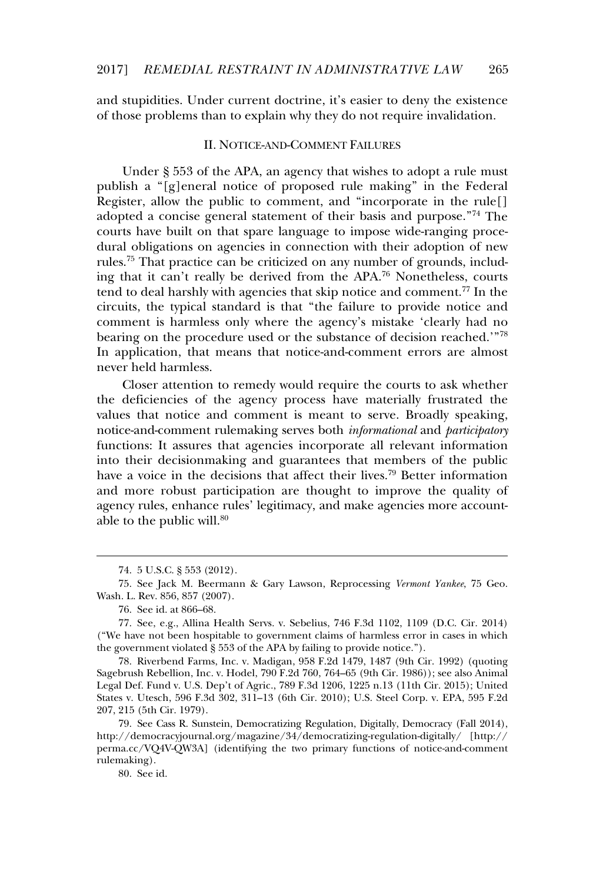and stupidities. Under current doctrine, it's easier to deny the existence of those problems than to explain why they do not require invalidation.

#### II. NOTICE-AND-COMMENT FAILURES

Under § 553 of the APA, an agency that wishes to adopt a rule must publish a "[g]eneral notice of proposed rule making" in the Federal Register, allow the public to comment, and "incorporate in the rule[] adopted a concise general statement of their basis and purpose."<sup>74</sup> The courts have built on that spare language to impose wide-ranging procedural obligations on agencies in connection with their adoption of new rules.<sup>75</sup> That practice can be criticized on any number of grounds, including that it can't really be derived from the APA.<sup>76</sup> Nonetheless, courts tend to deal harshly with agencies that skip notice and comment.<sup>77</sup> In the circuits, the typical standard is that "the failure to provide notice and comment is harmless only where the agency's mistake 'clearly had no bearing on the procedure used or the substance of decision reached.'"<sup>78</sup> In application, that means that notice-and-comment errors are almost m appneation, that<br>never held harmless.

Closer attention to remedy would require the courts to ask whether the deficiencies of the agency process have materially frustrated the values that notice and comment is meant to serve. Broadly speaking, notice-and-comment rulemaking serves both *informational* and *participatory* functions: It assures that agencies incorporate all relevant information into their decisionmaking and guarantees that members of the public have a voice in the decisions that affect their lives.<sup>79</sup> Better information and more robust participation are thought to improve the quality of agency rules, enhance rules' legitimacy, and make agencies more accountagenc<sub>1</sub> rates, emance 1

78. Riverbend Farms, Inc. v. Madigan, 958 F.2d 1479, 1487 (9th Cir. 1992) (quoting Sagebrush Rebellion, Inc. v. Hodel, 790 F.2d 760, 764–65 (9th Cir. 1986)); see also Animal Legal Def. Fund v. U.S. Dep't of Agric., 789 F.3d 1206, 1225 n.13 (11th Cir. 2015); United States v. Utesch, 596 F.3d 302, 311–13 (6th Cir. 2010); U.S. Steel Corp. v. EPA, 595 F.2d 207, 215 (5th Cir. 1979).

80. See id.

<sup>74. 5</sup> U.S.C. § 553 (2012).

<sup>75.</sup> See Jack M. Beermann & Gary Lawson, Reprocessing *Vermont Yankee*, 75 Geo. Wash. L. Rev. 856, 857 (2007).

<sup>76.</sup> See id. at 866–68.

<sup>77.</sup> See, e.g., Allina Health Servs. v. Sebelius, 746 F.3d 1102, 1109 (D.C. Cir. 2014) ("We have not been hospitable to government claims of harmless error in cases in which the government violated § 553 of the APA by failing to provide notice.").

<sup>79.</sup> See Cass R. Sunstein, Democratizing Regulation, Digitally, Democracy (Fall 2014), http://democracyjournal.org/magazine/34/democratizing-regulation-digitally/ [http:// perma.cc/VQ4V-QW3A] (identifying the two primary functions of notice-and-comment permate, vs<br>rulemaking).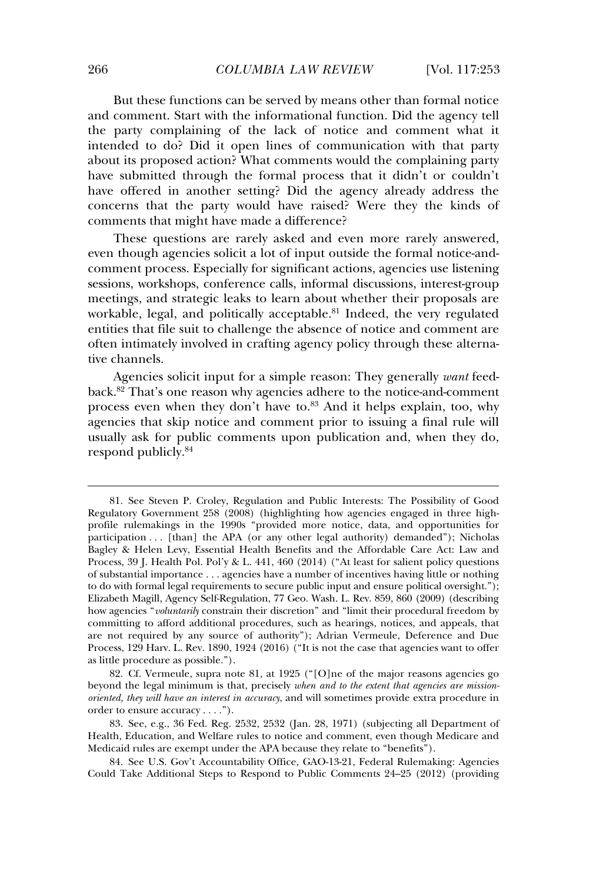But these functions can be served by means other than formal notice and comment. Start with the informational function. Did the agency tell the party complaining of the lack of notice and comment what it intended to do? Did it open lines of communication with that party about its proposed action? What comments would the complaining party have submitted through the formal process that it didn't or couldn't have submitted in older the formal process that it did to it couldn't concerns that the party would have raised? Were they the kinds of comments that might have made a difference?

These questions are rarely asked and even more rarely answered, even though agencies solicit a lot of input outside the formal notice-andcomment process. Especially for significant actions, agencies use listening sessions, workshops, conference calls, informal discussions, interest-group meetings, and strategic leaks to learn about whether their proposals are meetings, and strategic really to rearn about meeting their proposals are<br>workable, legal, and politically acceptable.<sup>81</sup> Indeed, the very regulated entities that file suit to challenge the absence of notice and comment are often intimately involved in crafting agency policy through these alternative channels.

Agencies solicit input for a simple reason: They generally *want* feedback.<sup>82</sup> That's one reason why agencies adhere to the notice-and-comment process even when they don't have to.<sup>83</sup> And it helps explain, too, why agencies that skip notice and comment prior to issuing a final rule will usually ask for public comments upon publication and, when they do, respond publicly.<sup>84</sup>

<sup>81.</sup> See Steven P. Croley, Regulation and Public Interests: The Possibility of Good Regulatory Government 258 (2008) (highlighting how agencies engaged in three highprofile rulemakings in the 1990s "provided more notice, data, and opportunities for prome running of the 1990s provided more notice, data, and opportunities for participation ... [than] the APA (or any other legal authority) demanded"); Nicholas Bagley & Helen Levy, Essential Health Benefits and the Affordable Care Act: Law and Process, 39 J. Health Pol. Pol'y & L. 441, 460 (2014) ("At least for salient policy questions of substantial importance  $\dots$  agencies have a number of incentives having little or nothing to do with formal legal requirements to secure public input and ensure political oversight."); Elizabeth Magill, Agency Self-Regulation, 77 Geo. Wash. L. Rev. 859, 860 (2009) (describing how agencies "*voluntarily* constrain their discretion" and "limit their procedural freedom by committing to afford additional procedures, such as hearings, notices, and appeals, that are not required by any source of authority"); Adrian Vermeule, Deference and Due Process, 129 Harv. L. Rev. 1890, 1924 (2016) ("It is not the case that agencies want to offer as little procedure as possible.").

<sup>82.</sup> Cf. Vermeule, supra note 81, at 1925 ("[O]ne of the major reasons agencies go beyond the legal minimum is that, precisely *when and to the extent that agencies are missionoriented, they will have an interest in accuracy*, and will sometimes provide extra procedure in order to ensure accuracy . . . .").

<sup>83.</sup> See, e.g., 36 Fed. Reg. 2532, 2532 (Jan. 28, 1971) (subjecting all Department of Health, Education, and Welfare rules to notice and comment, even though Medicare and Medicaid rules are exempt under the APA because they relate to "benefits").

<sup>84.</sup> See U.S. Gov't Accountability Office, GAO-13-21, Federal Rulemaking: Agencies Could Take Additional Steps to Respond to Public Comments 24–25 (2012) (providing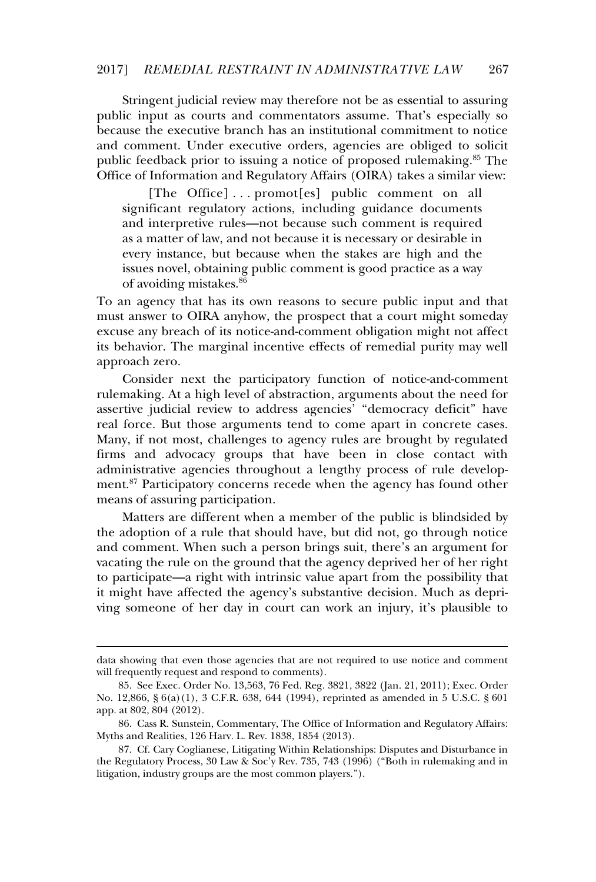Stringent judicial review may therefore not be as essential to assuring public input as courts and commentators assume. That's especially so because the executive branch has an institutional commitment to notice and comment. Under executive orders, agencies are obliged to solicit public feedback prior to issuing a notice of proposed rulemaking.<sup>85</sup> The Office of Information and Regulatory Affairs (OIRA) takes a similar view:

[The Office] . . . promot[es] public comment on all significant regulatory actions, including guidance documents and interpretive rules—not because such comment is required and merpreate rates and seculate such comment is required<br>as a matter of law, and not because it is necessary or desirable in every instance, but because when the stakes are high and the issues novel, obtaining public comment is good practice as a way of avoiding mistakes.<sup>86</sup>

To an agency that has its own reasons to secure public input and that must answer to OIRA anyhow, the prospect that a court might someday excuse any breach of its notice-and-comment obligation might not affect its behavior. The marginal incentive effects of remedial purity may well approach zero.

Consider next the participatory function of notice-and-comment rulemaking. At a high level of abstraction, arguments about the need for assertive judicial review to address agencies' "democracy deficit" have real force. But those arguments tend to come apart in concrete cases. Many, if not most, challenges to agency rules are brought by regulated firms and advocacy groups that have been in close contact with administrative agencies throughout a lengthy process of rule development.<sup>87</sup> Participatory concerns recede when the agency has found other ment. Tardelpatory concerns is

Matters are different when a member of the public is blindsided by the adoption of a rule that should have, but did not, go through notice and comment. When such a person brings suit, there's an argument for vacating the rule on the ground that the agency deprived her of her right to participate—a right with intrinsic value apart from the possibility that it might have affected the agency's substantive decision. Much as depriving someone of her day in court can work an injury, it's plausible to

data showing that even those agencies that are not required to use notice and comment will frequently request and respond to comments).

<sup>85.</sup> See Exec. Order No. 13,563, 76 Fed. Reg. 3821, 3822 (Jan. 21, 2011); Exec. Order No. 12,866, § 6(a)(1), 3 C.F.R. 638, 644 (1994), reprinted as amended in 5 U.S.C. § 601 app. at 802, 804 (2012).

<sup>86.</sup> Cass R. Sunstein, Commentary, The Office of Information and Regulatory Affairs: Myths and Realities, 126 Harv. L. Rev. 1838, 1854 (2013).

<sup>87.</sup> Cf. Cary Coglianese, Litigating Within Relationships: Disputes and Disturbance in the Regulatory Process, 30 Law & Soc'y Rev. 735, 743 (1996) ("Both in rulemaking and in litigation, industry groups are the most common players.").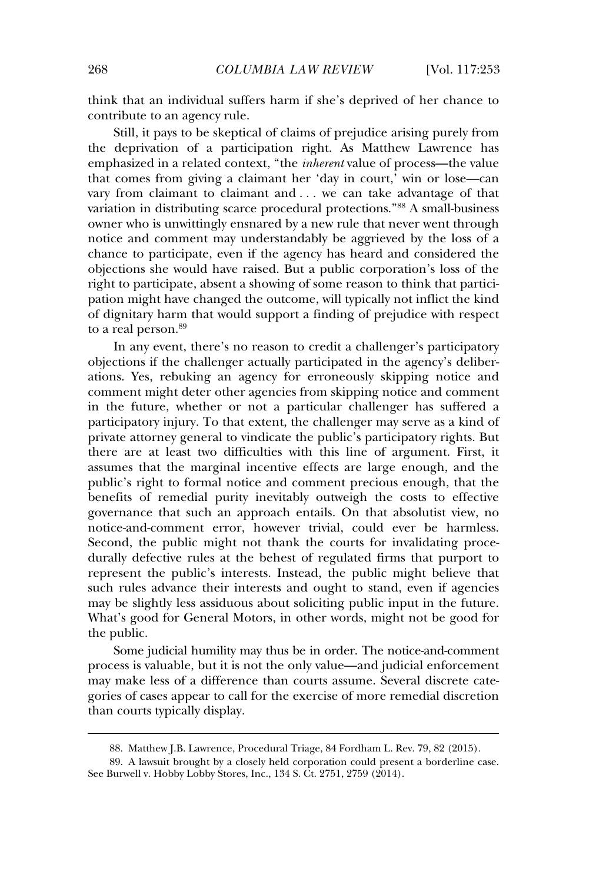think that an individual suffers harm if she's deprived of her chance to contribute to an agency rule.

Still, it pays to be skeptical of claims of prejudice arising purely from the deprivation of a participation right. As Matthew Lawrence has emphasized in a related context, "the *inherent* value of process—the value that comes from giving a claimant her 'day in court,' win or lose—can vary from claimant to claimant and . . . we can take advantage of that variation in distributing scarce procedural protections.<sup>"88</sup> A small-business owner who is unwittingly ensnared by a new rule that never went through notice and comment may understandably be aggrieved by the loss of a chance and comment may dindersum<br>chance to participate, even if the agency has heard and considered the objections she would have raised. But a public corporation's loss of the right to participate, absent a showing of some reason to think that participation might have changed the outcome, will typically not inflict the kind of dignitary harm that would support a finding of prejudice with respect  $\frac{1}{100}$  to a real person. $89$ 

In any event, there's no reason to credit a challenger's participatory objections if the challenger actually participated in the agency's deliberations. Yes, rebuking an agency for erroneously skipping notice and comment might deter other agencies from skipping notice and comment in the future, whether or not a particular challenger has suffered a participatory injury. To that extent, the challenger may serve as a kind of participatory injury. To that extent, the enancinger may serve as a kind of<br>private attorney general to vindicate the public's participatory rights. But there are at least two difficulties with this line of argument. First, it assumes that the marginal incentive effects are large enough, and the public's right to formal notice and comment precious enough, that the benefits of remedial purity inevitably outweigh the costs to effective governance that such an approach entails. On that absolutist view, no notice-and-comment error, however trivial, could ever be harmless. Second, the public might not thank the courts for invalidating procedurally defective rules at the behest of regulated firms that purport to represent the public's interests. Instead, the public might believe that such rules advance their interests and ought to stand, even if agencies may be slightly less assiduous about soliciting public input in the future. What's good for General Motors, in other words, might not be good for the public.

Some judicial humility may thus be in order. The notice-and-comment process is valuable, but it is not the only value—and judicial enforcement may make less of a difference than courts assume. Several discrete categories of cases appear to call for the exercise of more remedial discretion gones of eases appear to eal.<br>than courts typically display.

<sup>88.</sup> Matthew J.B. Lawrence, Procedural Triage, 84 Fordham L. Rev. 79, 82 (2015).

<sup>89.</sup> A lawsuit brought by a closely held corporation could present a borderline case. See Burwell v. Hobby Lobby Stores, Inc., 134 S. Ct. 2751, 2759 (2014).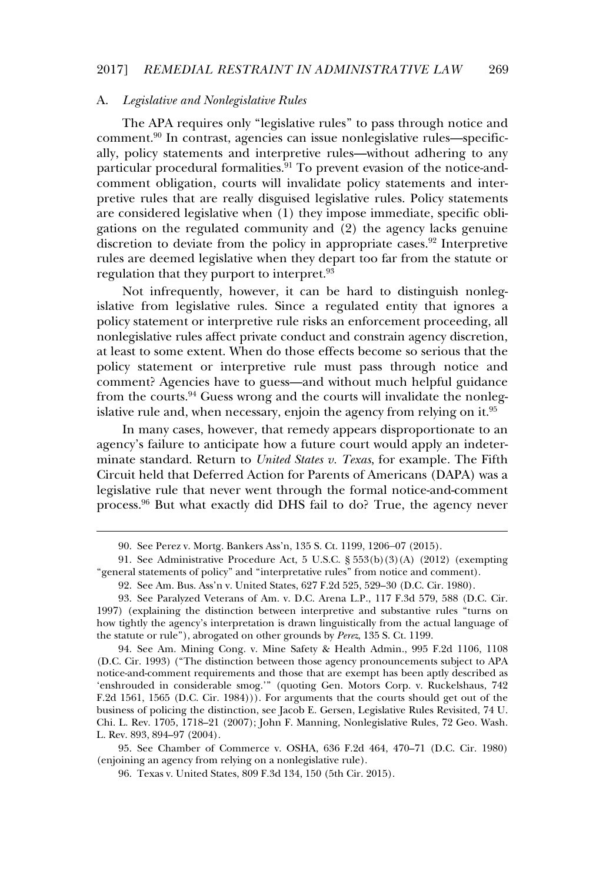### A. *Legislative and Nonlegislative Rules*

The APA requires only "legislative rules" to pass through notice and comment.<sup>90</sup> In contrast, agencies can issue nonlegislative rules—specifically, policy statements and interpretive rules—without adhering to any particular procedural formalities.<sup>91</sup> To prevent evasion of the notice-andcomment obligation, courts will invalidate policy statements and interpretive rules that are really disguised legislative rules. Policy statements are considered legislative when (1) they impose immediate, specific obligations on the regulated community and  $(2)$  the agency lacks genuine discretion to deviate from the policy in appropriate cases.<sup>92</sup> Interpretive rules are deemed legislative when they depart too far from the statute or regulation that they purport to interpret.<sup>93</sup>

Not infrequently, however, it can be hard to distinguish nonlegislative from legislative rules. Since a regulated entity that ignores a policy statement or interpretive rule risks an enforcement proceeding, all pone, statement of meep cure rule risks an emorement proceeding, an implementation and constrain agency discretion. at least to some extent. When do those effects become so serious that the policy statement or interpretive rule must pass through notice and comment? Agencies have to guess—and without much helpful guidance from the courts.<sup>94</sup> Guess wrong and the courts will invalidate the nonlegislative rule and, when necessary, enjoin the agency from relying on it.<sup>95</sup> islative rule and, when necessary, enjoin the agency from relying on it.<sup>95</sup>

In many cases, however, that remedy appears disproportionate to an agency's failure to anticipate how a future court would apply an indeterminate standard. Return to *United States v. Texas*, for example. The Fifth Circuit held that Deferred Action for Parents of Americans (DAPA) was a legislative rule that never went through the formal notice-and-comment process.<sup>96</sup> But what exactly did DHS fail to do? True, the agency never

<sup>90.</sup> See Perez v. Mortg. Bankers Ass'n, 135 S. Ct. 1199, 1206–07 (2015).

<sup>91.</sup> See Administrative Procedure Act, 5 U.S.C. § 553(b)(3)(A) (2012) (exempting "general statements of policy" and "interpretative rules" from notice and comment).

<sup>92.</sup> See Am. Bus. Ass'n v. United States, 627 F.2d 525, 529–30 (D.C. Cir. 1980).

<sup>93.</sup> See Paralyzed Veterans of Am. v. D.C. Arena L.P., 117 F.3d 579, 588 (D.C. Cir. 1997) (explaining the distinction between interpretive and substantive rules "turns on how tightly the agency's interpretation is drawn linguistically from the actual language of the statute or rule"), abrogated on other grounds by *Perez*, 135 S. Ct. 1199.

<sup>94.</sup> See Am. Mining Cong. v. Mine Safety & Health Admin., 995 F.2d 1106, 1108 (D.C. Cir. 1993) ("The distinction between those agency pronouncements subject to APA notice-and-comment requirements and those that are exempt has been aptly described as 'enshrouded in considerable smog.'" (quoting Gen. Motors Corp. v. Ruckelshaus, 742 F.2d 1561, 1565 (D.C. Cir. 1984))). For arguments that the courts should get out of the business of policing the distinction, see Jacob E. Gersen, Legislative Rules Revisited, 74 U. Chi. L. Rev. 1705, 1718–21 (2007); John F. Manning, Nonlegislative Rules, 72 Geo. Wash. L. Rev. 893, 894–97 (2004).

<sup>95.</sup> See Chamber of Commerce v. OSHA, 636 F.2d 464, 470–71 (D.C. Cir. 1980) (enjoining an agency from relying on a nonlegislative rule).

<sup>96.</sup> Texas v. United States, 809 F.3d 134, 150 (5th Cir. 2015).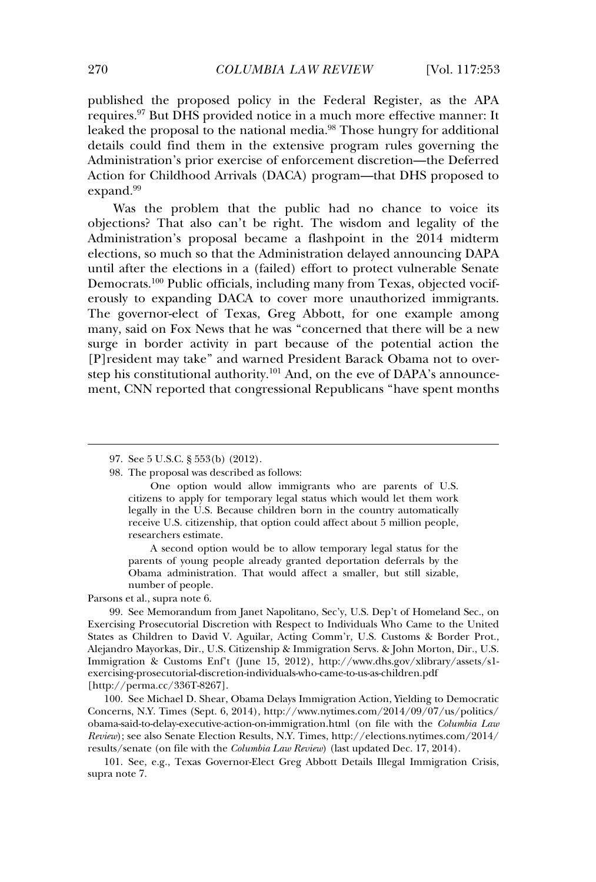published the proposed policy in the Federal Register, as the APA passistication of proposed policy in the Teachar Register, as the THTT<br>requires.<sup>97</sup> But DHS provided notice in a much more effective manner: It leaked the proposal to the national media.<sup>98</sup> Those hungry for additional details could find them in the extensive program rules governing the Administration's prior exercise of enforcement discretion—the Deferred Action for Childhood Arrivals (DACA) program—that DHS proposed to expand.<sup>99</sup>

Was the problem that the public had no chance to voice its objections? That also can't be right. The wisdom and legality of the Administration's proposal became a flashpoint in the 2014 midterm elections, so much so that the Administration delayed announcing DAPA until after the elections in a (failed) effort to protect vulnerable Senate Democrats.<sup>100</sup> Public officials, including many from Texas, objected vociferously to expanding DACA to cover more unauthorized immigrants. The governor-elect of Texas, Greg Abbott, for one example among many, said on Fox News that he was "concerned that there will be a new surge in border activity in part because of the potential action the Firesident may take" and warned President Barack Obama not to overstep his constitutional authority.<sup>101</sup> And, on the eve of DAPA's announcement. CNN reported that congressional Republicans "have spent months"

A second option would be to allow temporary legal status for the parents of young people already granted deportation deferrals by the Obama administration. That would affect a smaller, but still sizable, number of people.

Parsons et al., supra note 6.

99. See Memorandum from Janet Napolitano, Sec'y, U.S. Dep't of Homeland Sec., on Exercising Prosecutorial Discretion with Respect to Individuals Who Came to the United States as Children to David V. Aguilar, Acting Comm'r, U.S. Customs & Border Prot., Alejandro Mayorkas, Dir., U.S. Citizenship & Immigration Servs. & John Morton, Dir., U.S. Immigration & Customs Enf't (June 15, 2012), http://www.dhs.gov/xlibrary/assets/s1 exercising-prosecutorial-discretion-individuals-who-came-to-us-as-children.pdf [http://perma.cc/336T-8267].

100. See Michael D. Shear, Obama Delays Immigration Action, Yielding to Democratic Concerns, N.Y. Times (Sept. 6, 2014), http://www.nytimes.com/2014/09/07/us/politics/ obama-said-to-delay-executive-action-on-immigration.html (on file with the *Columbia Law Review*); see also Senate Election Results, N.Y. Times, http://elections.nytimes.com/2014/ results/senate (on file with the *Columbia Law Review*) (last updated Dec. 17, 2014).

101. See, e.g., Texas Governor-Elect Greg Abbott Details Illegal Immigration Crisis, supra note 7.

<sup>97.</sup> See 5 U.S.C. § 553(b) (2012).

<sup>98.</sup> The proposal was described as follows:

One option would allow immigrants who are parents of U.S. citizens to apply for temporary legal status which would let them work legally in the U.S. Because children born in the country automatically regary in the U.S. Because emitted from in the country automated by receive U.S. citizenship, that option could affect about 5 million people. researchers estimate.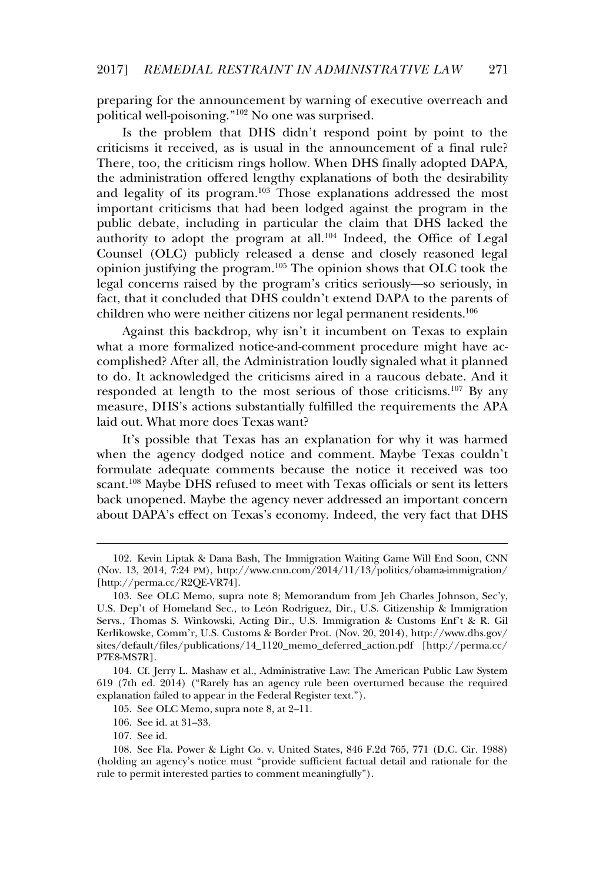preparing for the announcement by warning of executive overreach and preparing for the amodificant by mariling of spokes.

Is the problem that DHS didn't respond point by point to the criticisms it received, as is usual in the announcement of a final rule? There, too, the criticism rings hollow. When DHS finally adopted DAPA, the administration offered lengthy explanations of both the desirability and legality of its program.<sup>103</sup> Those explanations addressed the most important criticisms that had been lodged against the program in the public debate, including in particular the claim that DHS lacked the passive dessate, including in particular the claim that *DTS* memoral and authority to adopt the program at all.<sup>104</sup> Indeed, the Office of Legal Counsel (OLC) publicly released a dense and closely reasoned legal opinion justifying the program.<sup>105</sup> The opinion shows that OLC took the legal concerns raised by the program's critics seriously—so seriously, in fact, that it concluded that DHS couldn't extend DAPA to the parents of children who were neither citizens nor legal permanent residents.<sup>106</sup>

Against this backdrop, why isn't it incumbent on Texas to explain what a more formalized notice-and-comment procedure might have accomplished? After all, the Administration loudly signaled what it planned to do. It acknowledged the criticisms aired in a raucous debate. And it responded at length to the most serious of those criticisms.<sup>107</sup> By any measure, DHS's actions substantially fulfilled the requirements the APA laid out. What more does Texas want?

It's possible that Texas has an explanation for why it was harmed when the agency dodged notice and comment. Maybe Texas couldn't formulate adequate comments because the notice it received was too scant.<sup>108</sup> Maybe DHS refused to meet with Texas officials or sent its letters back unopened. Maybe the agency never addressed an important concern<br>back unopened. Maybe the agency never addressed an important concern about DAPA's effect on Texas's economy. Indeed, the very fact that DHS

105. See OLC Memo, supra note 8, at 2–11.

107. See id.

<sup>102.</sup> Kevin Liptak & Dana Bash, The Immigration Waiting Game Will End Soon, CNN (Nov. 13, 2014, 7:24 PM), http://www.cnn.com/2014/11/13/politics/obama-immigration/  $[http://perma.c/R2QE-VR74]$ .

<sup>103.</sup> See OLC Memo, supra note 8; Memorandum from Jeh Charles Johnson, Sec'y, U.S. Dep't of Homeland Sec., to León Rodriguez, Dir., U.S. Citizenship & Immigration Servs., Thomas S. Winkowski, Acting Dir., U.S. Immigration & Customs Enf't & R. Gil Kerlikowske, Comm'r, U.S. Customs & Border Prot. (Nov. 20, 2014), http://www.dhs.gov/ sites/default/files/publications/14\_1120\_memo\_deferred\_action.pdf [http://perma.cc/ P7E8-MS7R].

<sup>104.</sup> Cf. Jerry L. Mashaw et al., Administrative Law: The American Public Law System 619 (7th ed. 2014) ("Rarely has an agency rule been overturned because the required explanation failed to appear in the Federal Register text.").

<sup>106.</sup> See id. at 31–33.

<sup>108.</sup> See Fla. Power & Light Co. v. United States, 846 F.2d 765, 771 (D.C. Cir. 1988) (holding an agency's notice must "provide sufficient factual detail and rationale for the rule to permit interested parties to comment meaningfully").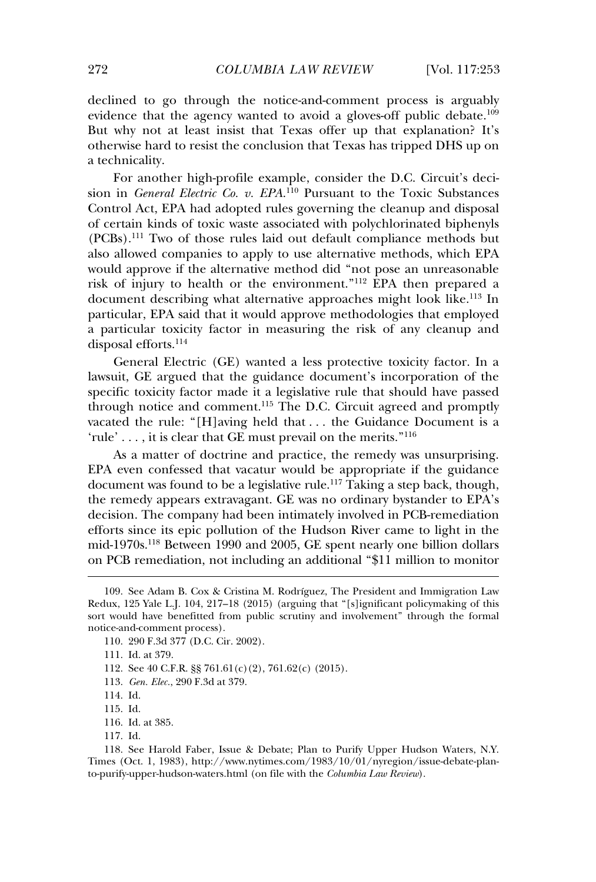declined to go through the notice-and-comment process is arguably evidence that the agency wanted to avoid a gloves-off public debate.<sup>109</sup> evidence that the agency wanted to avoid a gloves-off public debate.<sup>109</sup> But why not at least insist that Texas offer up that explanation? It's otherwise hard to resist the conclusion that Texas has tripped DHS up on a technicality.

For another high-profile example, consider the D.C. Circuit's decision in *General Electric Co. v. EPA*. 110 Pursuant to the Toxic Substances Control Act, EPA had adopted rules governing the cleanup and disposal of certain kinds of toxic waste associated with polychlorinated biphenyls (PCBs).<sup>111</sup> Two of those rules laid out default compliance methods but also allowed companies to apply to use alternative methods, which EPA would approve if the alternative method did "not pose an unreasonable risk of injury to health or the environment."<sup>112</sup> EPA then prepared a document describing what alternative approaches might look like.<sup>113</sup> In particular, EPA said that it would approve methodologies that employed a particular toxicity factor in measuring the risk of any cleanup and disposal efforts.<sup>114</sup>

General Electric (GE) wanted a less protective toxicity factor. In a lawsuit, GE argued that the guidance document's incorporation of the specific toxicity factor made it a legislative rule that should have passed through notice and comment.<sup>115</sup> The D.C. Circuit agreed and promptly vacated the rule: "[H]aving held that . . . the Guidance Document is a  $r$ ule' . . . . it is clear that GE must prevail on the merits."<sup>116</sup>

As a matter of doctrine and practice, the remedy was unsurprising. EPA even confessed that vacatur would be appropriate if the guidance document was found to be a legislative rule.<sup>117</sup> Taking a step back, though, the remedy appears extravagant. GE was no ordinary bystander to EPA's decision. The company had been intimately involved in PCB-remediation efforts since its epic pollution of the Hudson River came to light in the mid-1970s.<sup>118</sup> Between 1990 and 2005, GE spent nearly one billion dollars on PCB remediation, not including an additional "\$11 million to monitor

110. 290 F.3d 377 (D.C. Cir. 2002).

111. Id. at 379.

112. See 40 C.F.R.  $$$   $$$  761.61(c)(2), 761.62(c) (2015).

- 113. *Gen. Elec.*, 290 F.3d at 379.
- 114. Id.

115. Id.

- 116. Id. at 385.
- 117. Id.

<sup>109.</sup> See Adam B. Cox & Cristina M. Rodríguez, The President and Immigration Law Redux, 125 Yale L.J. 104, 217–18 (2015) (arguing that "[s]ignificant policymaking of this sort would have benefitted from public scrutiny and involvement" through the formal notice-and-comment process).

<sup>118.</sup> See Harold Faber, Issue & Debate; Plan to Purify Upper Hudson Waters, N.Y. Times (Oct. 1, 1983), http://www.nytimes.com/1983/10/01/nyregion/issue-debate-planto-purify-upper-hudson-waters.html (on file with the *Columbia Law Review*).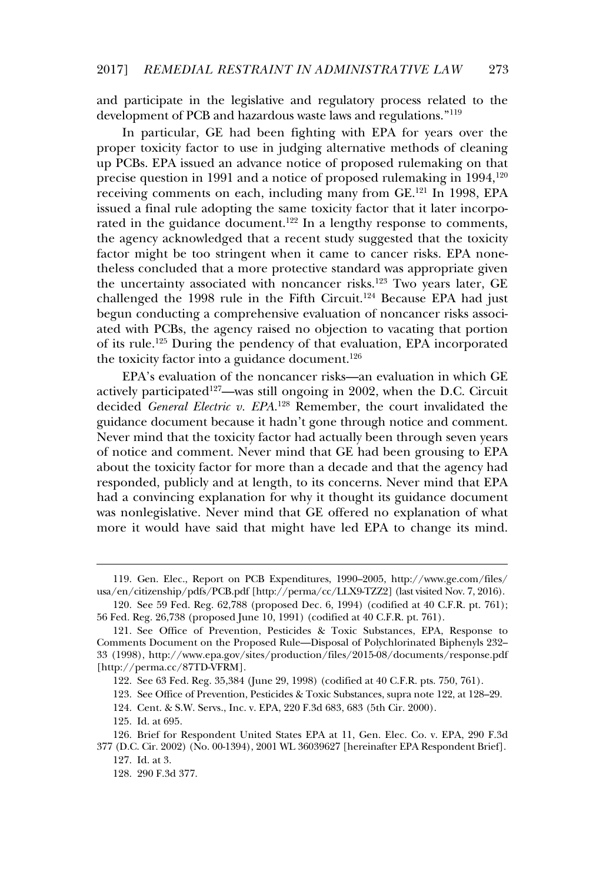and participate in the legislative and regulatory process related to the development of PCB and hazardous waste laws and regulations."<sup>119</sup>

In particular, GE had been fighting with EPA for years over the proper toxicity factor to use in judging alternative methods of cleaning proper toxieny factor to use in judging and matter includes or cleaning<br>up PCBs. EPA issued an advance notice of proposed rulemaking on that precise question in 1991 and a notice of proposed rulemaking on that<br>precise question in 1991 and a notice of proposed rulemaking in 1994.<sup>120</sup> precise question in 1881 and a notice of proposed ratemating in 1881;<br>receiving comments on each, including many from GE.<sup>121</sup> In 1998, EPA issued a final rule adopting the same toxicity factor that it later incorporated in the guidance document.<sup>122</sup> In a lengthy response to comments, the agency acknowledged that a recent study suggested that the toxicity factor might be too stringent when it came to cancer risks. EPA nonetheless concluded that a more protective standard was appropriate given the uncertainty associated with noncancer risks.<sup>123</sup> Two years later, GE challenged the 1998 rule in the Fifth Circuit.<sup>124</sup> Because EPA had just begun conducting a comprehensive evaluation of noncancer risks associated with PCBs, the agency raised no objection to vacating that portion of its rule.<sup>125</sup> During the pendency of that evaluation, EPA incorporated the toxicity factor into a guidance document.<sup>126</sup>

EPA's evaluation of the noncancer risks—an evaluation in which GE actively participated<sup>127</sup>—was still ongoing in 2002, when the D.C. Circuit decided *General Electric v. EPA*. 128 Remember, the court invalidated the guidance document because it hadn't gone through notice and comment. Never mind that the toxicity factor had actually been through seven years of notice and comment. Never mind that GE had been grousing to EPA about the toxicity factor for more than a decade and that the agency had responded, publicly and at length, to its concerns. Never mind that EPA had a convincing explanation for why it thought its guidance document mas a convincing explanation for why it along it as gaidance document was nonlegislative. Never mind that GE offered no explanation of what mas nonegastative. Hever him a that of one red no explanation of what more it would have said that might have led EPA to change its mind.

<sup>119.</sup> Gen. Elec., Report on PCB Expenditures, 1990–2005, http://www.ge.com/files/ usa/en/citizenship/pdfs/PCB.pdf [http://perma/cc/LLX9-TZZ2] (last visited Nov. 7, 2016).

<sup>120.</sup> See 59 Fed. Reg. 62,788 (proposed Dec. 6, 1994) (codified at 40 C.F.R. pt. 761); 56 Fed. Reg. 26,738 (proposed June 10, 1991) (codified at 40 C.F.R. pt. 761).

<sup>121.</sup> See Office of Prevention, Pesticides & Toxic Substances, EPA, Response to Comments Document on the Proposed Rule—Disposal of Polychlorinated Biphenyls 232– 33 (1998), http://www.epa.gov/sites/production/files/2015-08/documents/response.pdf [http://perma.cc/87TD-VFRM].

<sup>122.</sup> See 63 Fed. Reg. 35,384 (June 29, 1998) (codified at 40 C.F.R. pts. 750, 761).

<sup>123.</sup> See Office of Prevention, Pesticides & Toxic Substances, supra note 122, at 128–29.

<sup>124.</sup> Cent. & S.W. Servs., Inc. v. EPA, 220 F.3d 683, 683 (5th Cir. 2000).

<sup>125.</sup> Id. at 695.

<sup>126.</sup> Brief for Respondent United States EPA at 11, Gen. Elec. Co. v. EPA, 290 F.3d 377 (D.C. Cir. 2002) (No. 00-1394), 2001 WL 36039627 [hereinafter EPA Respondent Brief].

<sup>127.</sup> Id. at 3.

<sup>128. 290</sup> F.3d 377.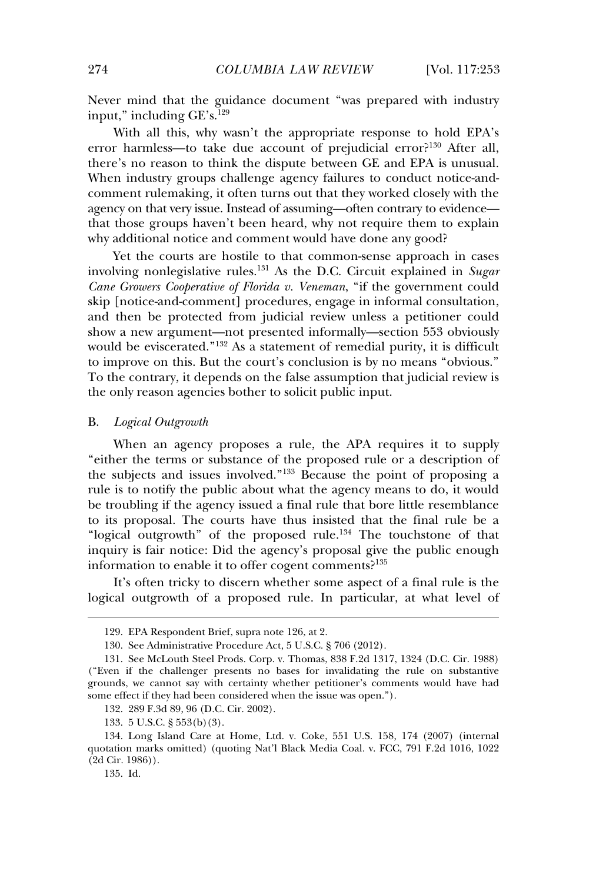Never mind that the guidance document "was prepared with industry input," including GE's.<sup>129</sup>

With all this, why wasn't the appropriate response to hold EPA's error harmless—to take due account of prejudicial error?<sup>130</sup> After all, there's no reason to think the dispute between GE and EPA is unusual. when industry groups challenge agency failures to conduct notice-andcomment rulemaking, it often turns out that they worked closely with the agency on that very issue. Instead of assuming—often contrary to evidence that those groups haven't been heard, why not require them to explain why additional notice and comment would have done any good?

Yet the courts are hostile to that common-sense approach in cases involving nonlegislative rules.<sup>131</sup> As the D.C. Circuit explained in *Sugar Cane Growers Cooperative of Florida v. Veneman*, "if the government could skip [notice-and-comment] procedures, engage in informal consultation, and then be protected from judicial review unless a petitioner could show a new argument—not presented informally—section 553 obviously would be eviscerated."<sup>132</sup> As a statement of remedial purity, it is difficult to improve on this. But the court's conclusion is by no means "obvious." To the contrary, it depends on the false assumption that judicial review is the only reason agencies bother to solicit public input.

#### B.*Logical Outgrowth*

When an agency proposes a rule, the APA requires it to supply "either the terms or substance of the proposed rule or a description of the subjects and issues involved."<sup>133</sup> Because the point of proposing a rule is to notify the public about what the agency means to do, it would be troubling if the agency issued a final rule that bore little resemblance to its proposal. The courts have thus insisted that the final rule be a to the proposal. The courts have thus missived that the final rule be a<br>"logical outgrowth" of the proposed rule.<sup>134</sup> The touchstone of that inquiry is fair notice: Did the agency's proposal give the public enough information to enable it to offer cogent comments.<sup>2135</sup>

It's often tricky to discern whether some aspect of a final rule is the logical outgrowth of a proposed rule. In particular, at what level of

135. Id.

<sup>129.</sup> EPA Respondent Brief, supra note 126, at 2.

<sup>130.</sup> See Administrative Procedure Act, 5 U.S.C. § 706 (2012).

<sup>131.</sup> See McLouth Steel Prods. Corp. v. Thomas, 838 F.2d 1317, 1324 (D.C. Cir. 1988) ("Even if the challenger presents no bases for invalidating the rule on substantive grounds, we cannot say with certainty whether petitioner's comments would have had sources, we cannot say with certainly whencef performed some effect if they had been considered when the issue was open.").

<sup>132. 289</sup> F.3d 89, 96 (D.C. Cir. 2002).

<sup>133. 5</sup> U.S.C. § 553(b)(3).

<sup>134.</sup> Long Island Care at Home, Ltd. v. Coke, 551 U.S. 158, 174 (2007) (internal quotation marks omitted) (quoting Nat'l Black Media Coal. v. FCC, 791 F.2d 1016, 1022 (2d Cir. 1986)).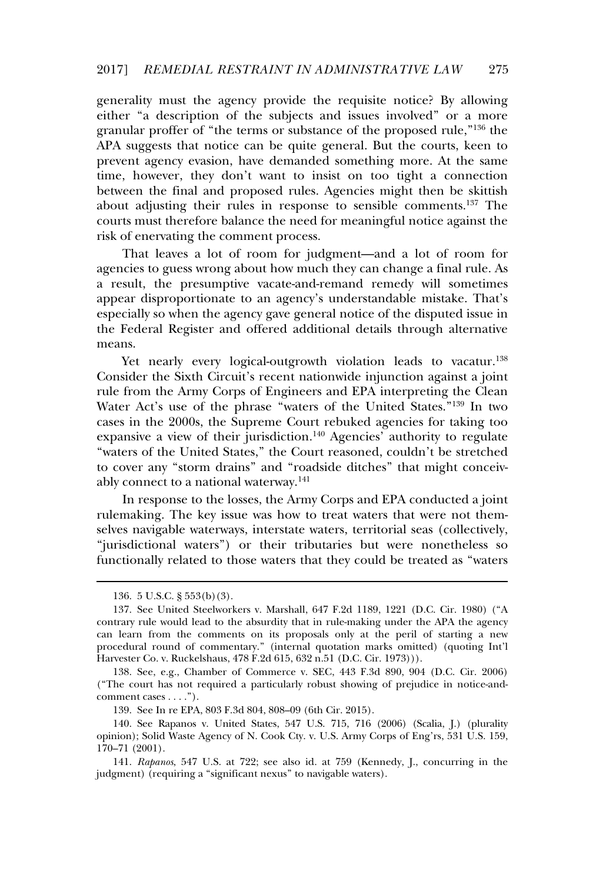generality must the agency provide the requisite notice? By allowing either "a description of the subjects and issues involved" or a more granular proffer of "the terms or substance of the proposed rule,"<sup>136</sup> the APA suggests that notice can be quite general. But the courts, keen to prevent agency evasion, have demanded something more. At the same time, however, they don't want to insist on too tight a connection between the final and proposed rules. Agencies might then be skittish about adjusting their rules in response to sensible comments.<sup>137</sup> The courts must therefore balance the need for meaningful notice against the risk of enervating the comment process.

That leaves a lot of room for judgment—and a lot of room for agencies to guess wrong about how much they can change a final rule. As a result, the presumptive vacate-and-remand remedy will sometimes a result, are presumplive vacate and remained remedy will sometimes<br>appear disproportionate to an agency's understandable mistake. That's especially so when the agency gave general notice of the disputed issue in the Federal Register and offered additional details through alternative means.

Yet nearly every logical-outgrowth violation leads to vacatur. $^{138}$ Consider the Sixth Circuit's recent nationwide injunction against a joint rule from the Army Corps of Engineers and EPA interpreting the Clean Water Act's use of the phrase "waters of the United States."<sup>139</sup> In two cases in the 2000s, the Supreme Court rebuked agencies for taking too expansive a view of their jurisdiction.<sup>140</sup> Agencies' authority to regulate "waters of the United States," the Court reasoned, couldn't be stretched to cover any "storm drains" and "roadside ditches" that might conceivably connect to a national waterway.<sup>141</sup>

In response to the losses, the Army Corps and EPA conducted a joint rulemaking. The key issue was how to treat waters that were not themselves navigable waterways, interstate waters, territorial seas (collectively, "jurisdictional waters") or their tributaries but were nonetheless so functionally related to those waters that they could be treated as "waters

<sup>136. 5</sup> U.S.C. § 553(b)(3).

<sup>137.</sup> See United Steelworkers v. Marshall, 647 F.2d 1189, 1221 (D.C. Cir. 1980) ("A contrary rule would lead to the absurdity that in rule-making under the APA the agency can learn from the comments on its proposals only at the peril of starting a new procedural round of commentary." (internal quotation marks omitted) (quoting Int'l Harvester Co. v. Ruckelshaus, 478 F.2d 615, 632 n.51 (D.C. Cir. 1973))).

<sup>138.</sup> See, e.g., Chamber of Commerce v. SEC, 443 F.3d 890, 904 (D.C. Cir. 2006) ("The court has not required a particularly robust showing of prejudice in notice-andcomment cases . . . .").

<sup>139.</sup> See In re EPA, 803 F.3d 804, 808–09 (6th Cir. 2015).

<sup>140.</sup> See Rapanos v. United States, 547 U.S. 715, 716 (2006) (Scalia, J.) (plurality opinion); Solid Waste Agency of N. Cook Cty. v. U.S. Army Corps of Eng'rs, 531 U.S. 159, 170–71 (2001).

<sup>141.</sup> *Rapanos*, 547 U.S. at 722; see also id. at 759 (Kennedy, J., concurring in the independent) (requiring a "significant nexus" to navigable waters).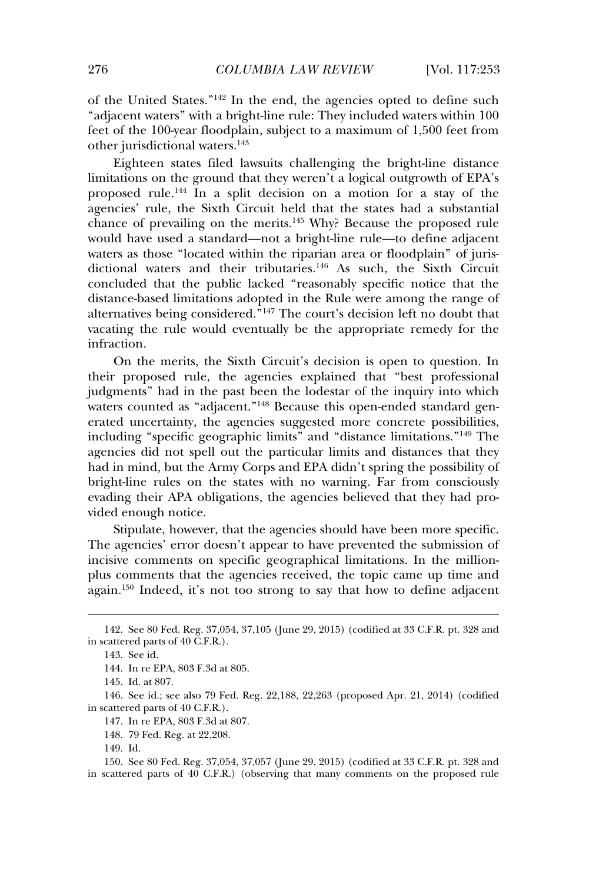of the United States."<sup>142</sup> In the end, the agencies opted to define such "adjacent waters" with a bright-line rule: They included waters within 100 feet of the 100-year floodplain, subject to a maximum of 1,500 feet from other jurisdictional waters.<sup>143</sup>

Eighteen states filed lawsuits challenging the bright-line distance limitations on the ground that they weren't a logical outgrowth of EPA's proposed rule.<sup>144</sup> In a split decision on a motion for a stay of the agencies' rule, the Sixth Circuit held that the states had a substantial chance of prevailing on the merits.<sup>145</sup> Why? Because the proposed rule would have used a standard—not a bright-line rule—to define adjacent waters as those "located within the riparian area or floodplain" of jurisdictional waters and their tributaries.<sup>146</sup> As such, the Sixth Circuit concluded that the public lacked "reasonably specific notice that the distance-based limitations adopted in the Rule were among the range of alternatives being considered."<sup>147</sup> The court's decision left no doubt that vacating the rule would eventually be the appropriate remedy for the weating to

On the merits, the Sixth Circuit's decision is open to question. In their proposed rule, the agencies explained that "best professional inch proposed rate, the agencies explained that see processional indemnity had in the past been the lodestar of the inquiry into which waters counted as "adjacent."<sup>148</sup> Because this open-ended standard generated uncertainty, the agencies suggested more concrete possibilities. including "specific geographic limits" and "distance limitations."<sup>149</sup> The agencies did not spell out the particular limits and distances that they had in mind, but the Army Corps and EPA didn't spring the possibility of bright-line rules on the states with no warning. Far from consciously evading their APA obligations, the agencies believed that they had provided enough notice.

Stipulate, however, that the agencies should have been more specific. The agencies' error doesn't appear to have prevented the submission of incisive comments on specific geographical limitations. In the millionplus comments on specific geographical minimums. In the immoragain.<sup>150</sup> Indeed, it's not too strong to say that how to define adjacent

<sup>142.</sup> See 80 Fed. Reg. 37,054, 37,105 (June 29, 2015) (codified at 33 C.F.R. pt. 328 and in scattered parts of  $40 \text{ C.F.R.}$ ).

<sup>143.</sup> See id.

<sup>144.</sup> In re EPA, 803 F.3d at 805.

<sup>145.</sup> Id. at 807.

<sup>146.</sup> See id.; see also 79 Fed. Reg. 22,188, 22,263 (proposed Apr. 21, 2014) (codified in scattered parts of  $40 \text{ C.F.R.}$ ).

<sup>147.</sup> In re EPA, 803 F.3d at 807.

<sup>148. 79</sup> Fed. Reg. at 22,208.

<sup>149.</sup> Id.

<sup>150.</sup> See 80 Fed. Reg. 37,054, 37,057 (June 29, 2015) (codified at 33 C.F.R. pt. 328 and in scattered parts of 40 C.F.R.) (observing that many comments on the proposed rule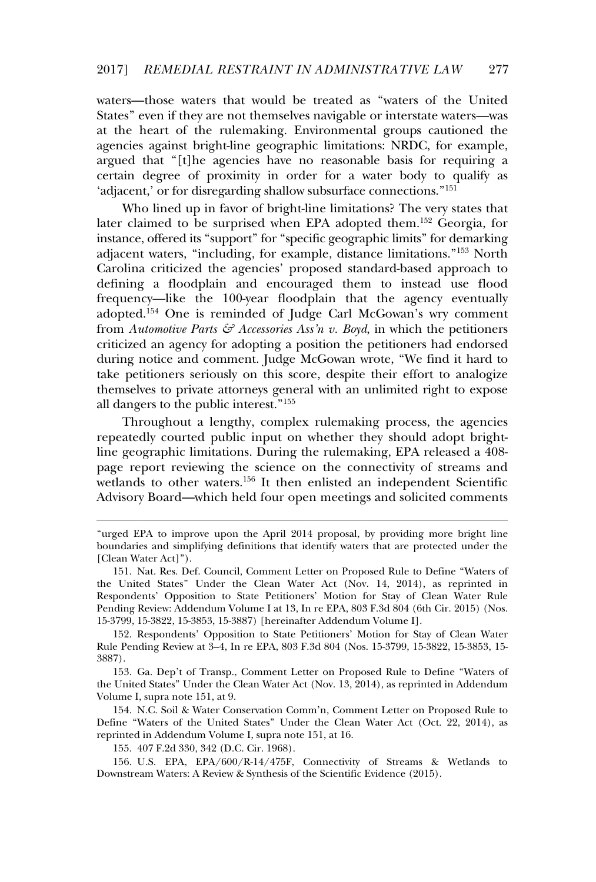waters—those waters that would be treated as "waters of the United States" even if they are not themselves navigable or interstate waters—was at the heart of the rulemaking. Environmental groups cautioned the agencies against bright-line geographic limitations: NRDC, for example, agencies against stight line geographic infinitions. These, for example, argued that "[t]he agencies have no reasonable basis for requiring a certain degree of proximity in order for a water body to qualify as 'adjacent,' or for disregarding shallow subsurface connections."<sup>151</sup>

Who lined up in favor of bright-line limitations? The very states that later claimed to be surprised when EPA adopted them.<sup>152</sup> Georgia, for instance, offered its "support" for "specific geographic limits" for demarking adjacent waters, "including, for example, distance limitations."<sup>153</sup> North Carolina criticized the agencies' proposed standard-based approach to defining a floodplain and encouraged them to instead use flood frequency—like the 100-year floodplain that the agency eventually adopted.<sup>154</sup> One is reminded of Judge Carl McGowan's wry comment from *Automotive Parts & Accessories Ass'n v. Boyd*, in which the petitioners criticized an agency for adopting a position the petitioners had endorsed during notice and comment. Judge McGowan wrote, "We find it hard to take petitioners seriously on this score, despite their effort to analogize themselves to private attorneys general with an unlimited right to expose all dangers to the public interest."<sup>155</sup>

 $\overline{a}$  Throughout a lengthy, complex rulemaking process, the agencies repeatedly courted public input on whether they should adopt brightline geographic limitations. During the rulemaking, EPA released a 408 page report reviewing the science on the connectivity of streams and page report reneming the senered on the connecting of streams and<br>wetlands to other waters.<sup>156</sup> It then enlisted an independent Scientific Advisory Board—which held four open meetings and solicited comments

153. Ga. Dep't of Transp., Comment Letter on Proposed Rule to Define "Waters of the United States" Under the Clean Water Act (Nov. 13, 2014), as reprinted in Addendum Volume I, supra note 151, at 9.

154. N.C. Soil & Water Conservation Comm'n, Comment Letter on Proposed Rule to Define "Waters of the United States" Under the Clean Water Act (Oct. 22, 2014), as reprinted in Addendum Volume I, supra note 151, at 16.

155. 407 F.2d 330, 342 (D.C. Cir. 1968).

156. U.S. EPA, EPA/600/R-14/475F, Connectivity of Streams & Wetlands to Downstream Waters: A Review & Synthesis of the Scientific Evidence (2015).

<sup>&</sup>quot;urged EPA to improve upon the April 2014 proposal, by providing more bright line boundaries and simplifying definitions that identify waters that are protected under the [Clean Water Act]").

<sup>151.</sup> Nat. Res. Def. Council, Comment Letter on Proposed Rule to Define "Waters of the United States" Under the Clean Water Act (Nov. 14, 2014), as reprinted in Respondents' Opposition to State Petitioners' Motion for Stay of Clean Water Rule Pending Review: Addendum Volume I at 13, In re EPA, 803 F.3d 804 (6th Cir. 2015) (Nos. 15-3799, 15-3822, 15-3853, 15-3887) [hereinafter Addendum Volume I].

<sup>152.</sup> Respondents' Opposition to State Petitioners' Motion for Stay of Clean Water Rule Pending Review at 3–4, In re EPA, 803 F.3d 804 (Nos. 15-3799, 15-3822, 15-3853, 15- 3887).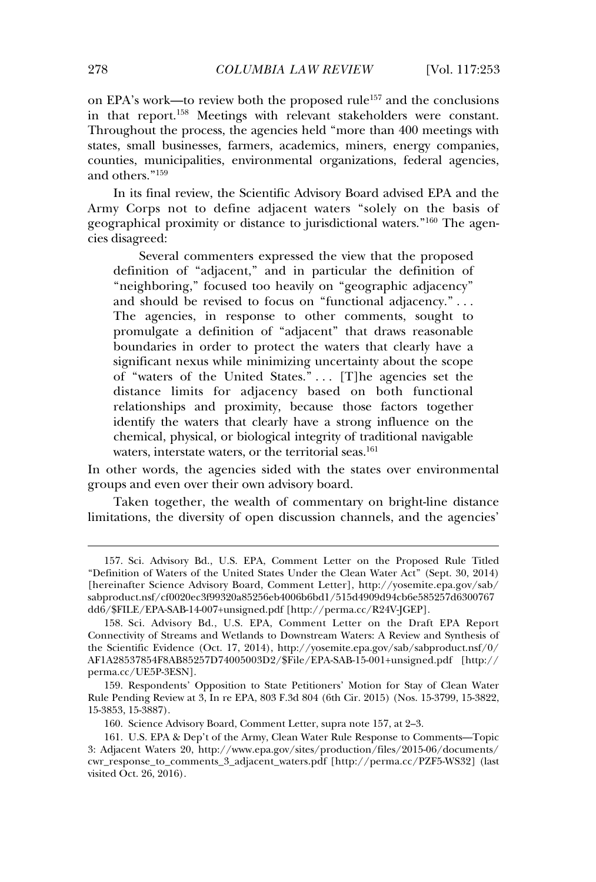on EPA's work—to review both the proposed rule<sup>157</sup> and the conclusions in that report.<sup>158</sup> Meetings with relevant stakeholders were constant. Throughout the process, the agencies held "more than 400 meetings with states, small businesses, farmers, academics, miners, energy companies, counties, municipalities, environmental organizations, federal agencies, and others."<sup>159</sup>

In its final review, the Scientific Advisory Board advised EPA and the Army Corps not to define adjacent waters "solely on the basis of geographical proximity or distance to jurisdictional waters.<sup>"160</sup> The agenscosrupment<br>cies disagreed:

Several commenters expressed the view that the proposed definition of "adjacent," and in particular the definition of "neighboring," focused too heavily on "geographic adjacency" and should be revised to focus on "functional adjacency." ... and should be revised to rocks on Tancaonal adjacency. ...<br>The agencies, in response to other comments, sought to promulgate a definition of "adjacent" that draws reasonable boundaries in order to protect the waters that clearly have a soundances in order to proceed the maters that elearly have a of "waters of the United States." . . . [T]he agencies set the distance limits for adjacency based on both functional relationships and proximity, because those factors together identify the waters that clearly have a strong influence on the chemical, physical, or biological integrity of traditional navigable enemed, prysical, or shotogical metallity of the<br>waters, interstate waters, or the territorial seas.<sup>161</sup>

In other words, the agencies sided with the states over environmental groups and even over their own advisory board.

Taken together, the wealth of commentary on bright-line distance limitations, the diversity of open discussion channels, and the agencies'

<sup>157.</sup> Sci. Advisory Bd., U.S. EPA, Comment Letter on the Proposed Rule Titled "Definition of Waters of the United States Under the Clean Water Act" (Sept. 30, 2014) [hereinafter Science Advisory Board, Comment Letter], http://yosemite.epa.gov/sab/ sabproduct.nsf/cf0020ec3f99320a85256eb4006b6bd1/515d4909d94cb6e585257d6300767 dd6/\$FILE/EPA-SAB-14-007+unsigned.pdf [http://perma.cc/R24V-JGEP].

<sup>158.</sup> Sci. Advisory Bd., U.S. EPA, Comment Letter on the Draft EPA Report Connectivity of Streams and Wetlands to Downstream Waters: A Review and Synthesis of the Scientific Evidence (Oct. 17, 2014), http://yosemite.epa.gov/sab/sabproduct.nsf/0/ AF1A28537854F8AB85257D74005003D2/\$File/EPA-SAB-15-001+unsigned.pdf [http:// perma.cc/UE5P-3ESN].

<sup>159.</sup> Respondents' Opposition to State Petitioners' Motion for Stay of Clean Water Rule Pending Review at 3, In re EPA, 803 F.3d 804 (6th Cir. 2015) (Nos. 15-3799, 15-3822, 15-3853, 15-3887).

<sup>160.</sup> Science Advisory Board, Comment Letter, supra note 157, at 2–3.

<sup>161.</sup> U.S. EPA & Dep't of the Army, Clean Water Rule Response to Comments-–-Topic 3: Adjacent Waters 20, http://www.epa.gov/sites/production/files/2015-06/documents/ cwr\_response\_to\_comments\_3\_adjacent\_waters.pdf [http://perma.cc/PZF5-WS32] (last visited Oct. 26, 2016).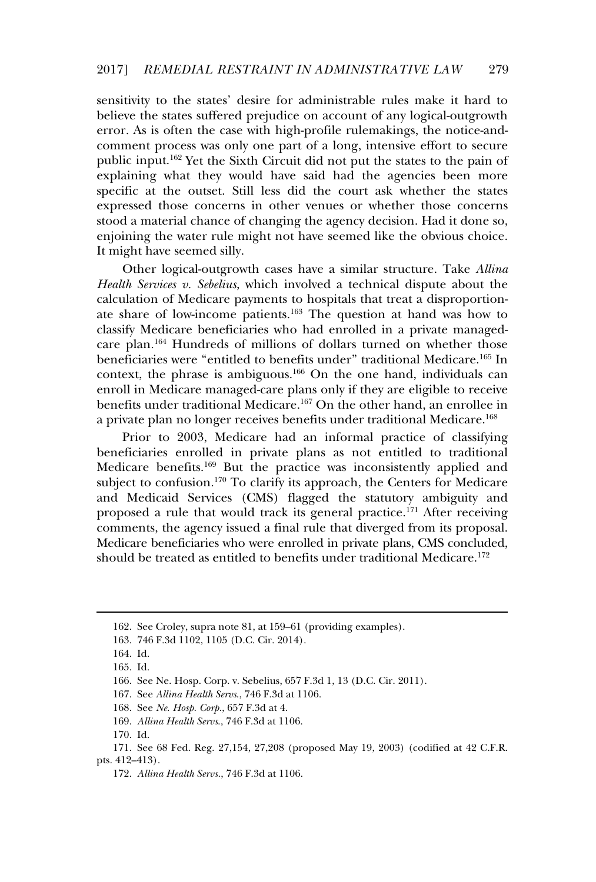sensitivity to the states' desire for administrable rules make it hard to believe the states suffered prejudice on account of any logical-outgrowth error. As is often the case with high-profile rulemakings, the notice-andcomment process was only one part of a long, intensive effort to secure public input.<sup>162</sup> Yet the Sixth Circuit did not put the states to the pain of explaining what they would have said had the agencies been more specific at the outset. Still less did the court ask whether the states expressed those concerns in other venues or whether those concerns stood a material chance of changing the agency decision. Had it done so, enjoining the water rule might not have seemed like the obvious choice. It might have seemed silly.

Other logical-outgrowth cases have a similar structure. Take *Allina Health Services v. Sebelius*, which involved a technical dispute about the calculation of Medicare payments to hospitals that treat a disproportionate share of low-income patients.<sup>163</sup> The question at hand was how to classify Medicare beneficiaries who had enrolled in a private managedcare plan.<sup>164</sup> Hundreds of millions of dollars turned on whether those beneficiaries were "entitled to benefits under" traditional Medicare.<sup>165</sup> In context, the phrase is ambiguous.<sup>166</sup> On the one hand, individuals can enroll in Medicare managed-care plans only if they are eligible to receive benefits under traditional Medicare.<sup>167</sup> On the other hand, an enrollee in a private plan no longer receives benefits under traditional Medicare.<sup>168</sup>

Prior to 2003, Medicare had an informal practice of classifying beneficiaries enrolled in private plans as not entitled to traditional Medicare benefits.<sup>169</sup> But the practice was inconsistently applied and subject to confusion.<sup>170</sup> To clarify its approach, the Centers for Medicare and Medicaid Services (CMS) flagged the statutory ambiguity and proposed a rule that would track its general practice.<sup>171</sup> After receiving comments, the agency issued a final rule that diverged from its proposal. Medicare beneficiaries who were enrolled in private plans, CMS concluded, should be treated as entitled to benefits under traditional Medicare.<sup>172</sup>

168. See *Ne. Hosp. Corp.*, 657 F.3d at 4.

<sup>162.</sup> See Croley, supra note 81, at 159–61 (providing examples).

<sup>163. 746</sup> F.3d 1102, 1105 (D.C. Cir. 2014).

<sup>164.</sup> Id.

<sup>165.</sup> Id.

<sup>166.</sup> See Ne. Hosp. Corp. v. Sebelius, 657 F.3d 1, 13 (D.C. Cir. 2011).

<sup>167.</sup> See *Allina Health Servs*., 746 F.3d at 1106.

<sup>169.</sup> *Allina Health Servs*., 746 F.3d at 1106.

<sup>170.</sup> Id.

<sup>171.</sup> See 68 Fed. Reg. 27,154, 27,208 (proposed May 19, 2003) (codified at 42 C.F.R. pts.  $412-413$ ).

<sup>172.</sup> *Allina Health Servs.*, 746 F.3d at 1106.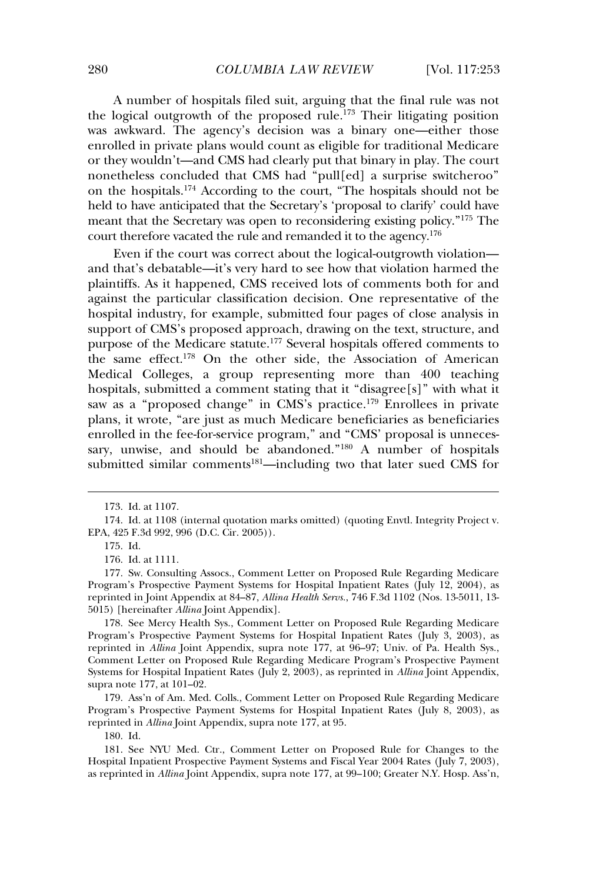A number of hospitals filed suit, arguing that the final rule was not the logical outgrowth of the proposed rule.<sup>173</sup> Their litigating position was awkward. The agency's decision was a binary one—either those enrolled in private plans would count as eligible for traditional Medicare or they wouldn't—and CMS had clearly put that binary in play. The court nonetheless concluded that CMS had "pull[ed] a surprise switcheroo" on the hospitals.<sup>174</sup> According to the court, "The hospitals should not be held to have anticipated that the Secretary's 'proposal to clarify' could have meant that the Secretary was open to reconsidering existing policy."<sup>175</sup> The court therefore vacated the rule and remanded it to the agency.<sup>176</sup>

Even if the court was correct about the logical-outgrowth violation and that's debatable—it's very hard to see how that violation harmed the plaintiffs. As it happened, CMS received lots of comments both for and against the particular classification decision. One representative of the hospital industry, for example, submitted four pages of close analysis in support of CMS's proposed approach, drawing on the text, structure, and purpose of the Medicare statute.<sup>177</sup> Several hospitals offered comments to purpose of the Medicine statute. Several hospitals offered comments to<br>the same effect.<sup>178</sup> On the other side, the Association of American Medical Colleges, a group representing more than 400 teaching hospitals, submitted a comment stating that it "disagree[s]" with what it saw as a "proposed change" in CMS's practice.<sup>179</sup> Enrollees in private plans, it wrote, "are just as much Medicare beneficiaries as beneficiaries enrolled in the fee-for-service program," and "CMS' proposal is unnecessary, unwise, and should be abandoned.<sup>"180</sup> A number of hospitals submitted similar comments<sup>181</sup>—including two that later sued CMS for

179. Ass'n of Am. Med. Colls., Comment Letter on Proposed Rule Regarding Medicare Program's Prospective Payment Systems for Hospital Inpatient Rates (July 8, 2003), as reprinted in *Allina* Joint Appendix, supra note 177, at 95.

180. Id.

181. See NYU Med. Ctr., Comment Letter on Proposed Rule for Changes to the Hospital Inpatient Prospective Payment Systems and Fiscal Year 2004 Rates (July 7, 2003), as reprinted in *Allina* Joint Appendix, supra note 177, at 99–100; Greater N.Y. Hosp. Ass'n,

<sup>173.</sup> Id. at 1107.

<sup>174.</sup> Id. at 1108 (internal quotation marks omitted) (quoting Envtl. Integrity Project v. EPA, 425 F.3d 992, 996 (D.C. Cir. 2005)).

<sup>175.</sup> Id.

<sup>176.</sup> Id. at 1111.

<sup>177.</sup> Sw. Consulting Assocs., Comment Letter on Proposed Rule Regarding Medicare Program's Prospective Payment Systems for Hospital Inpatient Rates (July 12, 2004), as reprinted in Joint Appendix at 84–87, *Allina Health Servs.*, 746 F.3d 1102 (Nos. 13-5011, 13- 5015) [hereinafter *Allina* Joint Appendix].

<sup>178.</sup> See Mercy Health Sys., Comment Letter on Proposed Rule Regarding Medicare Program's Prospective Payment Systems for Hospital Inpatient Rates (July 3, 2003), as reprinted in *Allina* Joint Appendix, supra note 177, at 96–97; Univ. of Pa. Health Sys., Comment Letter on Proposed Rule Regarding Medicare Program's Prospective Payment Systems for Hospital Inpatient Rates (July 2, 2003), as reprinted in *Allina* Joint Appendix, supra note 177, at 101–02.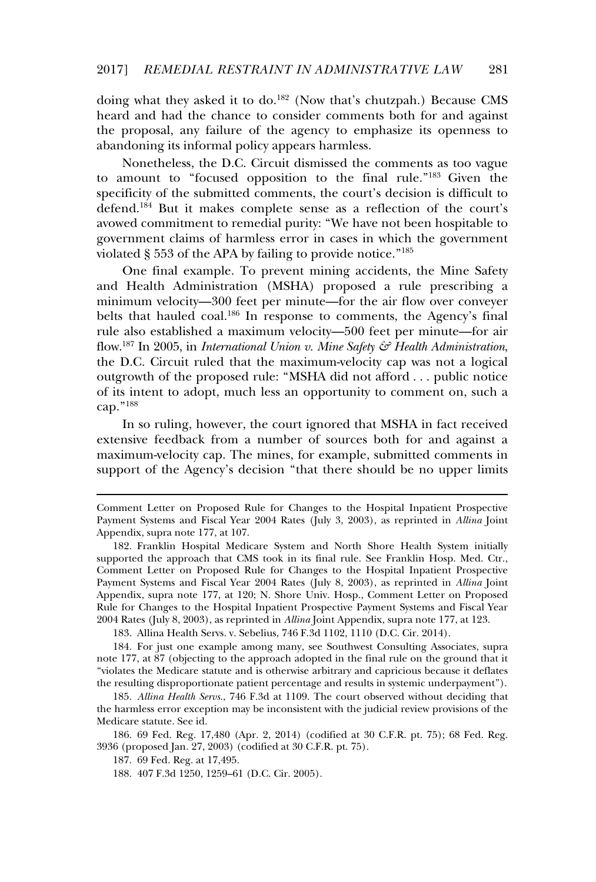doing what they asked it to do.<sup>182</sup> (Now that's chutzpah.) Because CMS heard and had the chance to consider comments both for and against the proposal, any failure of the agency to emphasize its openness to abandoning its informal policy appears harmless.

Nonetheless, the D.C. Circuit dismissed the comments as too vague to amount to "focused opposition to the final rule."<sup>183</sup> Given the specificity of the submitted comments, the court's decision is difficult to defend.<sup>184</sup> But it makes complete sense as a reflection of the court's avowed commitment to remedial purity: "We have not been hospitable to government claims of harmless error in cases in which the government violated § 553 of the APA by failing to provide notice."<sup>185</sup>

One final example. To prevent mining accidents, the Mine Safety and Health Administration (MSHA) proposed a rule prescribing a minimum velocity—300 feet per minute—for the air flow over convever belts that hauled coal.<sup>186</sup> In response to comments, the Agency's final rule also established a maximum velocity—500 feet per minute—for air flow.<sup>187</sup> In 2005, in *International Union v. Mine Safety & Health Administration*, the D.C. Circuit ruled that the maximum-velocity cap was not a logical outgrowth of the proposed rule: "MSHA did not afford . . . public notice of its intent to adopt, much less an opportunity to comment on, such a cap."<sup>188</sup>

In so ruling, however, the court ignored that MSHA in fact received extensive feedback from a number of sources both for and against a maximum-velocity cap. The mines, for example, submitted comments in support of the Agency's decision "that there should be no upper limits

183. Allina Health Servs. v. Sebelius, 746 F.3d 1102, 1110 (D.C. Cir. 2014).

184. For just one example among many, see Southwest Consulting Associates, supra note 177, at 87 (objecting to the approach adopted in the final rule on the ground that it "violates the Medicare statute and is otherwise arbitrary and capricious because it deflates the resulting disproportionate patient percentage and results in systemic underpayment").

185. *Allina Health Servs*., 746 F.3d at 1109. The court observed without deciding that the harmless error exception may be inconsistent with the judicial review provisions of the Medicare statute. See id.

186. 69 Fed. Reg. 17,480 (Apr. 2, 2014) (codified at 30 C.F.R. pt. 75); 68 Fed. Reg. 3936 (proposed Jan. 27, 2003) (codified at 30 C.F.R. pt. 75).

187. 69 Fed. Reg. at 17,495.

188. 407 F.3d 1250, 1259–61 (D.C. Cir. 2005).

Comment Letter on Proposed Rule for Changes to the Hospital Inpatient Prospective Payment Systems and Fiscal Year 2004 Rates (July 3, 2003), as reprinted in *Allina* Joint Appendix, supra note 177, at 107.

<sup>182.</sup> Franklin Hospital Medicare System and North Shore Health System initially supported the approach that CMS took in its final rule. See Franklin Hosp. Med. Ctr., Comment Letter on Proposed Rule for Changes to the Hospital Inpatient Prospective Payment Systems and Fiscal Year 2004 Rates (July 8, 2003), as reprinted in *Allina* Joint Appendix, supra note 177, at 120; N. Shore Univ. Hosp., Comment Letter on Proposed Rule for Changes to the Hospital Inpatient Prospective Payment Systems and Fiscal Year 2004 Rates (July 8, 2003), as reprinted in *Allina* Joint Appendix, supra note 177, at 123.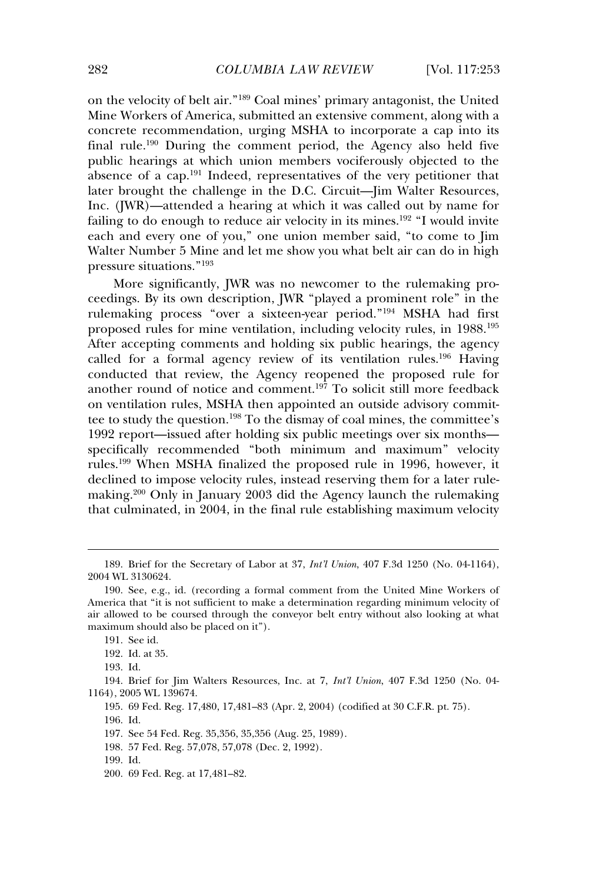on the velocity of belt air."<sup>189</sup> Coal mines' primary antagonist, the United Mine Workers of America, submitted an extensive comment, along with a Mine Workers of America, submitted an extensive comment, along with a concrete recommendation, urging MSHA to incorporate a cap into its final rule.<sup>190</sup> During the comment period, the Agency also held five public hearings at which union members vociferously objected to the passive nearings at which among members vocations, suppleted to the absence of a cap.<sup>191</sup> Indeed, representatives of the very petitioner that later brought the challenge in the D.C. Circuit—Jim Walter Resources, Inc. (IWR)—attended a hearing at which it was called out by name for failing to do enough to reduce air velocity in its mines.<sup>192</sup> "I would invite each and every one of you," one union member said, "to come to Jim each and every one of you, "one amon' member said," to come to jim<br>Walter Number 5 Mine and let me show you what belt air can do in high pressure situations."<sup>193</sup>

More significantly, JWR was no newcomer to the rulemaking proceedings. By its own description, JWR "played a prominent role" in the rulemaking process "over a sixteen-year period."<sup>194</sup> MSHA had first proposed rules for mine ventilation, including velocity rules, in 1988.<sup>195</sup><br>proposed rules for mine ventilation, including velocity rules, in 1988.<sup>195</sup> After accepting comments and holding six public hearings, the agency called for a formal agency review of its ventilation rules.<sup>196</sup> Having conducted that review, the Agency reopened the proposed rule for another round of notice and comment.<sup>197</sup> To solicit still more feedback on ventilation rules, MSHA then appointed an outside advisory committhe to study the question.<sup>198</sup> To the dismay of coal mines, the committee's 1992 report—issued after holding six public meetings over six months specifically recommended "both minimum and maximum" velocity rules.<sup>199</sup> When MSHA finalized the proposed rule in 1996, however, it declined to impose velocity rules, instead reserving them for a later rulemaking.<sup>200</sup> Only in January 2003 did the Agency launch the rulemaking that culminated, in 2004, in the final rule establishing maximum velocity

196. Id.

198. 57 Fed. Reg. 57,078, 57,078 (Dec. 2, 1992).

<sup>189.</sup> Brief for the Secretary of Labor at 37, *Int'l Union*, 407 F.3d 1250 (No. 04-1164), 2004 WL 3130624.

<sup>190.</sup> See, e.g., id. (recording a formal comment from the United Mine Workers of America that "it is not sufficient to make a determination regarding minimum velocity of air allowed to be coursed through the convevor belt entry without also looking at what maximum should also be placed on it").

<sup>191.</sup> See id.

<sup>192.</sup> Id. at 35.

<sup>193.</sup> Id.

<sup>194.</sup> Brief for Jim Walters Resources, Inc. at 7, *Int'l Union*, 407 F.3d 1250 (No. 04- 1164), 2005 WL 139674.

<sup>195. 69</sup> Fed. Reg. 17,480, 17,481–83 (Apr. 2, 2004) (codified at 30 C.F.R. pt. 75).

<sup>197.</sup> See 54 Fed. Reg. 35,356, 35,356 (Aug. 25, 1989).

<sup>199.</sup> Id.

<sup>200. 69</sup> Fed. Reg. at 17,481–82.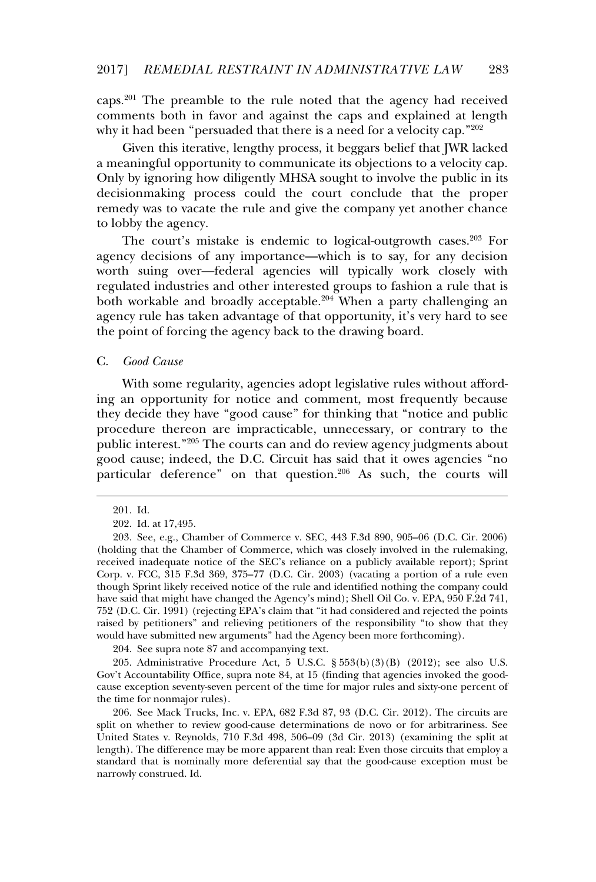caps.<sup>201</sup> The preamble to the rule noted that the agency had received comments both in favor and against the caps and explained at length why it had been "persuaded that there is a need for a velocity cap."<sup>202</sup>

Given this iterative, lengthy process, it beggars belief that JWR lacked a meaningful opportunity to communicate its objections to a velocity cap. Only by ignoring how diligently MHSA sought to involve the public in its decisionmaking process could the court conclude that the proper remedy was to vacate the rule and give the company yet another chance to lobby the agency.

The court's mistake is endemic to logical-outgrowth cases.<sup>203</sup> For agency decisions of any importance—which is to say, for any decision worth suing over—federal agencies will typically work closely with regulated industries and other interested groups to fashion a rule that is both workable and broadly acceptable.<sup>204</sup> When a party challenging an agency rule has taken advantage of that opportunity, it's very hard to see the point of forcing the agency back to the drawing board.

### C. *Good Cause*

With some regularity, agencies adopt legislative rules without affording an opportunity for notice and comment, most frequently because they decide they have "good cause" for thinking that "notice and public procedure thereon are impracticable, unnecessary, or contrary to the public interest."<sup>205</sup> The courts can and do review agency judgments about good cause; indeed, the D.C. Circuit has said that it owes agencies "no particular deference" on that question.<sup>206</sup> As such, the courts will

204. See supra note 87 and accompanying text.

205. Administrative Procedure Act, 5 U.S.C. § 553(b)(3)(B) (2012); see also U.S. Gov't Accountability Office, supra note 84, at 15 (finding that agencies invoked the goodcause exception seventy-seven percent of the time for major rules and sixty-one percent of the time for nonmajor rules).

206. See Mack Trucks, Inc. v. EPA, 682 F.3d 87, 93 (D.C. Cir. 2012). The circuits are split on whether to review good-cause determinations de novo or for arbitrariness. See United States v. Reynolds, 710 F.3d 498, 506–09 (3d Cir. 2013) (examining the split at length). The difference may be more apparent than real: Even those circuits that employ a<br>length). The difference may be more apparent than real: Even those circuits that employ a standard that is nominally more deferential say that the good-cause exception must be narrowly construed. Id.

<sup>201.</sup> Id.

<sup>202.</sup> Id. at 17,495.

<sup>203.</sup> See, e.g., Chamber of Commerce v. SEC, 443 F.3d 890, 905–06 (D.C. Cir. 2006) (holding that the Chamber of Commerce, which was closely involved in the rulemaking, received inadequate notice of the SEC's reliance on a publicly available report); Sprint Corp. v. FCC, 315 F.3d 369, 375–77 (D.C. Cir. 2003) (vacating a portion of a rule even though Sprint likely received notice of the rule and identified nothing the company could have said that might have changed the Agency's mind); Shell Oil Co. v. EPA, 950 F.2d 741, 752 (D.C. Cir. 1991) (rejecting EPA's claim that "it had considered and rejected the points Fig. Existed by petitioners" and relieving petitioners of the responsibility "to show that they would have submitted new arguments" had the Agency been more forthcoming).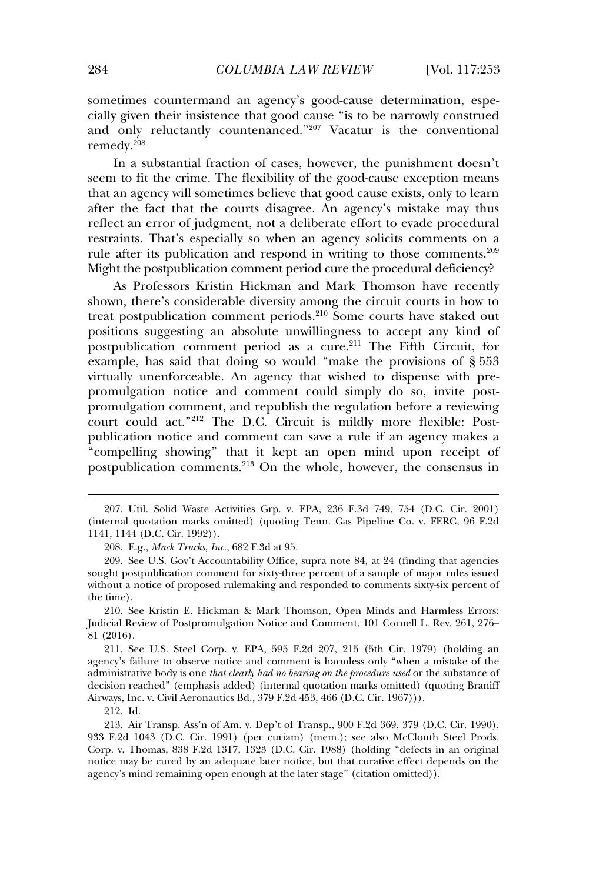sometimes countermand an agency's good-cause determination, especially given their insistence that good cause "is to be narrowly construed and only reluctantly countenanced."<sup>207</sup> Vacatur is the conventional remedy.<sup>208</sup>

In a substantial fraction of cases, however, the punishment doesn't seem to fit the crime. The flexibility of the good-cause exception means that an agency will sometimes believe that good cause exists, only to learn after the fact that the courts disagree. An agency's mistake may thus reflect an error of judgment, not a deliberate effort to evade procedural restraints. That's especially so when an agency solicits comments on a rule after its publication and respond in writing to those comments.<sup>209</sup> Might the postpublication comment period cure the procedural deficiency?

As Professors Kristin Hickman and Mark Thomson have recently shown, there's considerable diversity among the circuit courts in how to treat postpublication comment periods.<sup>210</sup> Some courts have staked out positions suggesting an absolute unwillingness to accept any kind of postablication comment period as a cure.<sup>211</sup> The Fifth Circuit, for example, has said that doing so would "make the provisions of § 553 virtually unenforceable. An agency that wished to dispense with prepromulgation notice and comment could simply do so, invite postpromulgation comment, and republish the regulation before a reviewing court could act."<sup>212</sup> The D.C. Circuit is mildly more flexible: Postpublication notice and comment can save a rule if an agency makes a "compelling showing" that it kept an open mind upon receipt of postpublication comments.<sup>213</sup> On the whole, however, the consensus in

210. See Kristin E. Hickman & Mark Thomson, Open Minds and Harmless Errors: Judicial Review of Postpromulgation Notice and Comment, 101 Cornell L. Rev. 261, 276– 81 (2016).

211. See U.S. Steel Corp. v. EPA, 595 F.2d 207, 215 (5th Cir. 1979) (holding an agency's failure to observe notice and comment is harmless only "when a mistake of the administrative body is one *that clearly had no bearing on the procedure used* or the substance of decision reached" (emphasis added) (internal quotation marks omitted) (quoting Braniff Airways, Inc. v. Civil Aeronautics Bd., 379 F.2d 453, 466 (D.C. Cir. 1967))).

212. Id.

<sup>207.</sup> Util. Solid Waste Activities Grp. v. EPA, 236 F.3d 749, 754 (D.C. Cir. 2001) (internal quotation marks omitted) (quoting Tenn. Gas Pipeline Co. v. FERC, 96 F.2d 1141, 1144 (D.C. Cir. 1992)).

<sup>208.</sup> E.g., *Mack Trucks, Inc.*, 682 F.3d at 95.

<sup>209.</sup> See U.S. Gov't Accountability Office, supra note 84, at 24 (finding that agencies sought postpublication comment for sixty-three percent of a sample of major rules issued without a notice of proposed rulemaking and responded to comments sixty-six percent of  $\frac{1}{2}$  the time).

<sup>213.</sup> Air Transp. Ass'n of Am. v. Dep't of Transp., 900 F.2d 369, 379 (D.C. Cir. 1990), 933 F.2d 1043 (D.C. Cir. 1991) (per curiam) (mem.); see also McClouth Steel Prods. Corp. v. Thomas, 838 F.2d 1317, 1323 (D.C. Cir. 1988) (holding "defects in an original notice may be cured by an adequate later notice, but that curative effect depends on the agency's mind remaining open enough at the later stage" (citation omitted)).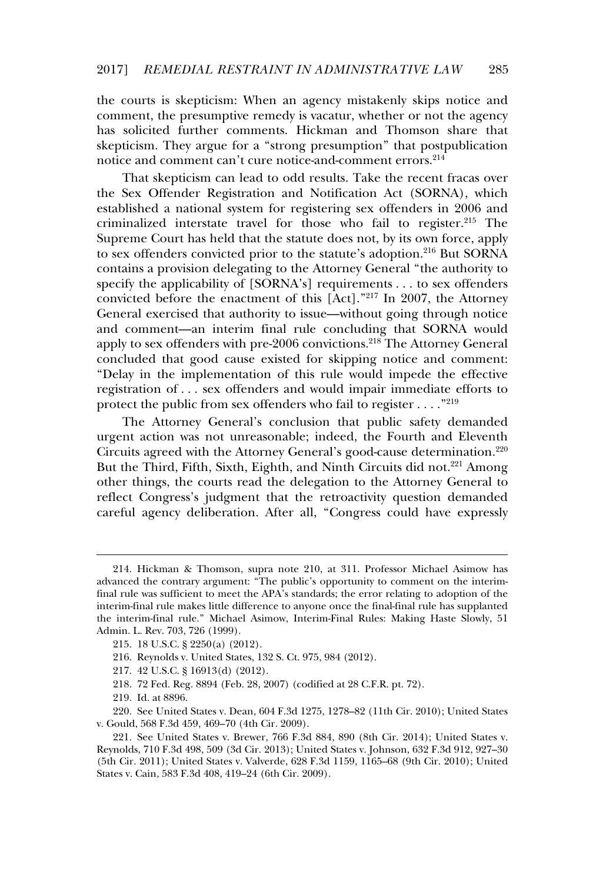the courts is skepticism: When an agency mistakenly skips notice and comment, the presumptive remedy is vacatur, whether or not the agency has solicited further comments. Hickman and Thomson share that skepticism. They argue for a "strong presumption" that postpublication notice and comment can't cure notice-and-comment errors.<sup>214</sup>

That skepticism can lead to odd results. Take the recent fracas over the Sex Offender Registration and Notification Act (SORNA), which established a national system for registering sex offenders in 2006 and criminalized interstate travel for those who fail to register.<sup>215</sup> The Supreme Court has held that the statute does not, by its own force, apply to sex offenders convicted prior to the statute's adoption.<sup>216</sup> But SORNA contains a provision delegating to the Attorney General "the authority to specify the applicability of [SORNA's] requirements . . . to sex offenders convicted before the enactment of this  $[Act]$ ."<sup>217</sup> In 2007, the Attorney General exercised that authority to issue—without going through notice and comment—an interim final rule concluding that SORNA would apply to sex offenders with pre-2006 convictions.<sup>218</sup> The Attorney General concluded that good cause existed for skipping notice and comment: "Delay in the implementation of this rule would impede the effective registration of . . . sex offenders and would impair immediate efforts to protect the public from sex offenders who fail to register . . . ."<sup>219</sup>

The Attorney General's conclusion that public safety demanded urgent action was not unreasonable; indeed, the Fourth and Eleventh Circuits agreed with the Attorney General's good-cause determination.<sup>220</sup> But the Third, Fifth, Sixth, Eighth, and Ninth Circuits did not.<sup>221</sup> Among other things, the courts read the delegation to the Attorney General to reflect Congress's judgment that the retroactivity question demanded careful agency deliberation. After all, "Congress could have expressly

- 216. Reynolds v. United States, 132 S. Ct. 975, 984 (2012).
- 217. 42 U.S.C. § 16913(d) (2012).
- 218. 72 Fed. Reg. 8894 (Feb. 28, 2007) (codified at 28 C.F.R. pt. 72).
- 219. Id. at 8896.

220. See United States v. Dean, 604 F.3d 1275, 1278–82 (11th Cir. 2010); United States v. Gould, 568 F.3d 459, 469–70 (4th Cir. 2009).

<sup>214.</sup> Hickman & Thomson, supra note 210, at 311. Professor Michael Asimow has advanced the contrary argument: "The public's opportunity to comment on the interimfinal rule was sufficient to meet the APA's standards; the error relating to adoption of the interim-final rule makes little difference to anyone once the final-final rule has supplanted the interim-final rule." Michael Asimow, Interim-Final Rules: Making Haste Slowly, 51 Admin. L. Rev. 703, 726 (1999).

<sup>215. 18</sup> U.S.C. § 2250(a) (2012).

<sup>221.</sup> See United States v. Brewer, 766 F.3d 884, 890 (8th Cir. 2014); United States v. Reynolds, 710 F.3d 498, 509 (3d Cir. 2013); United States v. Johnson, 632 F.3d 912, 927–30 (5th Cir. 2011); United States v. Valverde, 628 F.3d 1159, 1165–68 (9th Cir. 2010); United States v. Cain, 583 F.3d 408, 419–24 (6th Cir. 2009).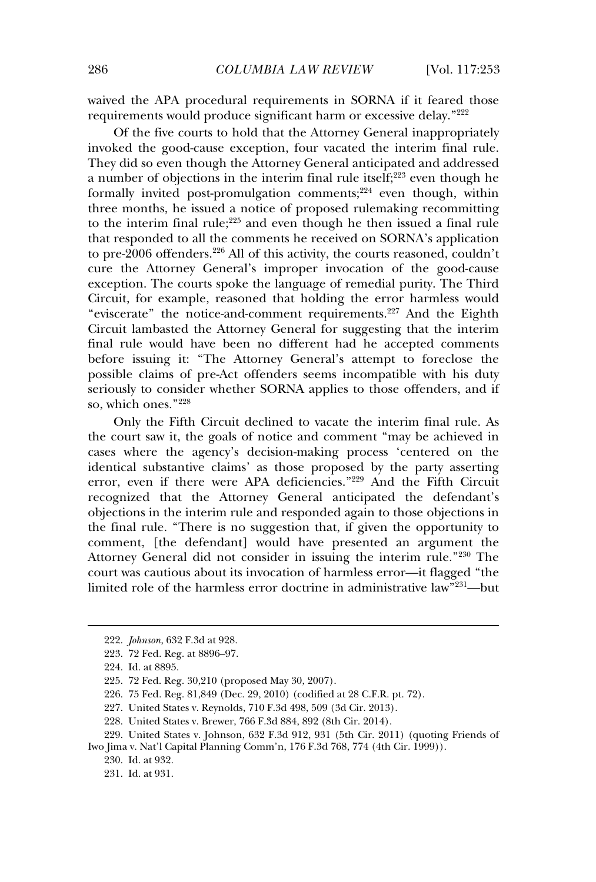waived the APA procedural requirements in SORNA if it feared those requirements would produce significant harm or excessive delay."<sup>222</sup>

Of the five courts to hold that the Attorney General inappropriately invoked the good-cause exception, four vacated the interim final rule. They did so even though the Attorney General anticipated and addressed a number of objections in the interim final rule itself;<sup>223</sup> even though he formally invited post-promulgation comments;<sup>224</sup> even though, within three months, he issued a notice of proposed rulemaking recommitting to the interim final rule;<sup>225</sup> and even though he then issued a final rule that responded to all the comments he received on SORNA's application to pre-2006 offenders.<sup>226</sup> All of this activity, the courts reasoned, couldn't cure the Attorney General's improper invocation of the good-cause exception. The courts spoke the language of remedial purity. The Third Circuit, for example, reasoned that holding the error harmless would "eviscerate" the notice-and-comment requirements.<sup>227</sup> And the Eighth Circuit lambasted the Attorney General for suggesting that the interim final rule would have been no different had he accepted comments before issuing it: "The Attorney General's attempt to foreclose the possible claims of pre-Act offenders seems incompatible with his duty seriously to consider whether SORNA applies to those offenders, and if so, which ones."<sup>228</sup>

Only the Fifth Circuit declined to vacate the interim final rule. As the court saw it, the goals of notice and comment "may be achieved in cases where the agency's decision-making process 'centered on the identical substantive claims' as those proposed by the party asserting error, even if there were APA deficiencies."<sup>229</sup> And the Fifth Circuit recognized that the Attorney General anticipated the defendant's objections in the interim rule and responded again to those objections in the final rule. "There is no suggestion that, if given the opportunity to comment. There is no suggestion that, if given the opportunity to<br>comment. The defendantl would have presented an argument the Attorney General did not consider in issuing the interim rule."<sup>230</sup> The court was cautious about its invocation of harmless error—it flagged "the limited role of the harmless error doctrine in administrative law"<sup>231</sup>—but

<sup>222.</sup> *Johnson*, 632 F.3d at 928.

<sup>223. 72</sup> Fed. Reg. at 8896–97.

<sup>224.</sup> Id. at 8895.

<sup>225. 72</sup> Fed. Reg. 30,210 (proposed May 30, 2007).

<sup>226. 75</sup> Fed. Reg. 81,849 (Dec. 29, 2010) (codified at 28 C.F.R. pt. 72).

<sup>227.</sup> United States v. Reynolds, 710 F.3d 498, 509 (3d Cir. 2013).

<sup>228.</sup> United States v. Brewer, 766 F.3d 884, 892 (8th Cir. 2014).

<sup>229.</sup> United States v. Johnson, 632 F.3d 912, 931 (5th Cir. 2011) (quoting Friends of Iwo Jima v. Nat'l Capital Planning Comm'n, 176 F.3d 768, 774 (4th Cir. 1999)).

<sup>230.</sup> Id. at 932.

<sup>231.</sup> Id. at 931.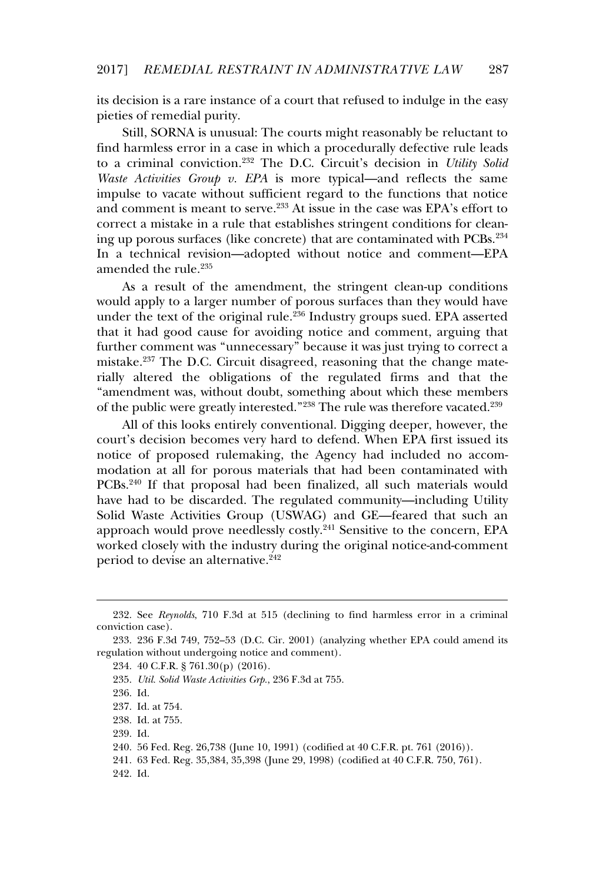its decision is a rare instance of a court that refused to indulge in the easy pieties of remedial purity.

Still, SORNA is unusual: The courts might reasonably be reluctant to find harmless error in a case in which a procedurally defective rule leads to a criminal conviction.<sup>232</sup> The D.C. Circuit's decision in *Utility Solid Waste Activities Group v. EPA* is more typical—and reflects the same multipulse to vacate without sufficient regard to the functions that notice and comment is meant to serve.<sup>233</sup> At issue in the case was EPA's effort to correct a mistake in a rule that establishes stringent conditions for cleaning up porous surfaces (like concrete) that are contaminated with PCBs.<sup>234</sup> In a technical revision—adopted without notice and comment—EPA amended the rule.<sup>235</sup>

As a result of the amendment, the stringent clean-up conditions would apply to a larger number of porous surfaces than they would have would apply to a larger humber of porous surfaces than they would have<br>under the text of the original rule.<sup>236</sup> Industry groups sued. EPA asserted that it had good cause for avoiding notice and comment, arguing that further comment was "unnecessary" because it was just trying to correct a mistake.<sup>237</sup> The D.C. Circuit disagreed, reasoning that the change materially altered the obligations of the regulated firms and that the "amendment was, without doubt, something about which these members of the public were greatly interested."<sup>238</sup> The rule was therefore vacated.<sup>239</sup>

All of this looks entirely conventional. Digging deeper, however, the court's decision becomes very hard to defend. When EPA first issued its notice of proposed rulemaking, the Agency had included no accommodation at all for porous materials that had been contaminated with PCBs.<sup>240</sup> If that proposal had been finalized, all such materials would have had to be discarded. The regulated community—including Utility Solid Waste Activities Group (USWAG) and GE—feared that such an approach would prove needlessly costly.<sup>241</sup> Sensitive to the concern, EPA worked closely with the industry during the original notice-and-comment period to devise an alternative.<sup>242</sup>

235. *Util. Solid Waste Activities Grp.*, 236 F.3d at 755.

239. Id.

<sup>232.</sup> See *Reynolds*, 710 F.3d at 515 (declining to find harmless error in a criminal conviction case).

<sup>233. 236</sup> F.3d 749, 752–53 (D.C. Cir. 2001) (analyzing whether EPA could amend its regulation without undergoing notice and comment).

<sup>234. 40</sup> C.F.R. § 761.30(p) (2016).

<sup>236.</sup> Id.

<sup>237.</sup> Id. at 754.

<sup>238.</sup> Id. at 755.

<sup>240. 56</sup> Fed. Reg. 26,738 (June 10, 1991) (codified at 40 C.F.R. pt. 761 (2016)).

<sup>241. 63</sup> Fed. Reg. 35,384, 35,398 (June 29, 1998) (codified at 40 C.F.R. 750, 761).

<sup>242.</sup> Id.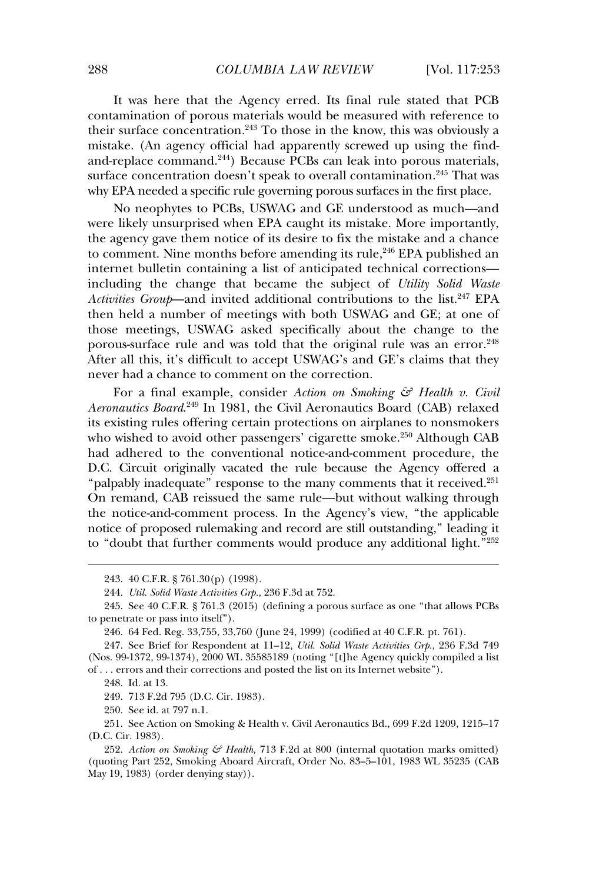It was here that the Agency erred. Its final rule stated that PCB contamination of porous materials would be measured with reference to their surface concentration.<sup>243</sup> To those in the know, this was obviously a mistake. (An agency official had apparently screwed up using the findand-replace command.<sup>244</sup>) Because PCBs can leak into porous materials, surface concentration doesn't speak to overall contamination.<sup>245</sup> That was why EPA needed a specific rule governing porous surfaces in the first place.

No neophytes to PCBs, USWAG and GE understood as much—and were likely unsurprised when EPA caught its mistake. More importantly, the agency gave them notice of its desire to fix the mistake and a chance the agency gave them hottee of its desire to ha the initiate and a chance<br>to comment. Nine months before amending its rule,<sup>246</sup> EPA published an internet bulletin containing a list of anticipated technical corrections including the change that became the subject of *Utility Solid Waste Activities Group*—and invited additional contributions to the list.<sup>247</sup> EPA then held a number of meetings with both USWAG and GE; at one of those meetings, USWAG asked specifically about the change to the porous-surface rule and was told that the original rule was an error.<sup>248</sup> After all this, it's difficult to accept USWAG's and GE's claims that they never had a chance to comment on the correction.

For a final example, consider *Action on Smoking & Health v. Civil Aeronautics Board*. 249 In 1981, the Civil Aeronautics Board (CAB) relaxed its existing rules offering certain protections on airplanes to nonsmokers who wished to avoid other passengers' cigarette smoke.<sup>250</sup> Although CAB had adhered to the conventional notice-and-comment procedure, the D.C. Circuit originally vacated the rule because the Agency offered a "palpably inadequate" response to the many comments that it received.<sup>251</sup> On remand, CAB reissued the same rule—but without walking through the notice-and-comment process. In the Agency's view, "the applicable notice of proposed rulemaking and record are still outstanding." leading it to "doubt that further comments would produce any additional light."<sup>252</sup>

248. Id. at 13.

249. 713 F.2d 795 (D.C. Cir. 1983).

250. See id. at 797 n.1.

251. See Action on Smoking & Health v. Civil Aeronautics Bd., 699 F.2d 1209, 1215–17 (D.C. Cir. 1983).

<sup>243. 40</sup> C.F.R. § 761.30(p) (1998).

<sup>244.</sup> *Util. Solid Waste Activities Grp.*, 236 F.3d at 752.

<sup>245.</sup> See 40 C.F.R. § 761.3 (2015) (defining a porous surface as one "that allows PCBs to penetrate or pass into itself").

<sup>246. 64</sup> Fed. Reg. 33,755, 33,760 (June 24, 1999) (codified at 40 C.F.R. pt. 761).

<sup>247.</sup> See Brief for Respondent at 11–12, *Util. Solid Waste Activities Grp.*, 236 F.3d 749 (Nos. 99-1372, 99-1374), 2000 WL 35585189 (noting "[t]he Agency quickly compiled a list of ... errors and their corrections and posted the list on its Internet website").

<sup>252.</sup> *Action on Smoking & Health,* 713 F.2d at 800 (internal quotation marks omitted) (quoting Part 252, Smoking Aboard Aircraft, Order No. 83–5–101, 1983 WL 35235 (CAB May 19, 1983) (order denying stay)).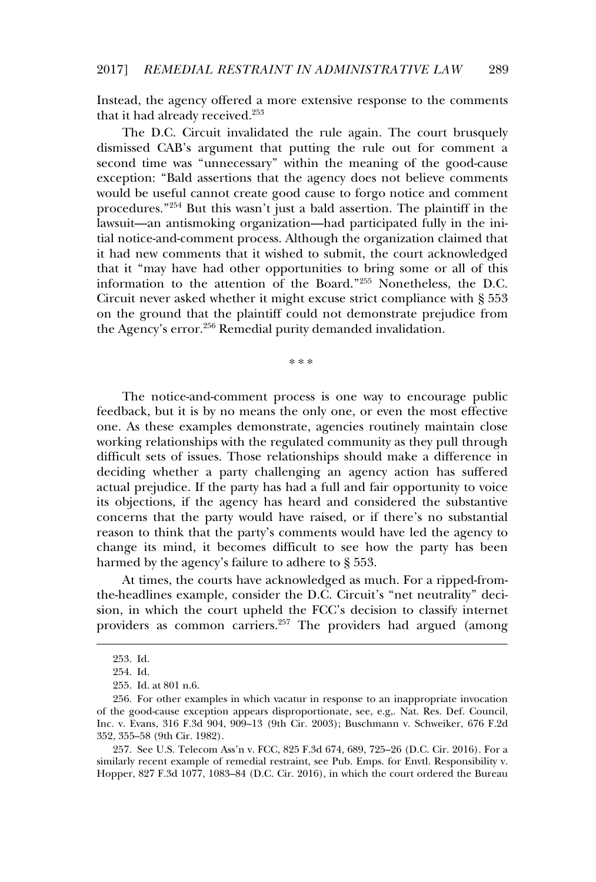Instead, the agency offered a more extensive response to the comments  $\frac{1}{100}$  that it had already received.<sup>253</sup>

The D.C. Circuit invalidated the rule again. The court brusquely dismissed CAB's argument that putting the rule out for comment a second time was "unnecessary" within the meaning of the good-cause exception: "Bald assertions that the agency does not believe comments exception. But assertions that the agency does not seneve comments<br>would be useful cannot create good cause to forgo notice and comment procedures.<sup>"254</sup> But this wasn't just a bald assertion. The plaintiff in the lawsuit—an antismoking organization—had participated fully in the initial notice-and-comment process. Although the organization claimed that In house and comment process. That all the contract channels that it is wished to submit, the court acknowledged that it "may have had other opportunities to bring some or all of this information to the attention of the Board."<sup>255</sup> Nonetheless, the D.C. Circuit never asked whether it might excuse strict compliance with § 553 on the ground that the plaintiff could not demonstrate prejudice from of the Agency's error.<sup>256</sup> Remedial purity demanded invalidation.

\*\*\*

The notice-and-comment process is one way to encourage public feedback, but it is by no means the only one, or even the most effective one. As these examples demonstrate, agencies routinely maintain close working relationships with the regulated community as they pull through difficult sets of issues. Those relationships should make a difference in deciding whether a party challenging an agency action has suffered actual prejudice. If the party has had a full and fair opportunity to voice its objections, if the agency has heard and considered the substantive concerns that the party would have raised, or if there's no substantial reason to think that the party's comments would have led the agency to change its mind, it becomes difficult to see how the party has been harmed by the agency's failure to adhere to § 553.

At times, the courts have acknowledged as much. For a ripped-fromthe-headlines example, consider the D.C. Circuit's "net neutrality" decision, in which the court upheld the FCC's decision to classify internet providers as common carriers.<sup>257</sup> The providers had argued (among

<sup>253.</sup> Id.

<sup>254.</sup> Id.

<sup>255.</sup> Id. at 801 n.6.

<sup>256.</sup> For other examples in which vacatur in response to an inappropriate invocation of the good-cause exception appears disproportionate, see, e.g,. Nat. Res. Def. Council, Inc. v. Evans, 316 F.3d 904, 909–13 (9th Cir. 2003); Buschmann v. Schweiker, 676 F.2d 352, 355–58 (9th Cir. 1982).

<sup>257.</sup> See U.S. Telecom Ass'n v. FCC, 825 F.3d 674, 689, 725–26 (D.C. Cir. 2016). For a similarly recent example of remedial restraint, see Pub. Emps. for Envtl. Responsibility v. Hopper, 827 F.3d 1077, 1083–84 (D.C. Cir. 2016), in which the court ordered the Bureau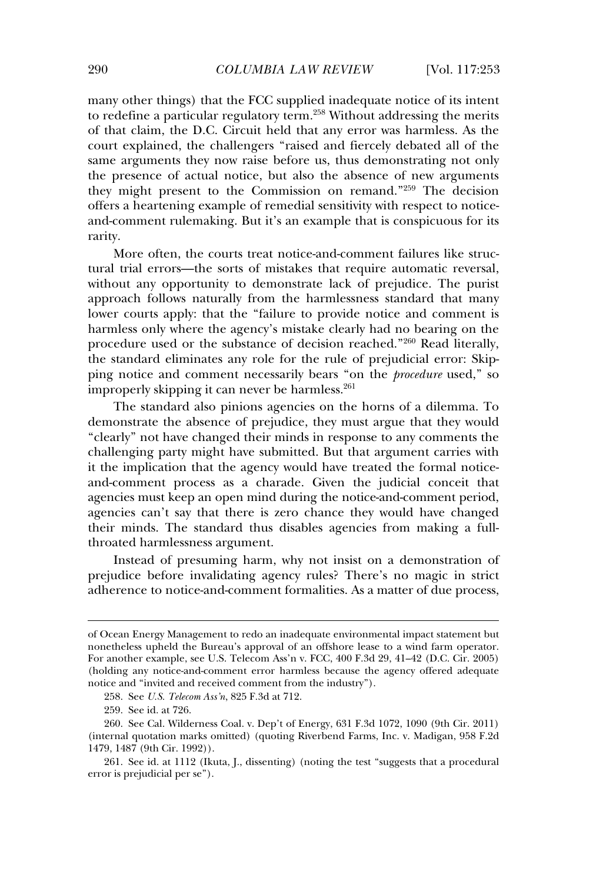many other things) that the FCC supplied inadequate notice of its intent to redefine a particular regulatory term.<sup>258</sup> Without addressing the merits of that claim, the D.C. Circuit held that any error was harmless. As the court explained, the challengers "raised and fiercely debated all of the same arguments they now raise before us, thus demonstrating not only the presence of actual notice, but also the absence of new arguments they might present to the Commission on remand."<sup>259</sup> The decision offers a heartening example of remedial sensitivity with respect to noticeand-comment rulemaking. But it's an example that is conspicuous for its ana ee<br>rarity.

More often, the courts treat notice-and-comment failures like structural trial errors—the sorts of mistakes that require automatic reversal, without any opportunity to demonstrate lack of prejudice. The purist approach follows naturally from the harmlessness standard that many lower courts apply: that the "failure to provide notice and comment is harmless only where the agency's mistake clearly had no bearing on the procedure used or the substance of decision reached."<sup>260</sup> Read literally, the standard eliminates any role for the rule of prejudicial error: Skipping notice and comment necessarily bears "on the *procedure* used," so ping notice and comment necessarily bears to<br>improperly skipping it can never be harmless.<sup>261</sup>

The standard also pinions agencies on the horns of a dilemma. To demonstrate the absence of prejudice, they must argue that they would "clearly" not have changed their minds in response to any comments the challenging party might have submitted. But that argument carries with it the implication that the agency would have treated the formal noticeand-comment process as a charade. Given the judicial conceit that and comment process as a entitiate. Since the judicial concent that agencies must keep an open mind during the notice-and-comment period, agencies must keep an open mind daring the notice and comment period;<br>agencies can't say that there is zero chance they would have changed their minds. The standard thus disables agencies from making a fullthroated harmlessness argument.

Instead of presuming harm, why not insist on a demonstration of prejudice before invalidating agency rules? There's no magic in strict adherence to notice-and-comment formalities. As a matter of due process,

of Ocean Energy Management to redo an inadequate environmental impact statement but nonetheless upheld the Bureau's approval of an offshore lease to a wind farm operator. For another example, see U.S. Telecom Ass'n v. FCC, 400 F.3d 29, 41–42 (D.C. Cir. 2005) (holding any notice-and-comment error harmless because the agency offered adequate notice and "invited and received comment from the industry").

<sup>258.</sup> See *U.S. Telecom Ass'n*, 825 F.3d at 712.

<sup>259.</sup> See id. at 726.

<sup>260.</sup> See Cal. Wilderness Coal. v. Dep't of Energy, 631 F.3d 1072, 1090 (9th Cir. 2011) (internal quotation marks omitted) (quoting Riverbend Farms, Inc. v. Madigan, 958 F.2d 1479, 1487 (9th Cir. 1992)).

<sup>261.</sup> See id. at 1112 (Ikuta, J., dissenting) (noting the test "suggests that a procedural error is prejudicial per se").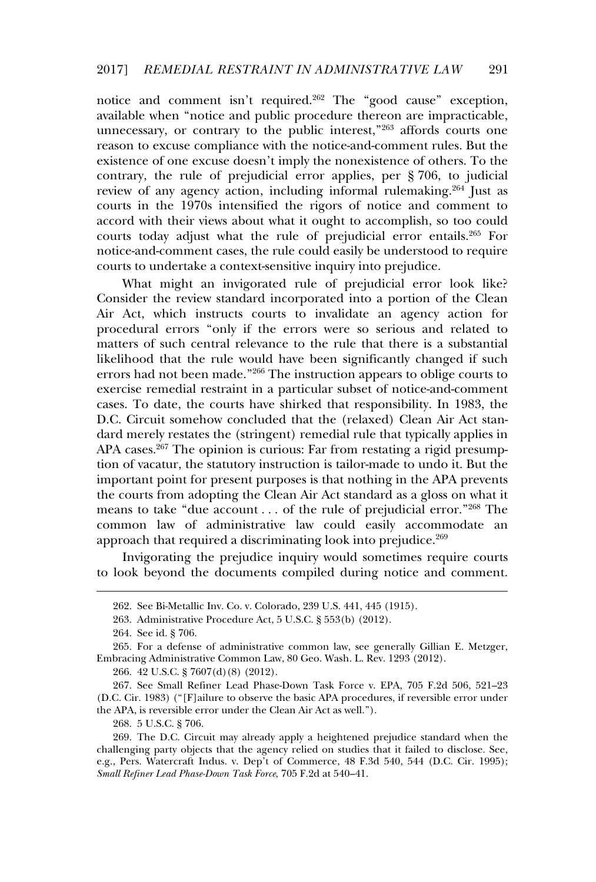notice and comment isn't required.<sup>262</sup> The "good cause" exception, available when "notice and public procedure thereon are impracticable, unational method in the public interest,<sup>"263</sup> affords courts one reason to excuse compliance with the notice-and-comment rules. But the existence of one excuse doesn't imply the nonexistence of others. To the contrary, the rule of prejudicial error applies, per § 706, to judicial review of any agency action, including informal rulemaking.<sup>264</sup> Just as courts in the 1970s intensified the rigors of notice and comment to accord with their views about what it ought to accomplish, so too could courts today adjust what the rule of prejudicial error entails.<sup>265</sup> For notice-and-comment cases, the rule could easily be understood to require courts to undertake a context-sensitive inquiry into prejudice.

What might an invigorated rule of prejudicial error look like? Consider the review standard incorporated into a portion of the Clean Air Act, which instructs courts to invalidate an agency action for procedural errors "only if the errors were so serious and related to matters of such central relevance to the rule that there is a substantial likelihood that the rule would have been significantly changed if such errors had not been made."<sup>266</sup> The instruction appears to oblige courts to exercise remedial restraint in a particular subset of notice-and-comment cases. To date, the courts have shirked that responsibility. In 1983, the D.C. Circuit somehow concluded that the (relaxed) Clean Air Act standard merely restates the (stringent) remedial rule that typically applies in APA cases.<sup>267</sup> The opinion is curious: Far from restating a rigid presumption of vacatur, the statutory instruction is tailor-made to undo it. But the important point for present purposes is that nothing in the APA prevents the courts from adopting the Clean Air Act standard as a gloss on what it means to take "due account . . . of the rule of prejudicial error."<sup>268</sup> The common law of administrative law could easily accommodate an approach that required a discriminating look into prejudice.<sup>269</sup>

Invigorating the prejudice inquiry would sometimes require courts to look beyond the documents compiled during notice and comment.

266. 42 U.S.C. § 7607(d)(8) (2012).

267. See Small Refiner Lead Phase-Down Task Force v. EPA, 705 F.2d 506, 521–23 (D.C. Cir. 1983) ("[F]ailure to observe the basic APA procedures, if reversible error under the APA, is reversible error under the Clean Air Act as well.").

268. 5 U.S.C. § 706.

<sup>262.</sup> See Bi-Metallic Inv. Co. v. Colorado, 239 U.S. 441, 445 (1915).

<sup>263.</sup> Administrative Procedure Act, 5 U.S.C. § 553(b) (2012).

<sup>264.</sup> See id. § 706.

<sup>265.</sup> For a defense of administrative common law, see generally Gillian E. Metzger, Embracing Administrative Common Law, 80 Geo. Wash. L. Rev. 1293 (2012).

<sup>269.</sup> The D.C. Circuit may already apply a heightened prejudice standard when the For the Bio. Great may already apply a neightened prejudice sumated when the<br>challenging party objects that the agency relied on studies that it failed to disclose. See, e.g., Pers. Watercraft Indus. v. Dep't of Commerce, 48 F.3d 540, 544 (D.C. Cir. 1995); *Small Refiner Lead Phase-Down Task Force*, 705 F.2d at 540–41.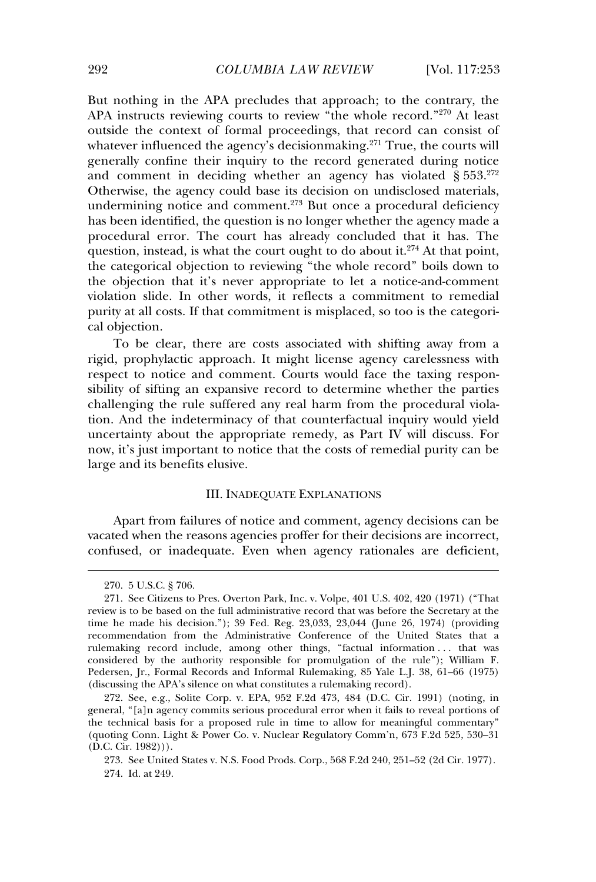But nothing in the APA precludes that approach; to the contrary, the APA instructs reviewing courts to review "the whole record."<sup>270</sup> At least outside the context of formal proceedings, that record can consist of whatever influenced the agency's decisionmaking.<sup>271</sup> True, the courts will generally confine their inquiry to the record generated during notice and comment in deciding whether an agency has violated § 553.<sup>272</sup> Otherwise, the agency could base its decision on undisclosed materials, undermining notice and comment.<sup>273</sup> But once a procedural deficiency has been identified, the question is no longer whether the agency made a procedural error. The court has already concluded that it has. The  $\mu$  procedurate error. The court has already concluded that it has. The question, instead, is what the court ought to do about it.<sup>274</sup> At that point, the categorical objection to reviewing "the whole record" boils down to the objection that it's never appropriate to let a notice-and-comment violation slide. In other words, it reflects a commitment to remedial purity at all costs. If that commitment is misplaced, so too is the categorical objection.

To be clear, there are costs associated with shifting away from a rigid, prophylactic approach. It might license agency carelessness with respect to notice and comment. Courts would face the taxing responsibility of sifting an expansive record to determine whether the parties challenging the rule suffered any real harm from the procedural violation. And the indeterminacy of that counterfactual inquiry would yield uncertainty about the appropriate remedy, as Part IV will discuss. For now, it's just important to notice that the costs of remedial purity can be large and its benefits elusive.

### III. INADEQUATE EXPLANATIONS

Apart from failures of notice and comment, agency decisions can be vacated when the reasons agencies proffer for their decisions are incorrect, confused, or inadequate. Even when agency rationales are deficient,

<sup>270. 5</sup> U.S.C. § 706.

<sup>271.</sup> See Citizens to Pres. Overton Park, Inc. v. Volpe, 401 U.S. 402, 420 (1971) ("That review is to be based on the full administrative record that was before the Secretary at the time he made his decision."); 39 Fed. Reg. 23,033, 23,044 (June 26, 1974) (providing recommendation from the Administrative Conference of the United States that a rulemaking record include, among other things, "factual information . . . that was considered by the authority responsible for promulgation of the rule"); William F. Pedersen, Jr., Formal Records and Informal Rulemaking, 85 Yale L.J. 38, 61–66 (1975) (discussing the APA's silence on what constitutes a rulemaking record).

<sup>272.</sup> See, e.g., Solite Corp. v. EPA, 952 F.2d 473, 484 (D.C. Cir. 1991) (noting, in general, "[a]n agency commits serious procedural error when it fails to reveal portions of the technical basis for a proposed rule in time to allow for meaningful commentary" (quoting Conn. Light & Power Co. v. Nuclear Regulatory Comm'n, 673 F.2d 525, 530–31  $(D.C. Cir. 1982))$ .

<sup>273.</sup> See United States v. N.S. Food Prods. Corp., 568 F.2d 240, 251–52 (2d Cir. 1977). 274. Id. at 249.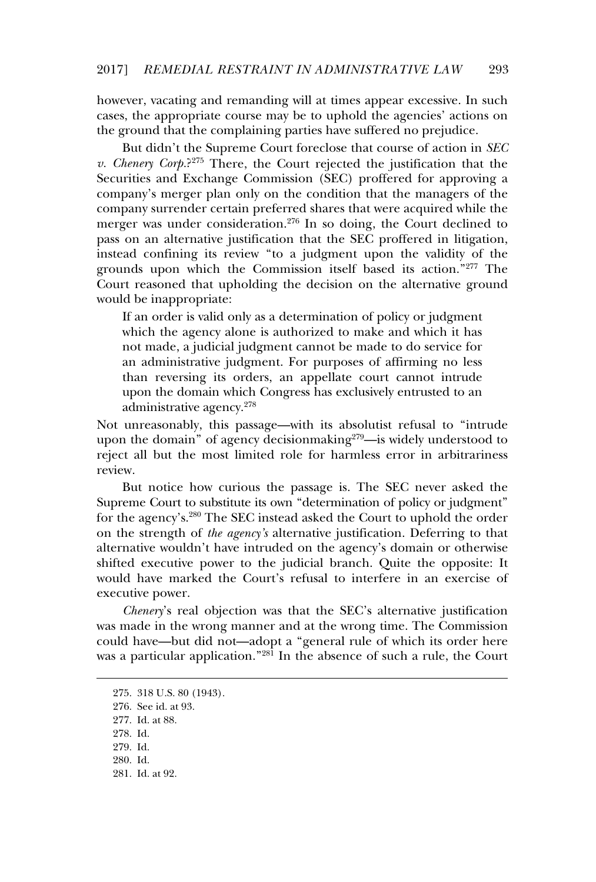however, vacating and remanding will at times appear excessive. In such cases, the appropriate course may be to uphold the agencies' actions on the ground that the complaining parties have suffered no prejudice.

But didn't the Supreme Court foreclose that course of action in *SEC v. Chenery Corp.*? 275 There, the Court rejected the justification that the Securities and Exchange Commission (SEC) proffered for approving a company's merger plan only on the condition that the managers of the company surrender certain preferred shares that were acquired while the merger was under consideration.<sup>276</sup> In so doing, the Court declined to pass on an alternative justification that the SEC proffered in litigation, pass on an ancinative justineation that the sets profiered in highlion,<br>instead confining its review "to a judgment upon the validity of the grounds upon which the Commission itself based its action."<sup>277</sup> The Court reasoned that upholding the decision on the alternative ground would be inappropriate:

If an order is valid only as a determination of policy or judgment which the agency alone is authorized to make and which it has not made, a judicial judgment cannot be made to do service for an administrative judgment. For purposes of affirming no less than reversing its orders, an appellate court cannot intrude upon the domain which Congress has exclusively entrusted to an administrative agency.<sup>278</sup>

Not unreasonably, this passage—with its absolutist refusal to "intrude upon the domain" of agency decisionmaking<sup>279</sup>—is widely understood to reject all but the most limited role for harmless error in arbitrariness review.

But notice how curious the passage is. The SEC never asked the Supreme Court to substitute its own "determination of policy or judgment" for the agency's.<sup>280</sup> The SEC instead asked the Court to uphold the order on the strength of *the agency's* alternative justification. Deferring to that on the strength of *the agency*'s attenuated justification. Beforing to that<br>alternative wouldn't have intruded on the agency's domain or otherwise shifted executive power to the judicial branch. Quite the opposite: It would have marked the Court's refusal to interfere in an exercise of woma have man

*Chenery*'s real objection was that the SEC's alternative justification was made in the wrong manner and at the wrong time. The Commission could have—but did not—adopt a "general rule of which its order here was a particular application."<sup>281</sup> In the absence of such a rule, the Court

- 278. Id.
- 279. Id.

281. Id. at 92.

<sup>275. 318</sup> U.S. 80 (1943).

<sup>276.</sup> See id. at 93.

<sup>277.</sup> Id. at 88.

<sup>280.</sup> Id.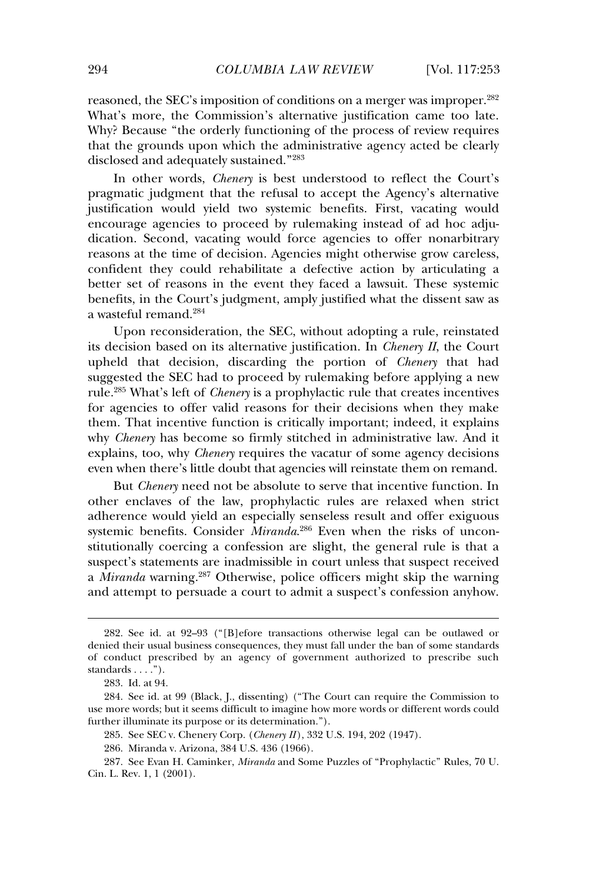reasoned, the SEC's imposition of conditions on a merger was improper.<sup>282</sup> What's more, the Commission's alternative justification came too late. What's more, the commission's and matrix pasameters came too fact.<br>Why? Because "the orderly functioning of the process of review requires that the grounds upon which the administrative agency acted be clearly disclosed and adequately sustained."<sup>283</sup>

In other words, *Chenery* is best understood to reflect the Court's pragmatic judgment that the refusal to accept the Agency's alternative justification would yield two systemic benefits. First, vacating would encourage agencies to proceed by rulemaking instead of ad hoc adjudication. Second, vacating would force agencies to offer nonarbitrary reasons at the time of decision. Agencies might otherwise grow careless, confident they could rehabilitate a defective action by articulating a better set of reasons in the event they faced a lawsuit. These systemic benefits, in the Court's judgment, amply justified what the dissent saw as benens, in the cour<br>a wasteful remand.<sup>284</sup>

Upon reconsideration, the SEC, without adopting a rule, reinstated its decision based on its alternative justification. In *Chenery II*, the Court upheld that decision, discarding the portion of *Chenery* that had suggested the SEC had to proceed by rulemaking before applying a new rule.<sup>285</sup> What's left of *Chenery* is a prophylactic rule that creates incentives for agencies to offer valid reasons for their decisions when they make them. That incentive function is critically important; indeed, it explains why *Chenery* has become so firmly stitched in administrative law. And it explains, too, why *Chenery* requires the vacatur of some agency decisions explains, iso,  $m_f$  chancry requires the vacature of some agency decisions even when there's little doubt that agencies will reinstate them on remand.

But *Chenery* need not be absolute to serve that incentive function. In other enclaves of the law, prophylactic rules are relaxed when strict adherence would yield an especially senseless result and offer exiguous systemic benefits. Consider *Miranda*. 286 Even when the risks of unconstitutionally coercing a confession are slight, the general rule is that a suspect's statements are inadmissible in court unless that suspect received a *Miranda* warning.<sup>287</sup> Otherwise, police officers might skip the warning a *handala* warming. Scher was, police officers inight stap the warming<br>and attempt to persuade a court to admit a suspect's confession anyhow.

<sup>282.</sup> See id. at 92–93 ("[B]efore transactions otherwise legal can be outlawed or denied their usual business consequences, they must fall under the ban of some standards of conduct prescribed by an agency of government authorized to prescribe such standards . . . .").

<sup>283.</sup> Id. at 94.

<sup>284.</sup> See id. at 99 (Black, J., dissenting) ("The Court can require the Commission to use more words; but it seems difficult to imagine how more words or different words could further illuminate its purpose or its determination.").

<sup>285.</sup> See SEC v. Chenery Corp. (*Chenery II* ), 332 U.S. 194, 202 (1947).

<sup>286.</sup> Miranda v. Arizona, 384 U.S. 436 (1966).

<sup>287.</sup> See Evan H. Caminker, *Miranda* and Some Puzzles of "Prophylactic" Rules, 70 U. Cin. L. Rev. 1, 1 (2001).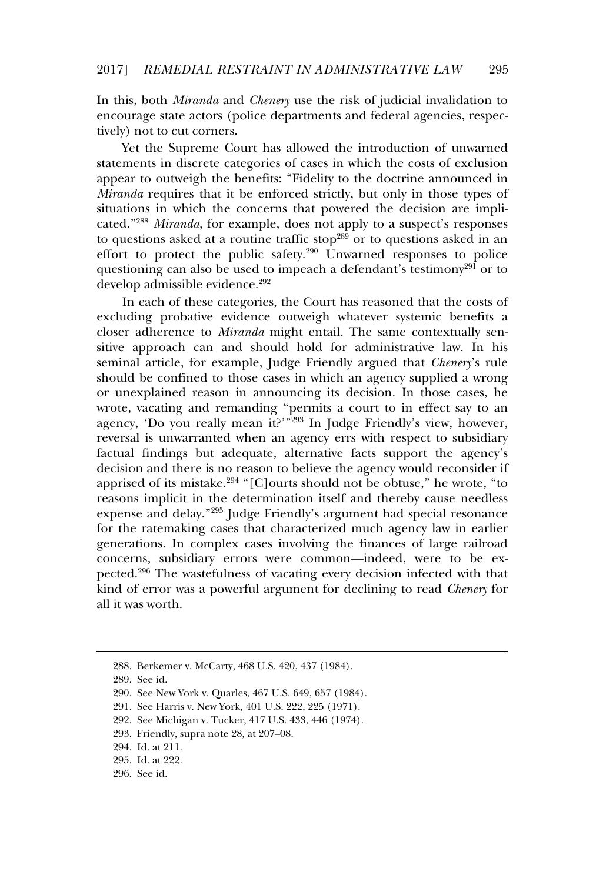In this, both *Miranda* and *Chenery* use the risk of judicial invalidation to encourage state actors (police departments and federal agencies, respectively) not to cut corners.

Yet the Supreme Court has allowed the introduction of unwarned statements in discrete categories of cases in which the costs of exclusion appear to outweigh the benefits: "Fidelity to the doctrine announced in *Miranda* requires that it be enforced strictly, but only in those types of situations in which the concerns that powered the decision are implicated."<sup>288</sup> *Miranda*, for example, does not apply to a suspect's responses to questions asked at a routine traffic stop<sup>289</sup> or to questions asked in an effort to protect the public safety.<sup>290</sup> Unwarned responses to police questioning can also be used to impeach a defendant's testimony<sup>291</sup> or to develop admissible evidence.<sup>292</sup>

In each of these categories, the Court has reasoned that the costs of excluding probative evidence outweigh whatever systemic benefits a closer adherence to *Miranda* might entail. The same contextually sensitive approach can and should hold for administrative law. In his seminal article, for example, Judge Friendly argued that *Chenery*'s rule should be confined to those cases in which an agency supplied a wrong or unexplained reason in announcing its decision. In those cases, he wrote, vacating and remanding "permits a court to in effect say to an agency, vacaling and remaining permits a court to in effect say to an<br>agency, 'Do you really mean it?'"<sup>293</sup> In Judge Friendly's view, however, reversal is unwarranted when an agency errs with respect to subsidiary factual findings but adequate, alternative facts support the agency's decision and there is no reason to believe the agency would reconsider if apprised of its mistake.<sup>294</sup> "[C]ourts should not be obtuse." he wrote, "to reasons implicit in the determination itself and thereby cause needless expense and delay."<sup>295</sup> Judge Friendly's argument had special resonance for the ratemaking cases that characterized much agency law in earlier generations. In complex cases involving the finances of large railroad concerns, subsidiary errors were common—indeed, were to be expected.<sup>296</sup> The wastefulness of vacating every decision infected with that kind of error was a powerful argument for declining to read *Chenery* for all it was worth.

<sup>288.</sup> Berkemer v. McCarty, 468 U.S. 420, 437 (1984).

<sup>289.</sup> See id.

<sup>290.</sup> See New York v. Quarles, 467 U.S. 649, 657 (1984).

<sup>291.</sup> See Harris v. New York, 401 U.S. 222, 225 (1971).

<sup>292.</sup> See Michigan v. Tucker, 417 U.S. 433, 446 (1974).

<sup>293.</sup> Friendly, supra note 28, at 207–08.

<sup>294.</sup> Id. at 211.

<sup>295.</sup> Id. at 222.

<sup>296.</sup> See id.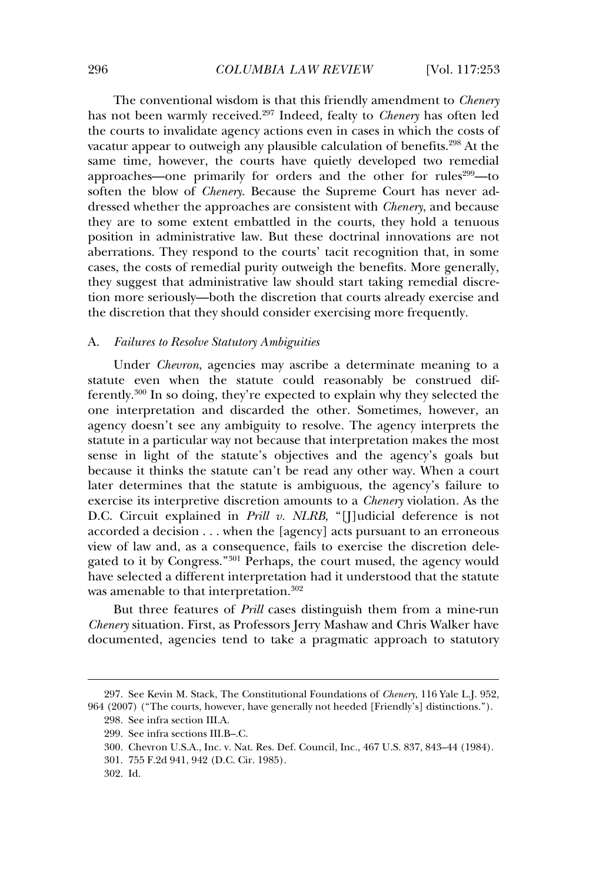The conventional wisdom is that this friendly amendment to *Chenery* has not been warmly received.<sup>297</sup> Indeed, fealty to *Chenery* has often led the courts to invalidate agency actions even in cases in which the costs of vacatur appear to outweigh any plausible calculation of benefits.<sup>298</sup> At the same time, however, the courts have quietly developed two remedial approaches—one primarily for orders and the other for rules<sup>299</sup>—to soften the blow of *Chenery*. Because the Supreme Court has never addressed whether the approaches are consistent with *Chenery*, and because they are to some extent embattled in the courts, they hold a tenuous position in administrative law. But these doctrinal innovations are not aberrations. They respond to the courts' tacit recognition that, in some cases, the costs of remedial purity outweigh the benefits. More generally, they suggest that administrative law should start taking remedial discretion more seriously—both the discretion that courts already exercise and the discretion that they should consider exercising more frequently.

### A. *Failures to Resolve Statutory Ambiguities*

Under *Chevron*, agencies may ascribe a determinate meaning to a statute even when the statute could reasonably be construed differently.<sup>300</sup> In so doing, they're expected to explain why they selected the one interpretation and discarded the other. Sometimes, however, an agency doesn't see any ambiguity to resolve. The agency interprets the statute in a particular way not because that interpretation makes the most sense in light of the statute's objectives and the agency's goals but because it thinks the statute can't be read any other way. When a court later determines that the statute is ambiguous, the agency's failure to exercise its interpretive discretion amounts to a *Chenery* violation. As the D.C. Circuit explained in *Prill v. NLRB*, "[J]udicial deference is not accorded a decision . . . when the [agency] acts pursuant to an erroneous view of law and, as a consequence, fails to exercise the discretion delegated to it by Congress."<sup>301</sup> Perhaps, the court mused, the agency would have selected a different interpretation had it understood that the statute was amenable to that interpretation.<sup>302</sup>

But three features of *Prill* cases distinguish them from a mine-run *Chenery* situation. First, as Professors Jerry Mashaw and Chris Walker have documented, agencies tend to take a pragmatic approach to statutory

<sup>297.</sup> See Kevin M. Stack, The Constitutional Foundations of *Chenery*, 116 Yale L.J. 952, 964 (2007) ("The courts, however, have generally not heeded [Friendly's] distinctions.").

<sup>298.</sup> See infra section III.A.

<sup>299.</sup> See infra sections III.B–.C.

<sup>300.</sup> Chevron U.S.A., Inc. v. Nat. Res. Def. Council, Inc., 467 U.S. 837, 843–44 (1984).

<sup>301. 755</sup> F.2d 941, 942 (D.C. Cir. 1985).

<sup>302.</sup> Id.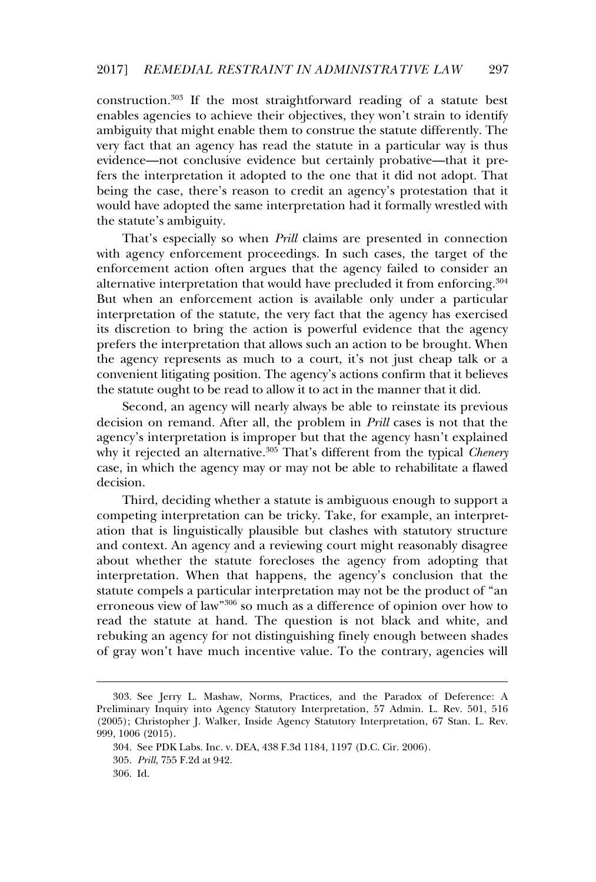construction.<sup>303</sup> If the most straightforward reading of a statute best enables agencies to achieve their objectives, they won't strain to identify ambiguity that might enable them to construe the statute differently. The amorgany that might entitie them to construct the statute differently. The<br>very fact that an agency has read the statute in a particular way is thus evidence—not conclusive evidence but certainly probative—that it prefers the interpretation it adopted to the one that it did not adopt. That being the case, there's reason to credit an agency's protestation that it would have adopted the same interpretation had it formally wrestled with the statute's ambiguity.

That's especially so when *Prill* claims are presented in connection with agency enforcement proceedings. In such cases, the target of the enforcement action often argues that the agency failed to consider an alternative interpretation that would have precluded it from enforcing.<sup>304</sup> But when an enforcement action is available only under a particular interpretation of the statute, the very fact that the agency has exercised its discretion to bring the action is powerful evidence that the agency prefers the interpretation that allows such an action to be brought. When the agency represents as much to a court, it's not just cheap talk or a convenient litigating position. The agency's actions confirm that it believes the statute ought to be read to allow it to act in the manner that it did.

Second, an agency will nearly always be able to reinstate its previous decision on remand. After all, the problem in *Prill* cases is not that the agency's interpretation is improper but that the agency hasn't explained why it rejected an alternative.<sup>305</sup> That's different from the typical *Chenery* case, in which the agency may or may not be able to rehabilitate a flawed decision.

Third, deciding whether a statute is ambiguous enough to support a competing interpretation can be tricky. Take, for example, an interpretation that is linguistically plausible but clashes with statutory structure and context. An agency and a reviewing court might reasonably disagree about whether the statute forecloses the agency from adopting that interpretation. When that happens, the agency's conclusion that the statute compels a particular interpretation may not be the product of "an erroneous view of law"<sup>306</sup> so much as a difference of opinion over how to read the statute at hand. The question is not black and white, and rebuking an agency for not distinguishing finely enough between shades of gray won't have much incentive value. To the contrary, agencies will

<sup>303.</sup> See Jerry L. Mashaw, Norms, Practices, and the Paradox of Deference: A Preliminary Inquiry into Agency Statutory Interpretation, 57 Admin. L. Rev. 501, 516 (2005); Christopher J. Walker, Inside Agency Statutory Interpretation, 67 Stan. L. Rev. 999, 1006 (2015).

<sup>304.</sup> See PDK Labs. Inc. v. DEA, 438 F.3d 1184, 1197 (D.C. Cir. 2006).

<sup>305.</sup> *Prill*, 755 F.2d at 942.

<sup>306.</sup> Id.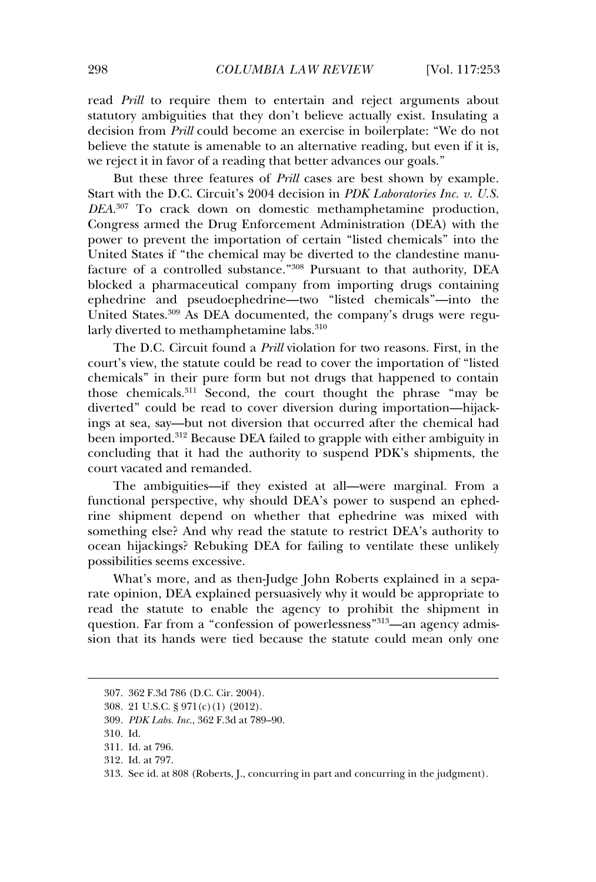read *Prill* to require them to entertain and reject arguments about statutory ambiguities that they don't believe actually exist. Insulating a decision from *Prill* could become an exercise in boilerplate: "We do not believe the statute is amenable to an alternative reading, but even if it is. we reject it in favor of a reading that better advances our goals."

But these three features of *Prill* cases are best shown by example. Start with the D.C. Circuit's 2004 decision in *PDK Laboratories Inc. v. U.S. DEA*. 307 To crack down on domestic methamphetamine production, Congress armed the Drug Enforcement Administration (DEA) with the power to prevent the importation of certain "listed chemicals" into the United States if "the chemical may be diverted to the clandestine manufacture of a controlled substance."<sup>308</sup> Pursuant to that authority, DEA blocked a pharmaceutical company from importing drugs containing ephedrine and pseudoephedrine—two "listed chemicals"—into the United States.<sup>309</sup> As DEA documented, the company's drugs were regularly diverted to methamphetamine labs.<sup>310</sup>

The D.C. Circuit found a *Prill* violation for two reasons. First, in the court's view, the statute could be read to cover the importation of "listed court's year, the statute could be read to cover the importation of instead<br>chemicals" in their pure form but not drugs that happened to contain those chemicals.<sup>311</sup> Second, the court thought the phrase "may be diverted" could be read to cover diversion during importation—hijackings at sea, say—but not diversion that occurred after the chemical had been imported.<sup>312</sup> Because DEA failed to grapple with either ambiguity in concluding that it had the authority to suspend PDK's shipments, the court vacated and remanded.

The ambiguities—if they existed at all—were marginal. From a functional perspective, why should DEA's power to suspend an ephedrine shipment depend on whether that ephedrine was mixed with something else? And why read the statute to restrict DEA's authority to ocean hijackings? Rebuking DEA for failing to ventilate these unlikely possibilities seems excessive.

What's more, and as then-Judge John Roberts explained in a sepawhat s more, and as alten judge joint Roberts explained in a separate opinion. DEA explained persuasively why it would be appropriate to read the statute to enable the agency to prohibit the shipment in question. Far from a "confession of powerlessness"<sup>313</sup>—an agency admission that its hands were tied because the statute could mean only one

<sup>307. 362</sup> F.3d 786 (D.C. Cir. 2004).

<sup>308. 21</sup> U.S.C. § 971(c)(1) (2012).

<sup>309.</sup> *PDK Labs. Inc*., 362 F.3d at 789–90.

<sup>310.</sup> Id.

<sup>311.</sup> Id. at 796.

<sup>312.</sup> Id. at 797.

<sup>313.</sup> See id. at 808 (Roberts, J., concurring in part and concurring in the judgment).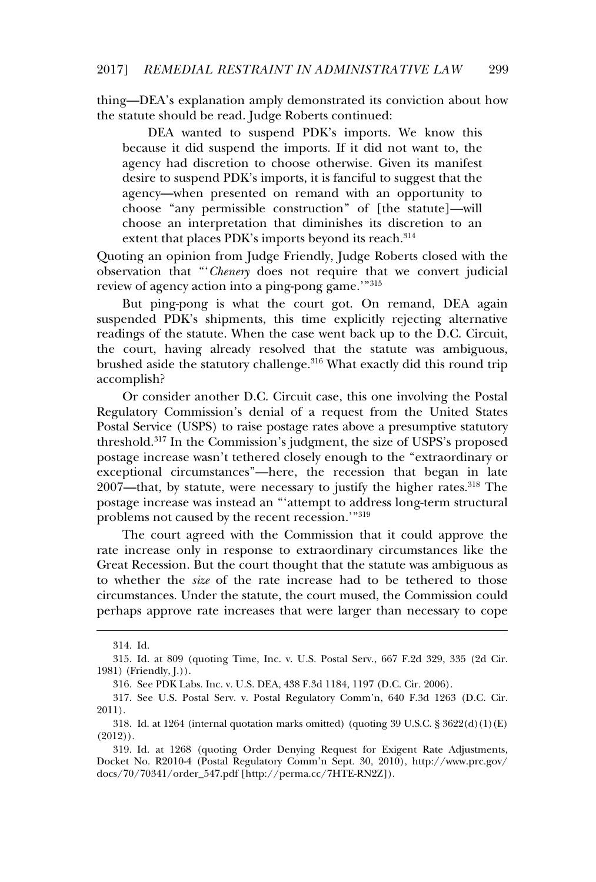thing—DEA's explanation amply demonstrated its conviction about how the statute should be read. Judge Roberts continued:

DEA wanted to suspend PDK's imports. We know this because it did suspend the imports. If it did not want to, the agency had discretion to choose otherwise. Given its manifest desire, that discretion to enouse otherwise. Siven its mannest<br>desire to suspend PDK's imports, it is fanciful to suggest that the agency—when presented on remand with an opportunity to choose "any permissible construction" of [the statute]—will choose an interpretation that diminishes its discretion to an extent that places PDK's imports beyond its reach.<sup>314</sup>

Quoting an opinion from Judge Friendly, Judge Roberts closed with the observation that "'*Chenery* does not require that we convert judicial review of agency action into a ping-pong game.'"<sup>315</sup>

But ping-pong is what the court got. On remand, DEA again suspended PDK's shipments, this time explicitly rejecting alternative readings of the statute. When the case went back up to the D.C. Circuit, the court, having already resolved that the statute was ambiguous, brushed aside the statutory challenge.<sup>316</sup> What exactly did this round trip accomplish?

Or consider another D.C. Circuit case, this one involving the Postal Regulatory Commission's denial of a request from the United States Postal Service (USPS) to raise postage rates above a presumptive statutory threshold.<sup>317</sup> In the Commission's judgment, the size of USPS's proposed postage increase wasn't tethered closely enough to the "extraordinary or exceptional circumstances"—here, the recession that began in late 2007—that, by statute, were necessary to justify the higher rates.<sup>318</sup> The post and, by statute, were necessary to justify the inglier rates. The postage increase was instead an "'attempt to address long-term structural problems not caused by the recent recession.'"<sup>319</sup>

The court agreed with the Commission that it could approve the rate increase only in response to extraordinary circumstances like the Great Recession. But the court thought that the statute was ambiguous as to whether the *size* of the rate increase had to be tethered to those circumstances. Under the statute, the court mused, the Commission could perhaps approve rate increases that were larger than necessary to cope

<sup>314.</sup> Id.

<sup>315.</sup> Id. at 809 (quoting Time, Inc. v. U.S. Postal Serv., 667 F.2d 329, 335 (2d Cir.  $1981$ ) (Friendly, J.)).

<sup>316.</sup> See PDK Labs. Inc. v. U.S. DEA, 438 F.3d 1184, 1197 (D.C. Cir. 2006).

<sup>317.</sup> See U.S. Postal Serv. v. Postal Regulatory Comm'n, 640 F.3d 1263 (D.C. Cir.  $2011$ ).

 $\frac{3}{2}$ .<br>318. Id. at 1264 (internal quotation marks omitted) (quoting 39 U.S.C. § 3622(d)(1)(E)  $(2012)$ ).

<sup>319.</sup> Id. at 1268 (quoting Order Denying Request for Exigent Rate Adjustments, Docket No. R2010-4 (Postal Regulatory Comm'n Sept. 30, 2010), http://www.prc.gov/ docs/70/70341/order\_547.pdf [http://perma.cc/7HTE-RN2Z]).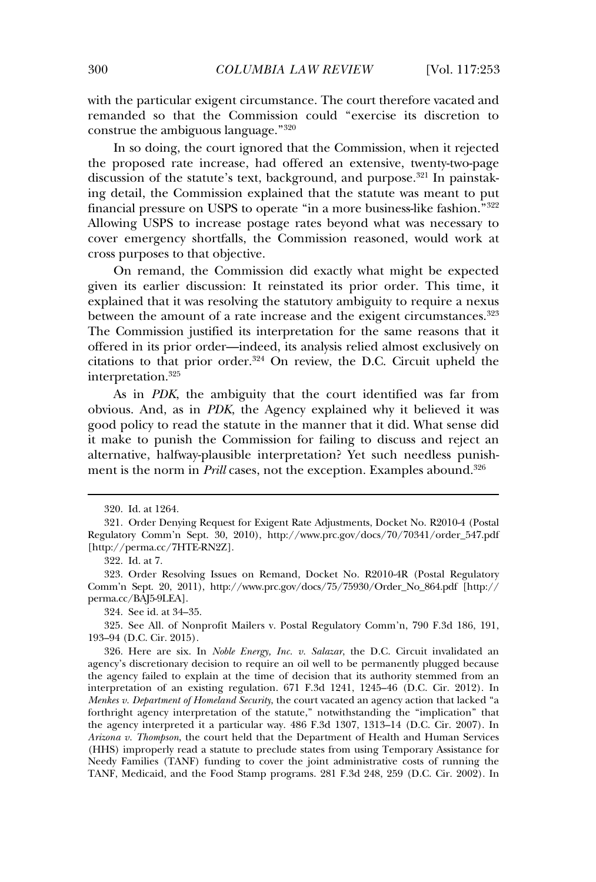with the particular exigent circumstance. The court therefore vacated and remanded so that the Commission could "exercise its discretion to construe the ambiguous language."<sup>320</sup>

In so doing, the court ignored that the Commission, when it rejected the proposed rate increase, had offered an extensive, twenty-two-page discussion of the statute's text, background, and purpose.<sup>321</sup> In painstaking detail, the Commission explained that the statute was meant to put financial pressure on USPS to operate "in a more business-like fashion."<sup>322</sup> Allowing USPS to increase postage rates beyond what was necessary to cover emergency shortfalls, the Commission reasoned, would work at cross purposes to that objective.

On remand, the Commission did exactly what might be expected given its earlier discussion: It reinstated its prior order. This time, it explained that it was resolving the statutory ambiguity to require a nexus explained that it was resolving the statutory ambiguity to require a nexus between the amount of a rate increase and the exigent circumstances.<sup>323</sup> The Commission justified its interpretation for the same reasons that it offered in its prior order—indeed, its analysis relied almost exclusively on citations to that prior order.<sup>324</sup> On review, the D.C. Circuit upheld the interpretation.<sup>325</sup>

As in *PDK*, the ambiguity that the court identified was far from obvious. And, as in *PDK*, the Agency explained why it believed it was good policy to read the statute in the manner that it did. What sense did it make to punish the Commission for failing to discuss and reject an alternative, halfway-plausible interpretation? Yet such needless punishment is the norm in *Prill* cases, not the exception. Examples abound.<sup>326</sup> ment is the norm in *Prill* cases, not the exception. Examples abound.<sup>326</sup>

324. See id. at 34–35.

325. See All. of Nonprofit Mailers v. Postal Regulatory Comm'n, 790 F.3d 186, 191, 193–94 (D.C. Cir. 2015).

326. Here are six. In *Noble Energy, Inc. v. Salazar*, the D.C. Circuit invalidated an agency's discretionary decision to require an oil well to be permanently plugged because the agency s undertaining accusion to require an on wen to be permanently pragged because<br>the agency failed to explain at the time of decision that its authority stemmed from an interpretation of an existing regulation. 671 F.3d 1241, 1245–46 (D.C. Cir. 2012). In *Menkes v. Department of Homeland Security*, the court vacated an agency action that lacked "a forthright agency interpretation of the statute," notwithstanding the "implication" that the agency interpreted it a particular way. 486 F.3d 1307, 1313–14 (D.C. Cir. 2007). In *Arizona v. Thompson*, the court held that the Department of Health and Human Services (HHS) improperly read a statute to preclude states from using Temporary Assistance for Needy Families (TANF) funding to cover the joint administrative costs of running the TANF, Medicaid, and the Food Stamp programs. 281 F.3d 248, 259 (D.C. Cir. 2002). In

<sup>320.</sup> Id. at 1264.

<sup>321.</sup> Order Denying Request for Exigent Rate Adjustments, Docket No. R2010-4 (Postal Regulatory Comm'n Sept. 30, 2010), http://www.prc.gov/docs/70/70341/order\_547.pdf [http://perma.cc/7HTE-RN2Z].

<sup>322.</sup> Id. at 7.

<sup>323.</sup> Order Resolving Issues on Remand, Docket No. R2010-4R (Postal Regulatory Comm'n Sept. 20, 2011), http://www.prc.gov/docs/75/75930/Order\_No\_864.pdf [http:// perma.cc/BAJ5-9LEA].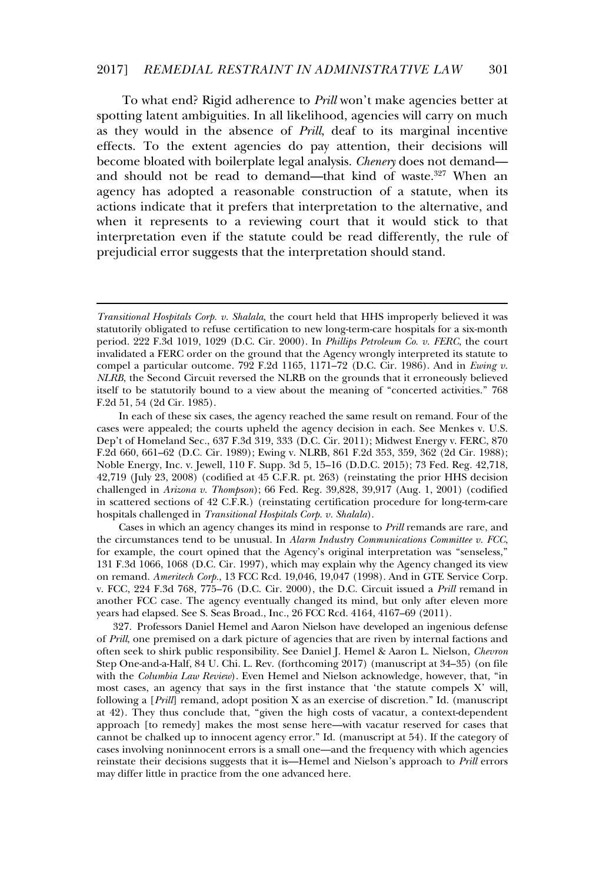To what end? Rigid adherence to *Prill* won't make agencies better at spotting latent ambiguities. In all likelihood, agencies will carry on much as they would in the absence of *Prill*, deaf to its marginal incentive effects. To the extent agencies do pay attention, their decisions will become bloated with boilerplate legal analysis. *Chenery* does not demand and should not be read to demand—that kind of waste.<sup>327</sup> When an agency has adopted a reasonable construction of a statute, when its actions indicate that it prefers that interpretation to the alternative, and when it represents to a reviewing court that it would stick to that interpretation even if the statute could be read differently, the rule of met preduced even in the statute court se read americity,

Cases in which an agency changes its mind in response to *Prill* remands are rare, and the circumstances tend to be unusual. In *Alarm Industry Communications Committee v. FCC*, for example, the court opined that the Agency's original interpretation was "senseless." 131 F.3d 1066, 1068 (D.C. Cir. 1997), which may explain why the Agency changed its view on remand. *Ameritech Corp.*, 13 FCC Rcd. 19,046, 19,047 (1998). And in GTE Service Corp. v. FCC, 224 F.3d 768, 775–76 (D.C. Cir. 2000), the D.C. Circuit issued a *Prill* remand in another FCC case. The agency eventually changed its mind, but only after eleven more years had elapsed. See S. Seas Broad., Inc., 26 FCC Rcd. 4164, 4167–69 (2011).

327. Professors Daniel Hemel and Aaron Nielson have developed an ingenious defense of *Prill*, one premised on a dark picture of agencies that are riven by internal factions and often seek to shirk public responsibility. See Daniel J. Hemel & Aaron L. Nielson, *Chevron* Step One-and-a-Half, 84 U. Chi. L. Rev. (forthcoming 2017) (manuscript at 34–35) (on file with the *Columbia Law Review*). Even Hemel and Nielson acknowledge, however, that, "in most cases, an agency that says in the first instance that 'the statute compels X' will, following a [*Prill*] remand, adopt position X as an exercise of discretion." Id. (manuscript at 42). They thus conclude that, "given the high costs of vacatur, a context-dependent approach [to remedy] makes the most sense here—with vacatur reserved for cases that cannot be chalked up to innocent agency error." Id. (manuscript at 54). If the category of cases involving noninnocent errors is a small one—and the frequency with which agencies reinstate their decisions suggests that it is—Hemel and Nielson's approach to *Prill* errors may differ little in practice from the one advanced here.

*Transitional Hospitals Corp. v. Shalala*, the court held that HHS improperly believed it was statutorily obligated to refuse certification to new long-term-care hospitals for a six-month period. 222 F.3d 1019, 1029 (D.C. Cir. 2000). In *Phillips Petroleum Co. v. FERC*, the court invalidated a FERC order on the ground that the Agency wrongly interpreted its statute to compel a particular outcome. 792 F.2d 1165, 1171–72 (D.C. Cir. 1986). And in *Ewing v. NLRB*, the Second Circuit reversed the NLRB on the grounds that it erroneously believed itself to be statutorily bound to a view about the meaning of "concerted activities." 768 F.2d 51, 54 (2d Cir. 1985).

In each of these six cases, the agency reached the same result on remand. Four of the cases were appealed; the courts upheld the agency decision in each. See Menkes v. U.S. Dep't of Homeland Sec., 637 F.3d 319, 333 (D.C. Cir. 2011); Midwest Energy v. FERC, 870 F.2d 660, 661–62 (D.C. Cir. 1989); Ewing v. NLRB, 861 F.2d 353, 359, 362 (2d Cir. 1988); Noble Energy, Inc. v. Jewell, 110 F. Supp. 3d 5, 15–16 (D.D.C. 2015); 73 Fed. Reg. 42,718, 42,719 (July 23, 2008) (codified at 45 C.F.R. pt. 263) (reinstating the prior HHS decision challenged in *Arizona v. Thompson*); 66 Fed. Reg. 39,828, 39,917 (Aug. 1, 2001) (codified in scattered sections of 42 C.F.R.) (reinstating certification procedure for long-term-care hospitals challenged in *Transitional Hospitals Corp. v. Shalala*).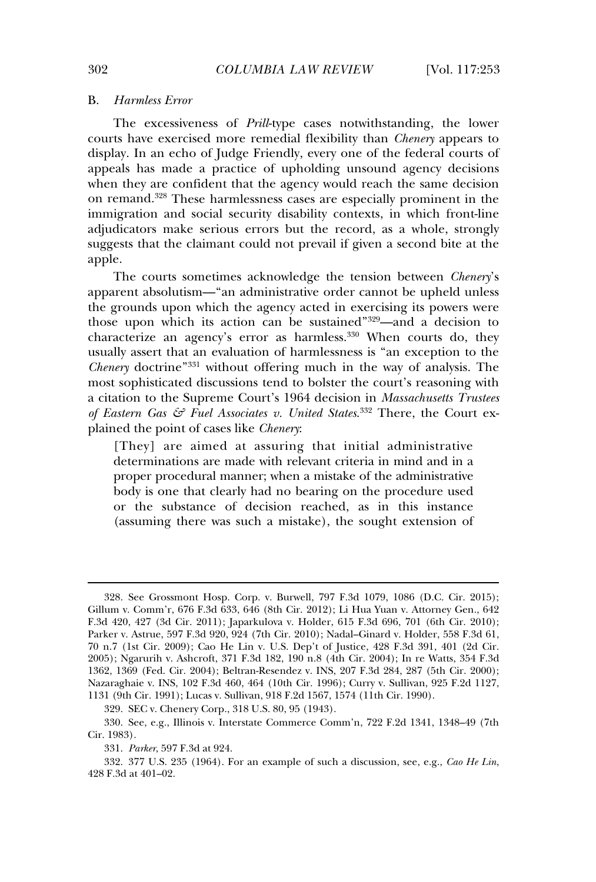#### B.*Harmless Error*

The excessiveness of *Prill*-type cases notwithstanding, the lower courts have exercised more remedial flexibility than *Chenery* appears to display. In an echo of Judge Friendly, every one of the federal courts of appeals has made a practice of upholding unsound agency decisions when they are confident that the agency would reach the same decision on remand.<sup>328</sup> These harmlessness cases are especially prominent in the In tender in these narriessness cases are especially prominent in the immigration and social security disability contexts, in which front-line adjudicators make serious errors but the record, as a whole, strongly suggests that the claimant could not prevail if given a second bite at the <sub>oubb</sub>er<br>apple.

The courts sometimes acknowledge the tension between *Chenery*'s apparent absolutism—"an administrative order cannot be upheld unless the grounds upon which the agency acted in exercising its powers were those upon which its action can be sustained"<sup>329</sup>—and a decision to characterize an agency's error as harmless.<sup>330</sup> When courts do, they usually assert that an evaluation of harmlessness is "an exception to the *Chenery* doctrine"<sup>331</sup> without offering much in the way of analysis. The most sophisticated discussions tend to bolster the court's reasoning with a citation to the Supreme Court's 1964 decision in *Massachusetts Trustees of Eastern Gas & Fuel Associates v. United States*. 332 There, the Court explained the point of cases like *Chenery*:

 $[Thev]$  are aimed at assuring that initial administrative determinations are made with relevant criteria in mind and in a proper procedural manner; when a mistake of the administrative body is one that clearly had no bearing on the procedure used or the substance of decision reached, as in this instance (assuming there was such a mistake), the sought extension of

329. SEC v. Chenery Corp., 318 U.S. 80, 95 (1943).

<sup>328.</sup> See Grossmont Hosp. Corp. v. Burwell, 797 F.3d 1079, 1086 (D.C. Cir. 2015); Gillum v. Comm'r, 676 F.3d 633, 646 (8th Cir. 2012); Li Hua Yuan v. Attorney Gen., 642 F.3d 420, 427 (3d Cir. 2011); Japarkulova v. Holder, 615 F.3d 696, 701 (6th Cir. 2010); Parker v. Astrue, 597 F.3d 920, 924 (7th Cir. 2010); Nadal–Ginard v. Holder, 558 F.3d 61, 70 n.7 (1st Cir. 2009); Cao He Lin v. U.S. Dep't of Justice, 428 F.3d 391, 401 (2d Cir. 2005); Ngarurih v. Ashcroft, 371 F.3d 182, 190 n.8 (4th Cir. 2004); In re Watts, 354 F.3d 1362, 1369 (Fed. Cir. 2004); Beltran-Resendez v. INS, 207 F.3d 284, 287 (5th Cir. 2000); Nazaraghaie v. INS, 102 F.3d 460, 464 (10th Cir. 1996); Curry v. Sullivan, 925 F.2d 1127, 1131 (9th Cir. 1991); Lucas v. Sullivan, 918 F.2d 1567, 1574 (11th Cir. 1990).

<sup>330.</sup> See, e.g., Illinois v. Interstate Commerce Comm'n, 722 F.2d 1341, 1348–49 (7th Cir. 1983).

<sup>331.</sup> *Parker*, 597 F.3d at 924.

<sup>332. 377</sup> U.S. 235 (1964). For an example of such a discussion, see, e.g., *Cao He Lin*, 428 F.3d at 401–02.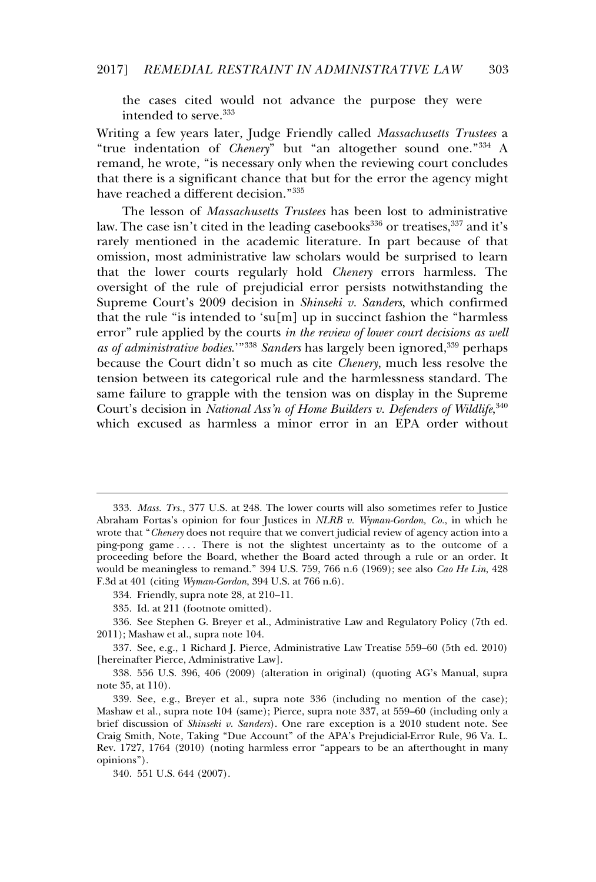the cases cited would not advance the purpose they were intended to serve.<sup>333</sup>

Writing a few years later, Judge Friendly called *Massachusetts Trustees* a "true indentation of *Chenery*" but "an altogether sound one."<sup>334</sup> A remand, he wrote, "is necessary only when the reviewing court concludes that there is a significant chance that but for the error the agency might have reached a different decision."<sup>335</sup>

The lesson of *Massachusetts Trustees* has been lost to administrative law. The case isn't cited in the leading casebooks<sup>336</sup> or treatises,<sup>337</sup> and it's rarely mentioned in the academic literature. In part because of that omission, most administrative law scholars would be surprised to learn that the lower courts regularly hold *Chenery* errors harmless. The oversight of the rule of prejudicial error persists notwithstanding the Supreme Court's 2009 decision in *Shinseki v. Sanders*, which confirmed that the rule "is intended to 'su[m] up in succinct fashion the "harmless error" rule applied by the courts *in the review of lower court decisions as well as of administrative bodies*.'"<sup>338</sup> *Sanders* has largely been ignored,<sup>339</sup> perhaps because the Court didn't so much as cite *Chenery*, much less resolve the tension between its categorical rule and the harmlessness standard. The same failure to grapple with the tension was on display in the Supreme Court's decision in *National Ass'n of Home Builders v. Defenders of Wildlife*, 340 which excused as harmless a minor error in an EPA order without

<sup>333.</sup> *Mass. Trs.*, 377 U.S. at 248. The lower courts will also sometimes refer to Justice Abraham Fortas's opinion for four Justices in *NLRB v. Wyman-Gordon, Co.*, in which he wrote that "*Chenery* does not require that we convert judicial review of agency action into a pose that solutions are not require that we convert judicial review of agency action into a<br>ping-pong game .... There is not the slightest uncertainty as to the outcome of a proceeding before the Board, whether the Board acted through a rule or an order. It would be meaningless to remand." 394 U.S. 759, 766 n.6 (1969); see also *Cao He Lin*, 428 F.3d at 401 (citing *Wyman-Gordon*, 394 U.S. at 766 n.6).

 $334.$  Friendly, supra note 28, at 210–11.

 $335.$  Id. at 211 (footnote omitted).

<sup>336.</sup> See Stephen G. Breyer et al., Administrative Law and Regulatory Policy (7th ed. 2011); Mashaw et al., supra note 104.

 $\frac{337}{337}$ . See, e.g., 1 Richard I. Pierce, Administrative Law Treatise 559–60 (5th ed. 2010) [hereinafter Pierce, Administrative Law].

<sup>338. 556</sup> U.S. 396, 406 (2009) (alteration in original) (quoting AG's Manual, supra note  $35$ , at  $110$ ).

<sup>339.</sup> See, e.g., Breyer et al., supra note 336 (including no mention of the case); Mashaw et al., supra note 104 (same); Pierce, supra note 337, at 559–60 (including only a brief discussion of *Shinseki v. Sanders*). One rare exception is a 2010 student note. See Craig Smith, Note, Taking "Due Account" of the APA's Prejudicial-Error Rule, 96 Va. L. Rev. 1727, 1764 (2010) (noting harmless error "appears to be an afterthought in many opinions").

<sup>340. 551</sup> U.S. 644 (2007).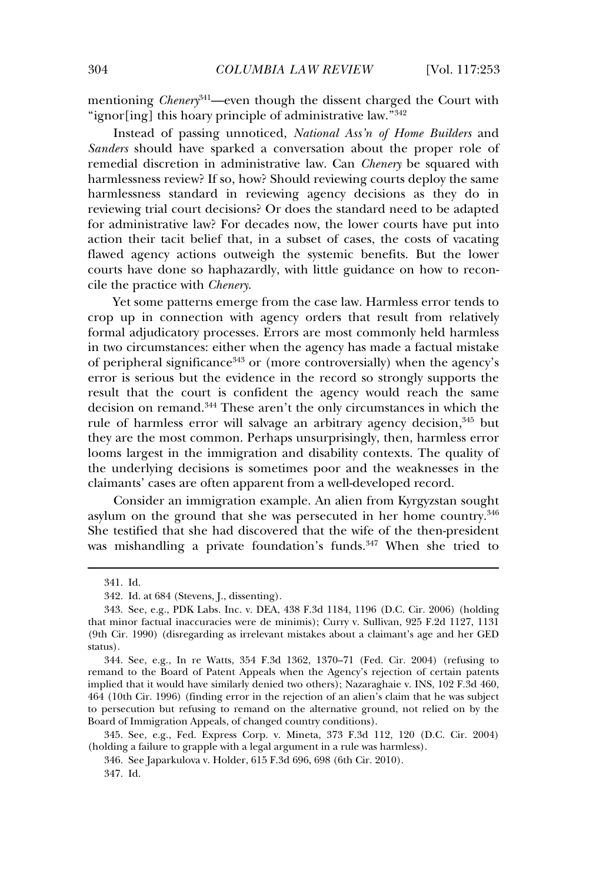mentioning *Chenery*<sup>341</sup>—even though the dissent charged the Court with mendomig *chearty* even drough the dissent endiged<br>"ignor[ing] this hoary principle of administrative law."<sup>342</sup>

Instead of passing unnoticed, *National Ass'n of Home Builders* and *Sanders* should have sparked a conversation about the proper role of remedial discretion in administrative law. Can *Chenery* be squared with harmlessness review? If so, how? Should reviewing courts deploy the same harmlessness review. It so, how, should reviewing counts deploy the same<br>harmlessness standard in reviewing agency decisions as they do in reviewing trial court decisions? Or does the standard need to be adapted for administrative law? For decades now, the lower courts have put into action their tacit belief that, in a subset of cases, the costs of vacating flawed agency actions outweigh the systemic benefits. But the lower courts have done so haphazardly, with little guidance on how to reconcile the practice with *Chenery*.

Yet some patterns emerge from the case law. Harmless error tends to crop up in connection with agency orders that result from relatively formal adjudicatory processes. Errors are most commonly held harmless in two circumstances: either when the agency has made a factual mistake of peripheral significance<sup>343</sup> or (more controversially) when the agency's error is serious but the evidence in the record so strongly supports the result that the court is confident the agency would reach the same decision on remand.<sup>344</sup> These aren't the only circumstances in which the rule of harmless error will salvage an arbitrary agency decision.<sup>345</sup> but they are the most common. Perhaps unsurprisingly, then, harmless error looms largest in the immigration and disability contexts. The quality of the underlying decisions is sometimes poor and the weaknesses in the claimants' cases are often apparent from a well-developed record.

Consider an immigration example. An alien from Kyrgyzstan sought asylum on the ground that she was persecuted in her home country.<sup>346</sup> she testified that she had discovered that the wife of the then-president was mishandling a private foundation's funds.<sup>347</sup> When she tried to

<sup>341.</sup> Id.

<sup>342.</sup> Id. at 684 (Stevens, J., dissenting).

<sup>343.</sup> See, e.g., PDK Labs. Inc. v. DEA, 438 F.3d 1184, 1196 (D.C. Cir. 2006) (holding that minor factual inaccuracies were de minimis); Curry v. Sullivan, 925 F.2d 1127, 1131 (9th Cir. 1990) (disregarding as irrelevant mistakes about a claimant's age and her GED status).

<sup>344.</sup> See, e.g., In re Watts, 354 F.3d 1362, 1370–71 (Fed. Cir. 2004) (refusing to remand to the Board of Patent Appeals when the Agency's rejection of certain patents implied that it would have similarly denied two others); Nazaraghaie v. INS, 102 F.3d 460, 464 (10th Cir. 1996) (finding error in the rejection of an alien's claim that he was subject to persecution but refusing to remand on the alternative ground, not relied on by the Board of Immigration Appeals, of changed country conditions).

<sup>345.</sup> See, e.g., Fed. Express Corp. v. Mineta, 373 F.3d 112, 120 (D.C. Cir. 2004) (holding a failure to grapple with a legal argument in a rule was harmless).

<sup>346.</sup> See Japarkulova v. Holder, 615 F.3d 696, 698 (6th Cir. 2010).

<sup>347.</sup> Id.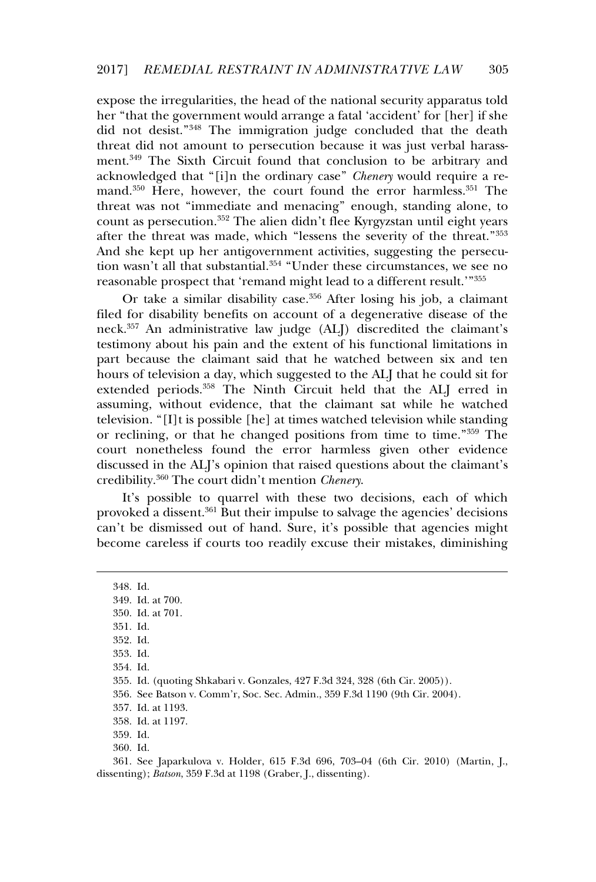expose the irregularities, the head of the national security apparatus told her "that the government would arrange a fatal 'accident' for [her] if she did not desist."<sup>348</sup> The immigration judge concluded that the death threat did not amount to persecution because it was just verbal harassment.<sup>349</sup> The Sixth Circuit found that conclusion to be arbitrary and acknowledged that "[i]n the ordinary case" *Chenery* would require a remand. $350$  Here, however, the court found the error harmless. $351$  The threat was not "immediate and menacing" enough, standing alone, to count as persecution.<sup>352</sup> The alien didn't flee Kyrgyzstan until eight years after the threat was made, which "lessens the severity of the threat."<sup>353</sup> And she kept up her antigovernment activities, suggesting the persecution wasn't all that substantial.<sup>354</sup> "Under these circumstances, we see no reasonable prospect that 'remand might lead to a different result.'"<sup>355</sup>

Or take a similar disability case.<sup>356</sup> After losing his job, a claimant filed for disability benefits on account of a degenerative disease of the neck.<sup>357</sup> An administrative law judge (ALI) discredited the claimant's testimony about his pain and the extent of his functional limitations in part because the claimant said that he watched between six and ten hours of television a day, which suggested to the ALJ that he could sit for extended periods.<sup>358</sup> The Ninth Circuit held that the ALJ erred in assuming, without evidence, that the claimant sat while he watched television. "[I]t is possible [he] at times watched television while standing or reclining, or that he changed positions from time to time."<sup>359</sup> The court nonetheless found the error harmless given other evidence discussed in the ALJ's opinion that raised questions about the claimant's credibility.<sup>360</sup> The court didn't mention *Chenery*.

It's possible to quarrel with these two decisions, each of which provoked a dissent.<sup>361</sup> But their impulse to salvage the agencies' decisions can't be dismissed out of hand. Sure, it's possible that agencies might become careless if courts too readily excuse their mistakes, diminishing

360. Id.

361. See Japarkulova v. Holder, 615 F.3d 696, 703–04 (6th Cir. 2010) (Martin, J., dissenting); *Batson*, 359 F.3d at 1198 (Graber, J., dissenting).

<sup>348.</sup> Id.349. Id. at 700.350. Id. at 701. 351. Id.352. Id. 353. Id.354. Id.355. Id. (quoting Shkabari v. Gonzales, 427 F.3d 324, 328 (6th Cir. 2005)). 356. See Batson v. Comm'r, Soc. Sec. Admin., 359 F.3d 1190 (9th Cir. 2004). 357. Id. at 1193. 358. Id. at 1197. 359. Id.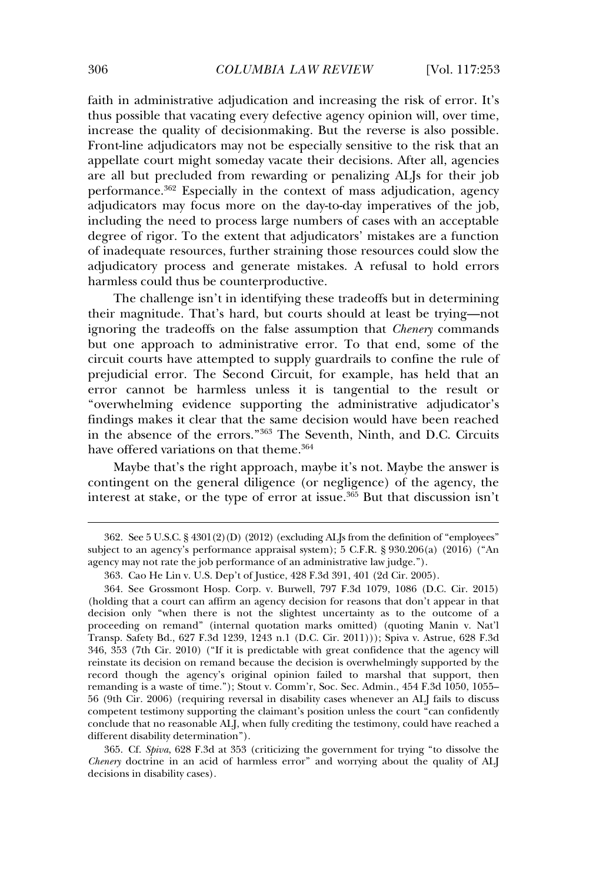faith in administrative adjudication and increasing the risk of error. It's thus possible that vacating every defective agency opinion will, over time, increase the quality of decisionmaking. But the reverse is also possible. Front-line adjudicators may not be especially sensitive to the risk that an appellate court might someday vacate their decisions. After all, agencies are all but precluded from rewarding or penalizing ALJs for their job performance.<sup>362</sup> Especially in the context of mass adjudication, agency adjudicators may focus more on the day-to-day imperatives of the job, including the need to process large numbers of cases with an acceptable degree of rigor. To the extent that adjudicators' mistakes are a function of inadequate resources, further straining those resources could slow the adjudicatory process and generate mistakes. A refusal to hold errors harmless could thus be counterproductive.

The challenge isn't in identifying these tradeoffs but in determining their magnitude. That's hard, but courts should at least be trying—not ignoring the tradeoffs on the false assumption that *Chenery* commands but one approach to administrative error. To that end, some of the circuit courts have attempted to supply guardrails to confine the rule of prejudicial error. The Second Circuit, for example, has held that an error cannot be harmless unless it is tangential to the result or "overwhelming evidence supporting the administrative adjudicator's findings makes it clear that the same decision would have been reached in the absence of the errors."<sup>363</sup> The Seventh, Ninth, and D.C. Circuits have offered variations on that theme.<sup>364</sup>

Maybe that's the right approach, maybe it's not. Maybe the answer is contingent on the general diligence (or negligence) of the agency, the interest at stake, or the type of error at issue.<sup>365</sup> But that discussion isn't

365. Cf. *Spiva*, 628 F.3d at 353 (criticizing the government for trying "to dissolve the *Chenery* doctrine in an acid of harmless error" and worrying about the quality of ALJ decisions in disability cases).

<sup>362.</sup> See 5 U.S.C. § 4301(2)(D) (2012) (excluding ALJs from the definition of "employees" subject to an agency's performance appraisal system); 5 C.F.R. § 930.206(a) (2016) ("An abject to an agency *s* performance apprasar system), o en i.e. g soc.200

<sup>363.</sup> Cao He Lin v. U.S. Dep't of Justice, 428 F.3d 391, 401 (2d Cir. 2005).

<sup>364.</sup> See Grossmont Hosp. Corp. v. Burwell, 797 F.3d 1079, 1086 (D.C. Cir. 2015) (holding that a court can affirm an agency decision for reasons that don't appear in that decision only "when there is not the slightest uncertainty as to the outcome of a proceeding on remand" (internal quotation marks omitted) (quoting Manin v. Nat'l Transp. Safety Bd., 627 F.3d 1239, 1243 n.1 (D.C. Cir. 2011))); Spiva v. Astrue, 628 F.3d 346, 353 (7th Cir. 2010) ("If it is predictable with great confidence that the agency will reinstate its decision on remand because the decision is overwhelmingly supported by the reinstate its decision on remand because the decision is overwhelmingly supported by the remoduce to decision on remaind occurse are decision to overwhelmingly supported by the<br>record though the agency's original opinion failed to marshal that support, then remanding is a waste of time."); Stout v. Comm'r, Soc. Sec. Admin., 454 F.3d 1050, 1055– 56 (9th Cir. 2006) (requiring reversal in disability cases whenever an ALJ fails to discuss competent testimony supporting the claimant's position unless the court "can confidently competent testimony supporting the elaminity sposition timess the court can community<br>conclude that no reasonable ALJ, when fully crediting the testimony, could have reached a different disability determination").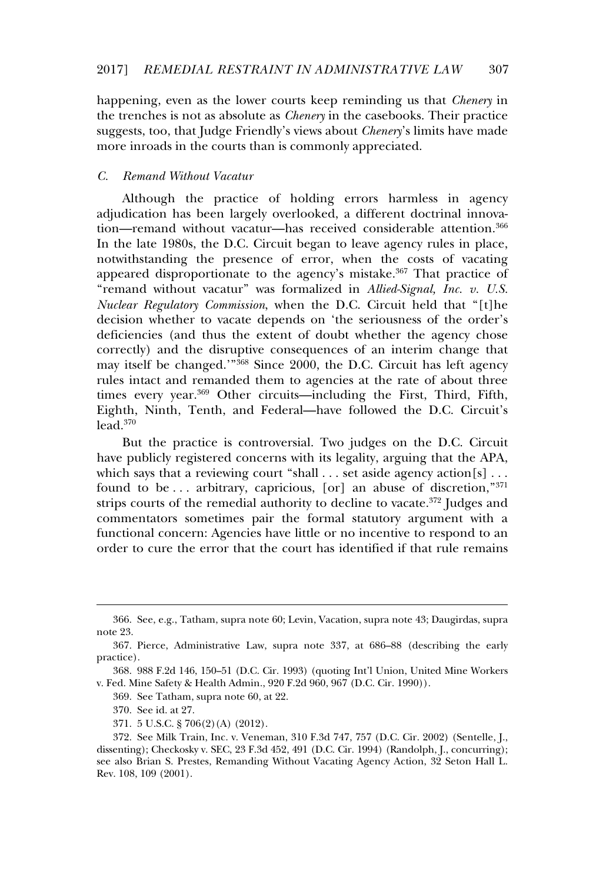happening, even as the lower courts keep reminding us that *Chenery* in the trenches is not as absolute as *Chenery* in the casebooks. Their practice suggests, too, that Judge Friendly's views about *Chenery*'s limits have made more inroads in the courts than is commonly appreciated.

#### *C. Remand Without Vacatur*

Although the practice of holding errors harmless in agency adjudication has been largely overlooked, a different doctrinal innovation—remand without vacatur—has received considerable attention.<sup>366</sup> In the late 1980s, the D.C. Circuit began to leave agency rules in place. In the late 1966s, the B.C. Chealt began to feare agency rates in place,<br>notwithstanding the presence of error, when the costs of vacating appeared disproportionate to the agency's mistake.<sup>367</sup> That practice of "remand without vacatur" was formalized in *Allied-Signal, Inc. v. U.S. Nuclear Regulatory Commission*, when the D.C. Circuit held that "[t]he decision whether to vacate depends on 'the seriousness of the order's deficiencies (and thus the extent of doubt whether the agency chose correctly) and the disruptive consequences of an interim change that may itself be changed.'"<sup>368</sup> Since 2000, the D.C. Circuit has left agency rules intact and remanded them to agencies at the rate of about three times every year.<sup>369</sup> Other circuits—including the First, Third, Fifth, Eighth, Ninth, Tenth, and Federal—have followed the D.C. Circuit's  $lead.^{370}$ 

But the practice is controversial. Two judges on the D.C. Circuit have publicly registered concerns with its legality, arguing that the APA, which says that a reviewing court "shall . . . set aside agency action[s] . . . found to be  $\dots$  arbitrary, capricious, [or] an abuse of discretion."<sup>371</sup> strips courts of the remedial authority to decline to vacate.<sup>372</sup> Judges and commentators sometimes pair the formal statutory argument with a functional concern: Agencies have little or no incentive to respond to an order to cure the error that the court has identified if that rule remains

369. See Tatham, supra note 60, at 22.

370. See id. at 27.

371. 5 U.S.C. § 706(2)(A) (2012).

<sup>366.</sup> See, e.g., Tatham, supra note 60; Levin, Vacation, supra note 43; Daugirdas, supra note 23.

<sup>367.</sup> Pierce, Administrative Law, supra note 337, at 686–88 (describing the early practice).

<sup>368.</sup> 988 F.2d 146, 150–51 (D.C. Cir. 1993) (quoting Int'l Union, United Mine Workers v. Fed. Mine Safety & Health Admin., 920 F.2d 960, 967 (D.C. Cir. 1990)).

<sup>372.</sup> See Milk Train, Inc. v. Veneman, 310 F.3d 747, 757 (D.C. Cir. 2002) (Sentelle, J., dissenting); Checkosky v. SEC, 23 F.3d 452, 491 (D.C. Cir. 1994) (Randolph, J., concurring); see also Brian S. Prestes, Remanding Without Vacating Agency Action, 32 Seton Hall L. Rev. 108, 109 (2001).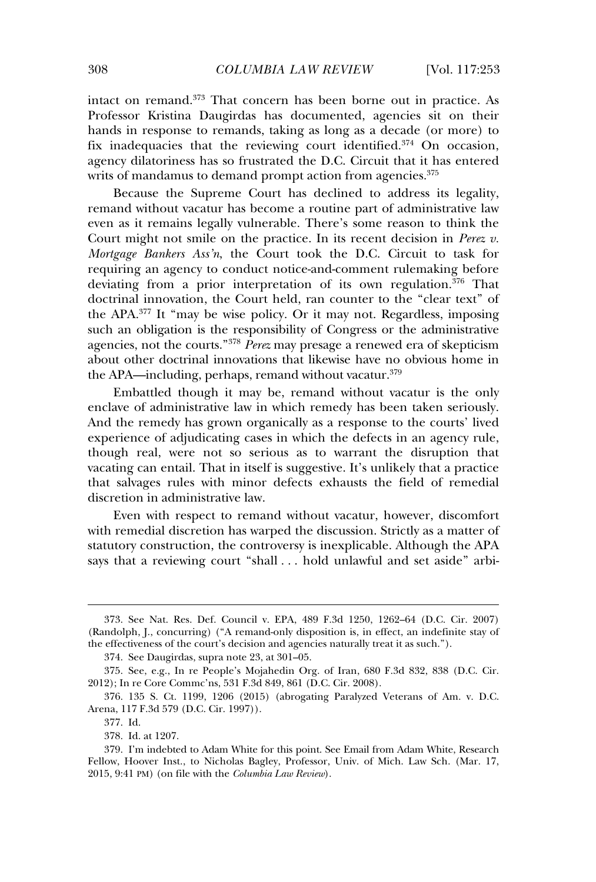intact on remand.<sup>373</sup> That concern has been borne out in practice. As Professor Kristina Daugirdas has documented, agencies sit on their hands in response to remands, taking as long as a decade (or more) to fix inadequacies that the reviewing court identified.<sup>374</sup> On occasion, agency dilatoriness has so frustrated the D.C. Circuit that it has entered writs of mandamus to demand prompt action from agencies.<sup>375</sup>

Because the Supreme Court has declined to address its legality, remand without vacatur has become a routine part of administrative law even as it remains legally vulnerable. There's some reason to think the Court might not smile on the practice. In its recent decision in *Perez v. Mortgage Bankers Ass'n*, the Court took the D.C. Circuit to task for requiring an agency to conduct notice-and-comment rulemaking before deviating from a prior interpretation of its own regulation.<sup>376</sup> That doctrinal innovation, the Court held, ran counter to the "clear text" of the APA.<sup>377</sup> It "may be wise policy. Or it may not. Regardless, imposing such an obligation is the responsibility of Congress or the administrative agencies, not the courts."<sup>378</sup> *Perez* may presage a renewed era of skepticism about other doctrinal innovations that likewise have no obvious home in the APA—including, perhaps, remand without vacatur.<sup>379</sup>

Embattled though it may be, remand without vacatur is the only enclave of administrative law in which remedy has been taken seriously. And the remedy has grown organically as a response to the courts' lived experience of adjudicating cases in which the defects in an agency rule. though real, were not so serious as to warrant the disruption that vacating can entail. That in itself is suggestive. It's unlikely that a practice that salvages rules with minor defects exhausts the field of remedial discretion in administrative law.

Even with respect to remand without vacatur, however, discomfort with remedial discretion has warped the discussion. Strictly as a matter of statutory construction, the controversy is inexplicable. Although the APA saketion, the conduction, is mexiphedistic. The example of the conduction of the same says that a reviewing court "shall . . . hold unlawful and set aside" arbi-

<sup>373.</sup> See Nat. Res. Def. Council v. EPA, 489 F.3d 1250, 1262–64 (D.C. Cir. 2007) (Randolph, J., concurring) ("A remand-only disposition is, in effect, an indefinite stay of the effectiveness of the court's decision and agencies naturally treat it as such.").

<sup>374.</sup> See Daugirdas, supra note 23, at 301–05.

<sup>375.</sup> See, e.g., In re People's Mojahedin Org. of Iran, 680 F.3d 832, 838 (D.C. Cir. 2012); In re Core Commc'ns, 531 F.3d 849, 861 (D.C. Cir. 2008).

<sup>376. 135</sup> S. Ct. 1199, 1206 (2015) (abrogating Paralyzed Veterans of Am. v. D.C. Arena, 117 F.3d 579 (D.C. Cir. 1997)).

<sup>377.</sup> Id.

<sup>378.</sup> Id. at 1207.

<sup>379.</sup> I'm indebted to Adam White for this point. See Email from Adam White, Research Fellow, Hoover Inst., to Nicholas Bagley, Professor, Univ. of Mich. Law Sch. (Mar. 17, 2015, 9:41 PM) (on file with the *Columbia Law Review*).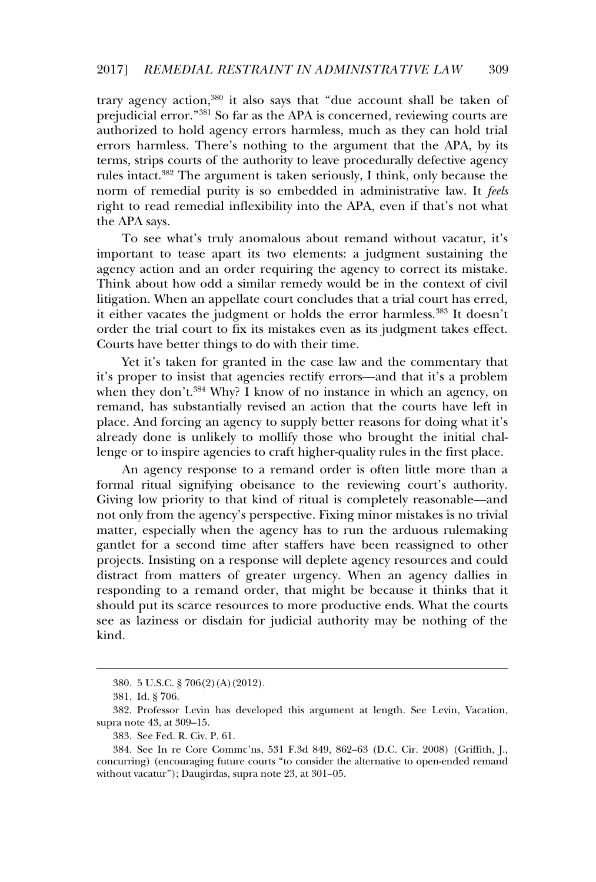trary agency action.<sup>380</sup> it also says that "due account shall be taken of prejudicial error."<sup>381</sup> So far as the APA is concerned, reviewing courts are authorized to hold agency errors harmless, much as they can hold trial errors harmless. There's nothing to the argument that the APA, by its terms, strips courts of the authority to leave procedurally defective agency rules intact.<sup>382</sup> The argument is taken seriously, I think, only because the norm of remedial purity is so embedded in administrative law. It *feels* right to read remedial inflexibility into the APA, even if that's not what the APA says.

To see what's truly anomalous about remand without vacatur, it's important to tease apart its two elements: a judgment sustaining the agency action and an order requiring the agency to correct its mistake. gency deach and an order requiring are agency to correct its initiative.<br>Think about how odd a similar remedy would be in the context of civil litigation. When an appellate court concludes that a trial court has erred, it either vacates the judgment or holds the error harmless.<sup>383</sup> It doesn't order the trial court to fix its mistakes even as its judgment takes effect. Courts have better things to do with their time.

Yet it's taken for granted in the case law and the commentary that it's proper to insist that agencies rectify errors—and that it's a problem when they don't.<sup>384</sup> Why? I know of no instance in which an agency, on remand, has substantially revised an action that the courts have left in place. And forcing an agency to supply better reasons for doing what it's place. This forcing an agency to supply better reasons for doing what it is<br>already done is unlikely to mollify those who brought the initial challenge or to inspire agencies to craft higher-quality rules in the first place.

An agency response to a remand order is often little more than a formal ritual signifying obeisance to the reviewing court's authority. Giving low priority to that kind of ritual is completely reasonable—and not only from the agency's perspective. Fixing minor mistakes is no trivial mot only from the agency s perspective. Fraing million inistances is no divide<br>matter, especially when the agency has to run the arduous rulemaking matter, especially when the agency has to full the arcticles functions of the gantlet for a second time after staffers have been reassigned to other projects. Insisting on a response will deplete agency resources and could distract from matters of greater urgency. When an agency dallies in responding to a remand order, that might be because it thinks that it should put its scarce resources to more productive ends. What the courts should put its searce resources to more productive ends. What the courts see as laziness or disdain for judicial authority may be nothing of the kind.

<sup>380. 5</sup> U.S.C. § 706(2)(A)(2012).

<sup>381.</sup> Id. § 706.

<sup>382.</sup> Professor Levin has developed this argument at length. See Levin, Vacation, supra note 43, at 309–15.

<sup>383.</sup> See Fed. R. Civ. P. 61.

<sup>384.</sup> See In re Core Commc'ns, 531 F.3d 849, 862–63 (D.C. Cir. 2008) (Griffith, J., concurring) (encouraging future courts "to consider the alternative to open-ended remand without vacatur"); Daugirdas, supra note 23, at 301–05.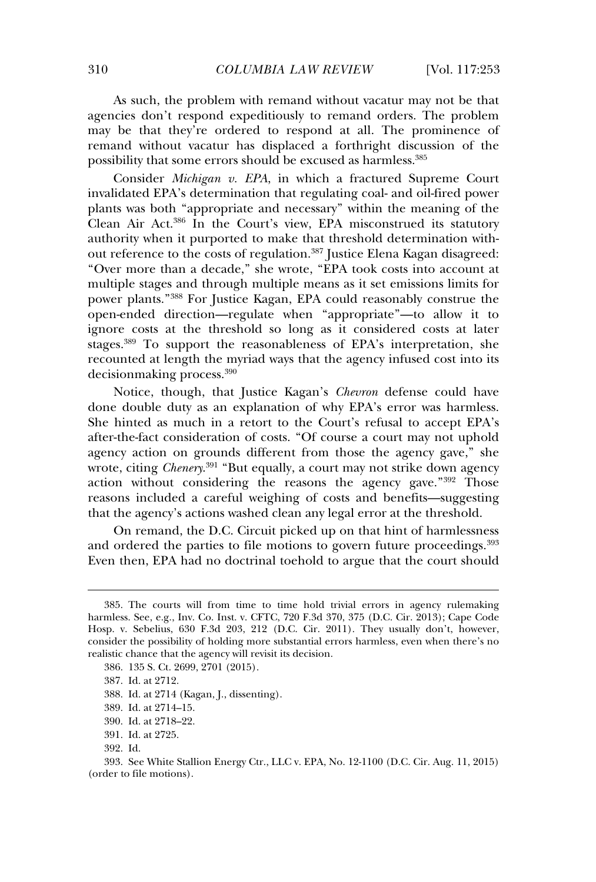As such, the problem with remand without vacatur may not be that agencies don't respond expeditiously to remand orders. The problem may be that they're ordered to respond at all. The prominence of remand without vacatur has displaced a forthright discussion of the possibility that some errors should be excused as harmless.<sup>385</sup>

Consider *Michigan v. EPA*, in which a fractured Supreme Court invalidated EPA's determination that regulating coal- and oil-fired power plants was both "appropriate and necessary" within the meaning of the Clean Air Act.<sup>386</sup> In the Court's view, EPA misconstrued its statutory authority when it purported to make that threshold determination without reference to the costs of regulation.<sup>387</sup> Justice Elena Kagan disagreed: "Over more than a decade," she wrote, "EPA took costs into account at multiple stages and through multiple means as it set emissions limits for multiple stages and through multiple means as it set emissions limits for power plants."<sup>388</sup> For Justice Kagan, EPA could reasonably construe the open-ended direction—regulate when "appropriate"—to allow it to ignore costs at the threshold so long as it considered costs at later stages.<sup>389</sup> To support the reasonableness of EPA's interpretation, she recounted at length the myriad ways that the agency infused cost into its decisionmaking process.<sup>390</sup>

Notice, though, that Justice Kagan's *Chevron* defense could have done double duty as an explanation of why EPA's error was harmless. She hinted as much in a retort to the Court's refusal to accept EPA's after-the-fact consideration of costs. "Of course a court may not uphold agency action on grounds different from those the agency gave," she wrote, citing *Chenery*. 391 "But equally, a court may not strike down agency action without considering the reasons the agency gave."<sup>392</sup> Those reasons included a careful weighing of costs and benefits—suggesting that the agency's actions washed clean any legal error at the threshold.

On remand, the D.C. Circuit picked up on that hint of harmlessness and ordered the parties to file motions to govern future proceedings.<sup>393</sup> Even then, EPA had no doctrinal toehold to argue that the court should

<sup>385.</sup> The courts will from time to time hold trivial errors in agency rulemaking harmless. See, e.g., Inv. Co. Inst. v. CFTC, 720 F.3d 370, 375 (D.C. Cir. 2013); Cape Code Hosp. v. Sebelius, 630 F.3d 203, 212 (D.C. Cir. 2011). They usually don't, however, consider the possibility of holding more substantial errors harmless, even when there's no realistic chance that the agency will revisit its decision.

<sup>386. 135</sup> S. Ct. 2699, 2701 (2015).

<sup>387.</sup> Id. at 2712.

<sup>388.</sup> Id. at 2714 (Kagan, J., dissenting).

<sup>389.</sup> Id. at 2714–15.

<sup>390.</sup> Id. at 2718–22.

<sup>391.</sup> Id. at 2725.

<sup>392.</sup> Id.

<sup>393.</sup> See White Stallion Energy Ctr., LLC v. EPA, No. 12-1100 (D.C. Cir. Aug. 11, 2015) (order to file motions).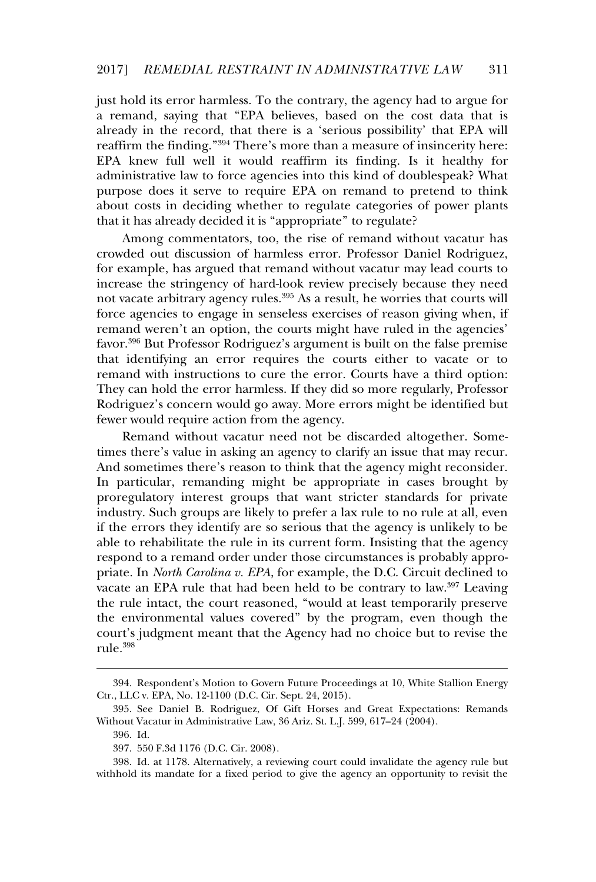just hold its error harmless. To the contrary, the agency had to argue for a remand, saying that "EPA believes, based on the cost data that is a remarks, saying that EPIT beheves, based on the cost data that is<br>already in the record, that there is a 'serious possibility' that EPA will example in the freeded, that there is a serious possibility that EFT will<br>reaffirm the finding."<sup>394</sup> There's more than a measure of insincerity here: EPA knew full well it would reaffirm its finding. Is it healthy for administrative law to force agencies into this kind of doublespeak? What purpose does it serve to require EPA on remand to pretend to think about costs in deciding whether to regulate categories of power plants that it has already decided it is "appropriate" to regulate?

Among commentators, too, the rise of remand without vacatur has crowded out discussion of harmless error. Professor Daniel Rodriguez, for example, has argued that remand without vacatur may lead courts to increase the stringency of hard-look review precisely because they need not vacate arbitrary agency rules.<sup>395</sup> As a result, he worries that courts will force agencies to engage in senseless exercises of reason giving when, if remand weren't an option, the courts might have ruled in the agencies' favor.<sup>396</sup> But Professor Rodriguez's argument is built on the false premise that identifying an error requires the courts either to vacate or to remand with instructions to cure the error. Courts have a third option: They can hold the error harmless. If they did so more regularly, Professor Rodriguez's concern would go away. More errors might be identified but fewer would require action from the agency.

Remand without vacatur need not be discarded altogether. Sometimes there's value in asking an agency to clarify an issue that may recur. And sometimes there's reason to think that the agency might reconsider. In particular, remanding might be appropriate in cases brought by proregulatory interest groups that want stricter standards for private industry. Such groups are likely to prefer a lax rule to no rule at all, even if the errors they identify are so serious that the agency is unlikely to be able to rehabilitate the rule in its current form. Insisting that the agency respond to a remand order under those circumstances is probably appropriate. In *North Carolina v. EPA*, for example, the D.C. Circuit declined to prace. In *York* caroling *i*. *EITA*, for example, the *DAC*. Check deemed to vacate an EPA rule that had been held to be contrary to law.<sup>397</sup> Leaving the rule intact, the court reasoned, "would at least temporarily preserve the environmental values covered" by the program, even though the court's judgment meant that the Agency had no choice but to revise the rule.<sup>398</sup>

<sup>394.</sup> Respondent's Motion to Govern Future Proceedings at 10, White Stallion Energy Ctr., LLC v. EPA, No. 12-1100 (D.C. Cir. Sept. 24, 2015).

<sup>395.</sup> See Daniel B. Rodriguez, Of Gift Horses and Great Expectations: Remands Without Vacatur in Administrative Law, 36 Ariz. St. L.J. 599, 617–24 (2004).

<sup>396.</sup> Id.

<sup>397. 550</sup> F.3d 1176 (D.C. Cir. 2008).

<sup>398.</sup> Id. at 1178. Alternatively, a reviewing court could invalidate the agency rule but withhold its mandate for a fixed period to give the agency an opportunity to revisit the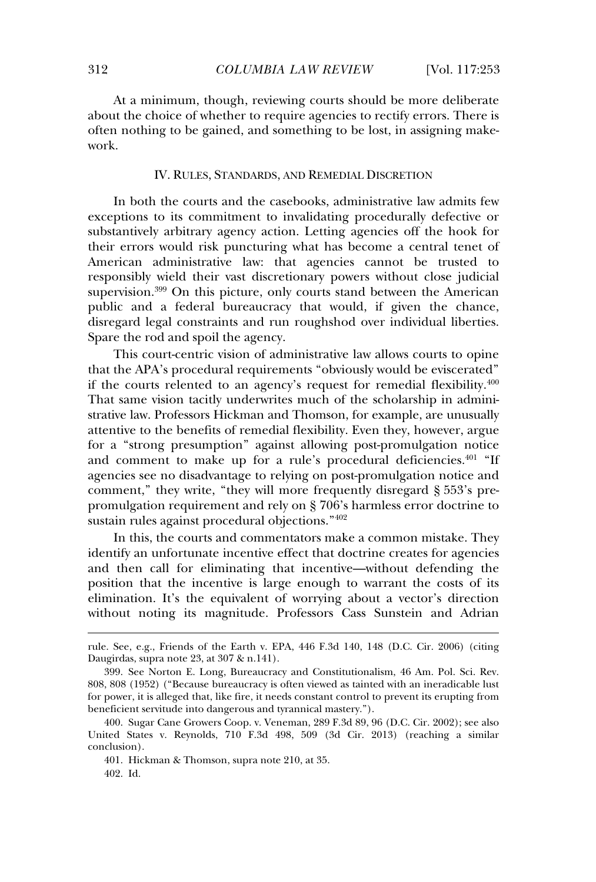At a minimum, though, reviewing courts should be more deliberate about the choice of whether to require agencies to rectify errors. There is often nothing to be gained, and something to be lost, in assigning makework.

#### IV. RULES, STANDARDS, AND REMEDIAL DISCRETION

In both the courts and the casebooks, administrative law admits few exceptions to its commitment to invalidating procedurally defective or substantively arbitrary agency action. Letting agencies off the hook for their errors would risk puncturing what has become a central tenet of American administrative law: that agencies cannot be trusted to responsibly wield their vast discretionary powers without close judicial supervision.<sup>399</sup> On this picture, only courts stand between the American public and a federal bureaucracy that would, if given the chance. disregard legal constraints and run roughshod over individual liberties. Spare the rod and spoil the agency.

This court-centric vision of administrative law allows courts to opine that the APA's procedural requirements "obviously would be eviscerated" if the courts relented to an agency's request for remedial flexibility.<sup>400</sup> That same vision tacitly underwrites much of the scholarship in administrative law. Professors Hickman and Thomson, for example, are unusually attentive to the benefits of remedial flexibility. Even they, however, argue for a "strong presumption" against allowing post-promulgation notice and comment to make up for a rule's procedural deficiencies.<sup>401</sup> "If and comment to make up for a rate s procedural denomination. comment," they write, "they will more frequently disregard § 553's prepromulgation requirement and rely on § 706's harmless error doctrine to sustain rules against procedural objections."<sup>402</sup>

In this, the courts and commentators make a common mistake. They identify an unfortunate incentive effect that doctrine creates for agencies and then call for eliminating that incentive—without defending the position that the incentive is large enough to warrant the costs of its elimination. It's the equivalent of worrying about a vector's direction without noting its magnitude. Professors Cass Sunstein and Adrian

rule. See, e.g., Friends of the Earth v. EPA, 446 F.3d 140, 148 (D.C. Cir. 2006) (citing Daugirdas, supra note 23, at 307 & n.141).

<sup>399.</sup> See Norton E. Long, Bureaucracy and Constitutionalism, 46 Am. Pol. Sci. Rev. 808, 808 (1952) ("Because bureaucracy is often viewed as tainted with an ineradicable lust for power, it is alleged that, like fire, it needs constant control to prevent its erupting from beneficient servitude into dangerous and tyrannical mastery.").

<sup>400.</sup> Sugar Cane Growers Coop. v. Veneman, 289 F.3d 89, 96 (D.C. Cir. 2002); see also United States v. Reynolds, 710 F.3d 498, 509 (3d Cir. 2013) (reaching a similar conclusion).

<sup>401.</sup> Hickman & Thomson, supra note 210, at 35.

<sup>402.</sup> Id.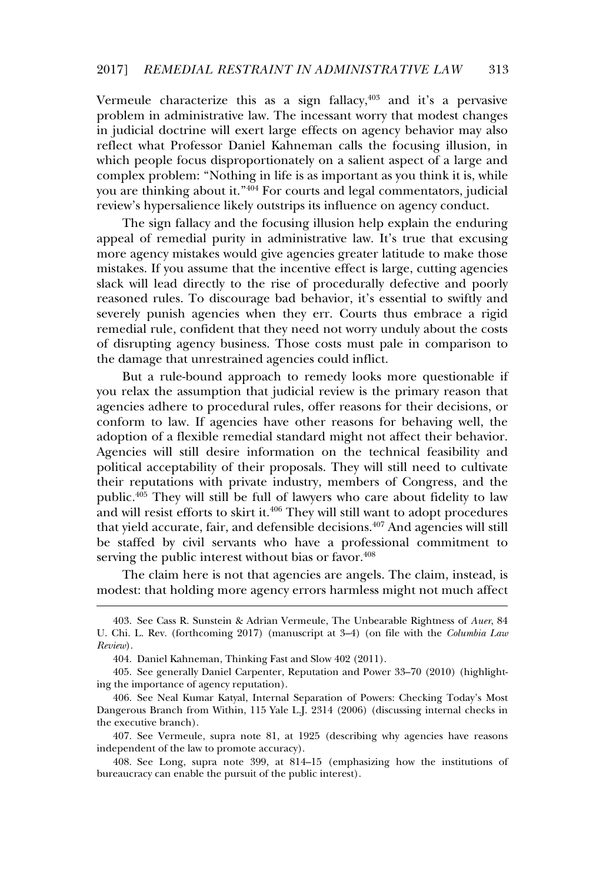Vermeule characterize this as a sign fallacy. $403$  and it's a pervasive problem in administrative law. The incessant worry that modest changes in judicial doctrine will exert large effects on agency behavior may also reflect what Professor Daniel Kahneman calls the focusing illusion, in which people focus disproportionately on a salient aspect of a large and when people rocas disproportionately on a salient aspect of a large and complex problem: "Nothing in life is as important as you think it is, while you are thinking about it."<sup>404</sup> For courts and legal commentators, judicial review's hypersalience likely outstrips its influence on agency conduct.

The sign fallacy and the focusing illusion help explain the enduring appeal of remedial purity in administrative law. It's true that excusing more agency mistakes would give agencies greater latitude to make those more agency mistakes would give agencies greater intriduce to make those<br>mistakes. If you assume that the incentive effect is large, cutting agencies slack will lead directly to the rise of procedurally defective and poorly reasoned rules. To discourage bad behavior, it's essential to swiftly and severely punish agencies when they err. Courts thus embrace a rigid remedial rule, confident that they need not worry unduly about the costs of disrupting agency business. Those costs must pale in comparison to the damage that unrestrained agencies could inflict.

But a rule-bound approach to remedy looks more questionable if you relax the assumption that judicial review is the primary reason that agencies adhere to procedural rules, offer reasons for their decisions, or conform to law. If agencies have other reasons for behaving well, the adoption of a flexible remedial standard might not affect their behavior. Agencies will still desire information on the technical feasibility and political acceptability of their proposals. They will still need to cultivate their reputations with private industry, members of Congress, and the public.<sup>405</sup> They will still be full of lawyers who care about fidelity to law passive. They will still be tail of lawyers who care assett having to law<br>and will resist efforts to skirt it.<sup>406</sup> They will still want to adopt procedures that yield accurate, fair, and defensible decisions.<sup>407</sup> And agencies will still be staffed by civil servants who have a professional commitment to serving the public interest without bias or favor.<sup>408</sup>

 $\overline{C}$  The claim here is not that agencies are angels. The claim, instead, is modest: that holding more agency errors harmless might not much affect

<sup>403.</sup> See Cass R. Sunstein & Adrian Vermeule, The Unbearable Rightness of *Auer*, 84 U. Chi. L. Rev. (forthcoming 2017) (manuscript at 3–4) (on file with the *Columbia Law Review*).

<sup>404.</sup> Daniel Kahneman, Thinking Fast and Slow 402 (2011).

<sup>405.</sup> See generally Daniel Carpenter, Reputation and Power 33–70 (2010) (highlighting the importance of agency reputation).

<sup>406.</sup> See Neal Kumar Katyal, Internal Separation of Powers: Checking Today's Most Dangerous Branch from Within, 115 Yale L.J. 2314 (2006) (discussing internal checks in the executive branch).

<sup>407.</sup> See Vermeule, supra note 81, at 1925 (describing why agencies have reasons independent of the law to promote accuracy).

<sup>408.</sup> See Long, supra note 399, at 814–15 (emphasizing how the institutions of bureaucracy can enable the pursuit of the public interest).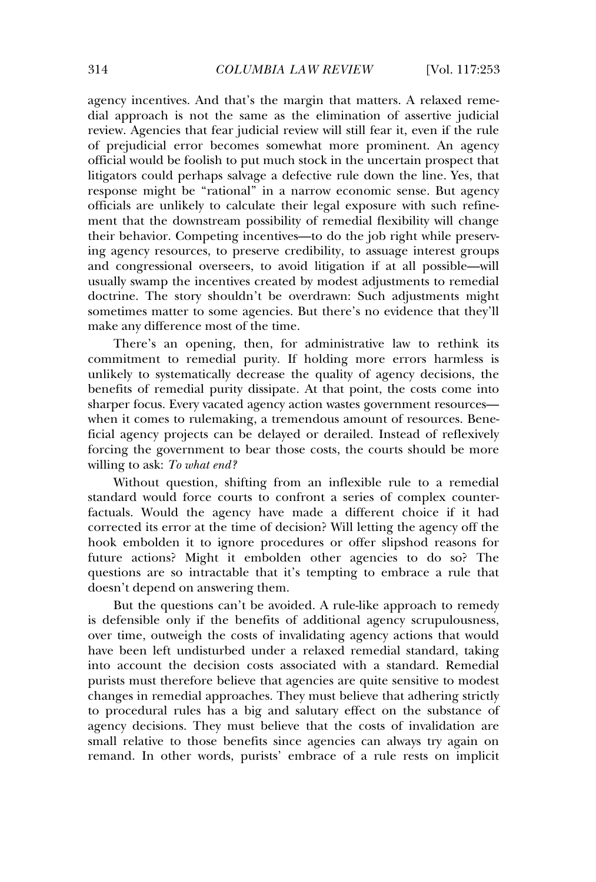agency incentives. And that's the margin that matters. A relaxed remedial approach is not the same as the elimination of assertive judicial review. Agencies that fear judicial review will still fear it, even if the rule of prejudicial error becomes somewhat more prominent. An agency official would be foolish to put much stock in the uncertain prospect that litigators could perhaps salvage a defective rule down the line. Yes, that response might be "rational" in a narrow economic sense. But agency officials are unlikely to calculate their legal exposure with such refinement that the downstream possibility of remedial flexibility will change their behavior. Competing incentives—to do the job right while preserving agency resources, to preserve credibility, to assuage interest groups and congressional overseers, to avoid litigation if at all possible—will usually swamp the incentives created by modest adjustments to remedial doctrine. The story shouldn't be overdrawn: Such adjustments might sometimes matter to some agencies. But there's no evidence that they'll make any difference most of the time.

There's an opening, then, for administrative law to rethink its commitment to remedial purity. If holding more errors harmless is unlikely to systematically decrease the quality of agency decisions, the benefits of remedial purity dissipate. At that point, the costs come into senerite of remeatar party assigned in that point, are esses come mo-<br>sharper focus. Every vacated agency action wastes government resources when it comes to rulemaking, a tremendous amount of resources. Benemien a comes to rulemaking, a trementous amount of resources. Bene<br>ficial agency projects can be delayed or derailed. Instead of reflexively forcing the government to bear those costs, the courts should be more willing to ask: *To what end?*

Without question, shifting from an inflexible rule to a remedial standard would force courts to confront a series of complex counterfactuals. Would the agency have made a different choice if it had corrected its error at the time of decision? Will letting the agency off the hook embolden it to ignore procedures or offer slipshod reasons for future actions? Might it embolden other agencies to do so? The questions are so intractable that it's tempting to embrace a rule that doesn't depend on answering them.

But the questions can't be avoided. A rule-like approach to remedy is defensible only if the benefits of additional agency scrupulousness, over time, outweigh the costs of invalidating agency actions that would byer time, batwerght are esses of invariating agency actions that would into seen fert and standard and the relation control and the associated with a standard. Remedial purists must therefore believe that agencies are quite sensitive to modest changes in remedial approaches. They must believe that adhering strictly to procedural rules has a big and salutary effect on the substance of agency decisions. They must believe that the costs of invalidation are small relative to those benefits since agencies can always try again on remand. In other words, purists' embrace of a rule rests on implicit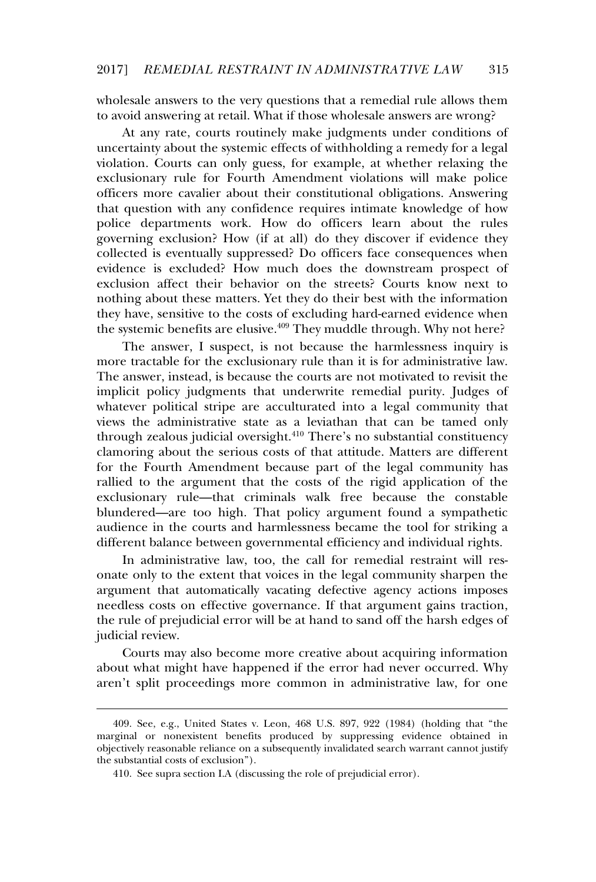wholesale answers to the very questions that a remedial rule allows them to avoid answering at retail. What if those wholesale answers are wrong?

At any rate, courts routinely make judgments under conditions of uncertainty about the systemic effects of withholding a remedy for a legal violation. Courts can only guess, for example, at whether relaxing the exclusionary rule for Fourth Amendment violations will make police officers more cavalier about their constitutional obligations. Answering that question with any confidence requires intimate knowledge of how police departments work. How do officers learn about the rules governing exclusion? How (if at all) do they discover if evidence they collected is eventually suppressed? Do officers face consequences when evidence is excluded? How much does the downstream prospect of exclusion affect their behavior on the streets? Courts know next to nothing about these matters. Yet they do their best with the information they have, sensitive to the costs of excluding hard-earned evidence when the systemic benefits are elusive.<sup>409</sup> They muddle through. Why not here?

The answer. I suspect, is not because the harmlessness inquiry is more tractable for the exclusionary rule than it is for administrative law. The answer, instead, is because the courts are not motivated to revisit the implicit policy judgments that underwrite remedial purity. Judges of miphere political stripe are acculturated into a legal community that views the administrative state as a leviathan that can be tamed only through zealous judicial oversight.<sup>410</sup> There's no substantial constituency clamoring about the serious costs of that attitude. Matters are different for the Fourth Amendment because part of the legal community has rallied to the argument that the costs of the rigid application of the exclusionary rule—that criminals walk free because the constable blundered—are too high. That policy argument found a sympathetic audience in the courts and harmlessness became the tool for striking a different balance between governmental efficiency and individual rights.

In administrative law, too, the call for remedial restraint will resonate only to the extent that voices in the legal community sharpen the argument that automatically vacating defective agency actions imposes needless costs on effective governance. If that argument gains traction, the rule of prejudicial error will be at hand to sand off the harsh edges of judicial review.

Courts may also become more creative about acquiring information about what might have happened if the error had never occurred. Why about what might have happened if the error had never occurred. Why aren't split proceedings more common in administrative law, for one

<sup>409.</sup> See, e.g., United States v. Leon, 468 U.S. 897, 922 (1984) (holding that "the marginal or nonexistent benefits produced by suppressing evidence obtained in marginal of nonexastent senems produced by suppressing evidence obtained in the substantial costs of exclusion").

<sup>410.</sup> See supra section I.A (discussing the role of prejudicial error).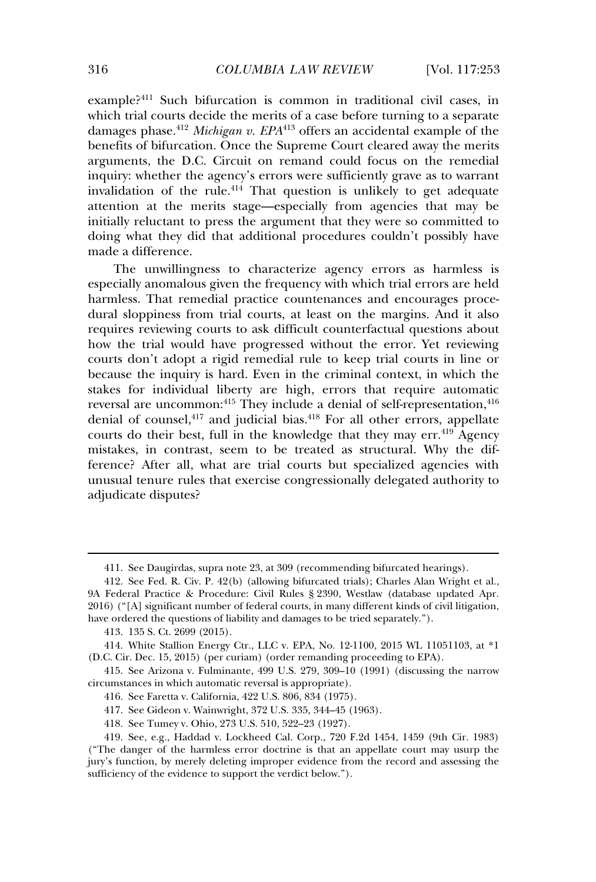example?<sup>411</sup> Such bifurcation is common in traditional civil cases, in example: Sach shareadon is common in diaduction civil cases, in which trial courts decide the merits of a case before turning to a separate damages phase.<sup>412</sup> *Michigan v. EPA*<sup>413</sup> offers an accidental example of the benefits of bifurcation. Once the Supreme Court cleared away the merits arguments, the D.C. Circuit on remand could focus on the remedial inquiry: whether the agency's errors were sufficiently grave as to warrant invalidation of the rule.<sup>414</sup> That question is unlikely to get adequate attention at the merits stage—especially from agencies that may be initially reluctant to press the argument that they were so committed to doing what they did that additional procedures couldn't possibly have aom<sub>i</sub>s what they t<br>made a difference.

The unwillingness to characterize agency errors as harmless is especially anomalous given the frequency with which trial errors are held harmless. That remedial practice countenances and encourages procedural sloppiness from trial courts, at least on the margins. And it also requires reviewing courts to ask difficult counterfactual questions about how the trial would have progressed without the error. Yet reviewing courts don't adopt a rigid remedial rule to keep trial courts in line or because the inquiry is hard. Even in the criminal context, in which the stakes for individual liberty are high, errors that require automatic reversal are uncommon:<sup>415</sup> They include a denial of self-representation.<sup>416</sup> denial of counsel.<sup>417</sup> and judicial bias.<sup>418</sup> For all other errors, appellate courts do their best, full in the knowledge that they may err.<sup>419</sup> Agency mistakes, in contrast, seem to be treated as structural. Why the difference? After all, what are trial courts but specialized agencies with unusual tenure rules that exercise congressionally delegated authority to adjudicate disputes?

<sup>411.</sup> See Daugirdas, supra note 23, at 309 (recommending bifurcated hearings).

<sup>412.</sup> See Fed. R. Civ. P. 42(b) (allowing bifurcated trials); Charles Alan Wright et al., 9A Federal Practice & Procedure: Civil Rules § 2390, Westlaw (database updated Apr. 2016) ("[A] significant number of federal courts, in many different kinds of civil litigation, have ordered the questions of liability and damages to be tried separately.").

<sup>413. 135</sup> S. Ct. 2699 (2015).

<sup>414.</sup> White Stallion Energy Ctr., LLC v. EPA, No. 12-1100, 2015 WL 11051103, at \*1 (D.C. Cir. Dec. 15, 2015) (per curiam) (order remanding proceeding to EPA).

<sup>415.</sup> See Arizona v. Fulminante, 499 U.S. 279, 309–10 (1991) (discussing the narrow circumstances in which automatic reversal is appropriate).

<sup>416.</sup> See Faretta v. California, 422 U.S. 806, 834 (1975).

<sup>417.</sup> See Gideon v. Wainwright, 372 U.S. 335, 344–45 (1963).

<sup>418.</sup> See Tumey v. Ohio, 273 U.S. 510, 522–23 (1927).

<sup>419.</sup> See, e.g., Haddad v. Lockheed Cal. Corp., 720 F.2d 1454, 1459 (9th Cir. 1983) ("The danger of the harmless error doctrine is that an appellate court may usurp the jury's function, by merely deleting improper evidence from the record and assessing the sufficiency of the evidence to support the verdict below.").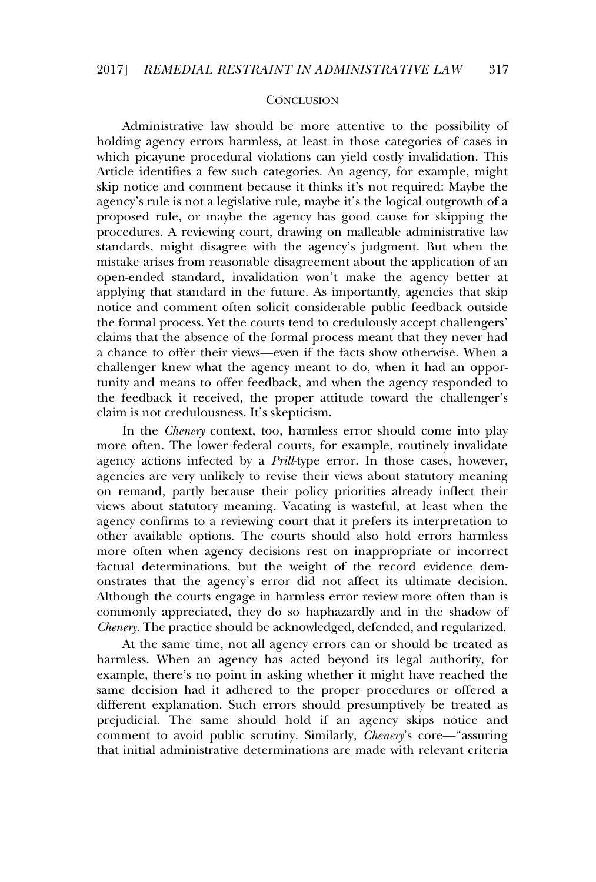### **CONCLUSION**

Administrative law should be more attentive to the possibility of holding agency errors harmless, at least in those categories of cases in which picayune procedural violations can yield costly invalidation. This Article identifies a few such categories. An agency, for example, might skip notice and comment because it thinks it's not required: Maybe the agency's rule is not a legislative rule, maybe it's the logical outgrowth of a proposed rule, or maybe the agency has good cause for skipping the procedures. A reviewing court, drawing on malleable administrative law standards, might disagree with the agency's judgment. But when the mistake arises from reasonable disagreement about the application of an open-ended standard, invalidation won't make the agency better at applying that standard in the future. As importantly, agencies that skip notice and comment often solicit considerable public feedback outside the formal process. Yet the courts tend to credulously accept challengers' claims that the absence of the formal process meant that they never had a chance to offer their views—even if the facts show otherwise. When achallenger knew what the agency meant to do, when it had an opportunity and means to offer feedback, and when the agency responded to the feedback it received, the proper attitude toward the challenger's claim is not credulousness. It's skepticism.

In the *Chenery* context, too, harmless error should come into play m are *chonery* content, too, narries error should come may pay<br>more often. The lower federal courts, for example, routinely invalidate agency actions infected by a *Prill*-type error. In those cases, however, agency actions infected by a *Thureford criter.* In above cases, however, on remand, partly because their policy priorities already inflect their views about statutory meaning. Vacating is wasteful, at least when the agency confirms to a reviewing court that it prefers its interpretation to other available options. The courts should also hold errors harmless more often when agency decisions rest on inappropriate or incorrect factual determinations, but the weight of the record evidence demonstrates that the agency's error did not affect its ultimate decision. Although the courts engage in harmless error review more often than is commonly appreciated, they do so haphazardly and in the shadow of *Chenery*. The practice should be acknowledged, defended, and regularized.

At the same time, not all agency errors can or should be treated as harmless. When an agency has acted beyond its legal authority, for example, there's no point in asking whether it might have reached the same decision had it adhered to the proper procedures or offered a different explanation. Such errors should presumptively be treated as prejudicial. The same should hold if an agency skips notice and comment to avoid public scrutiny. Similarly, *Chenery*'s core—"assuring that initial administrative determinations are made with relevant criteria